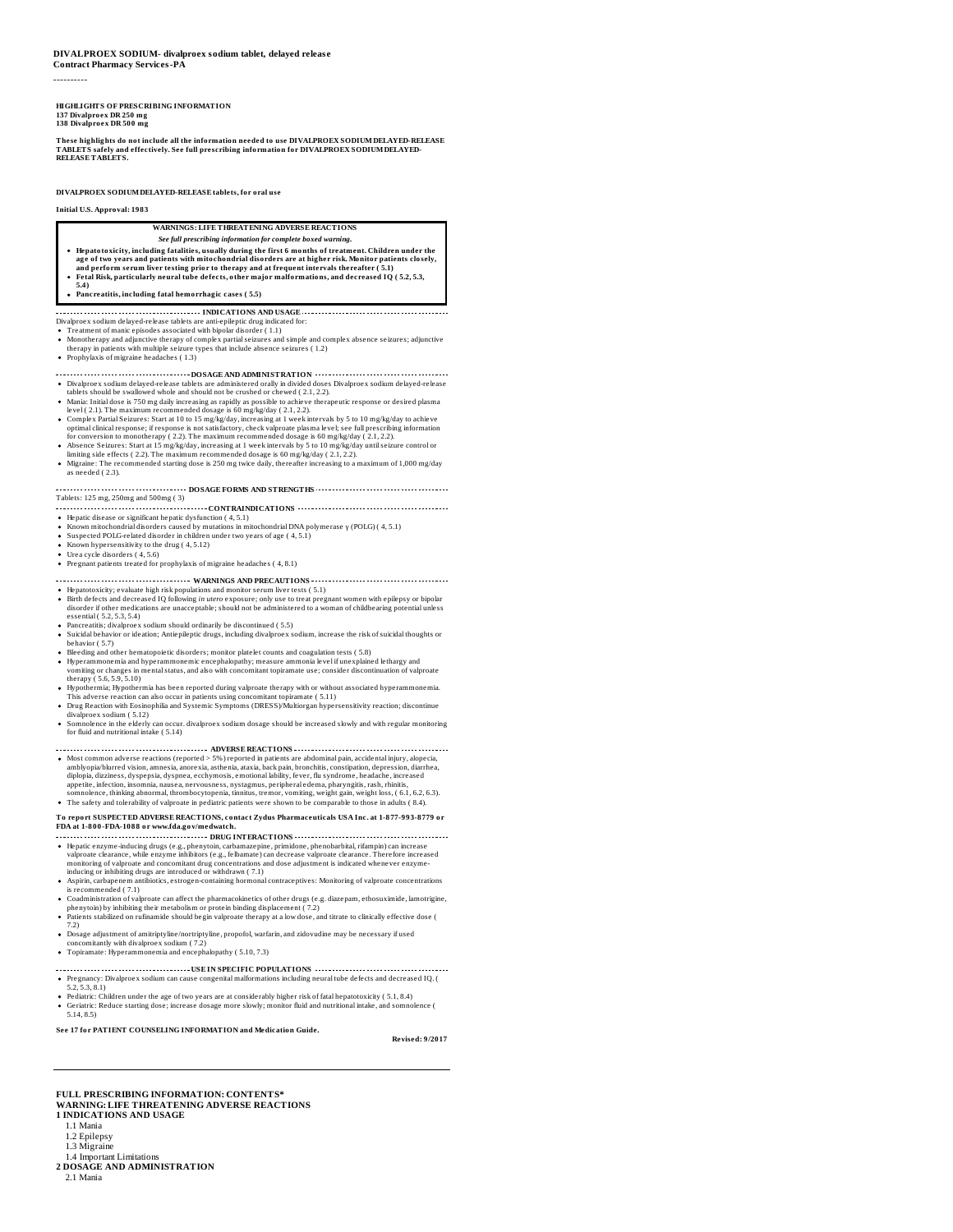----------

**HIGHLIGHTS OF PRESCRIBING INFORMATION 137 Divalproex DR 250 mg 138 Divalproex DR 500 mg**

These highlights do not include all the information needed to use DIVALPROEX SODIUMDELAYED-RELEASE<br>TABLETS safely and effectively. See full prescribing information for DIVALPROEX SODIUM DELAYED-**RELEASE TABLETS.**

**DIVALPROEX SODIUMDELAYED-RELEASE tablets, for oral use**

**Initial U.S. Approval: 1983**

### **WARNINGS: LIFE THREATENING ADVERSE REACTIONS**

- *See full prescribing information for complete boxed warning.*
- 
- Hepatotoxicity, including fatalities, usually during the first 6 months of treatment. Children under the<br>age of two years and patients with mitochondrial disorders are at higher risk. Monitor patients closely,<br>Betal Risk,
- $\bullet$
- **Pancreatitis, including fatal hemorrhagic cases ( 5.5)**
- 
- 
- 
- **INDICATIONS AND USAGE** Divalproex sodium delayed-release tablets are anti-epileptic drug indicated for: Treatment of manic episodes associated with bipolar disorder ( 1.1) Monotherapy and adjunctive therapy of complex partialseizures and simple and complex absence seizures; adjunctive therapy in patients with multiple seizure types that include absence seizures ( 1.2) Prophylaxis of migraine headaches ( 1.3)
- 
- **DOSAGE AND ADMINISTRATION** Divalproex sodium delayed-release tablets are administered orally in divided doses Divalproex sodium delayed-release
- 
- 
- tablets should be swallowed whole and should not be crushed or chewed (2.1, 2.2).<br>Mania: Initial dose is 750 mg daily increasing as rapidly as possible to achieve therapeutic response or desired plasma<br>level (2.1). The max
- 
- Absence Seizures: Start at 15 mg/kg/day, increasing at 1 week intervals by 5 to 10 mg/kg/day until seizure control or<br>limiting side effects ( 2.2). The maximum recommended dosage is 60 mg/kg/day ( 2.1, 2.2).<br>Migraine: The

**DOSAGE FORMS AND STRENGTHS** Tablets: 125 mg, 250mg and 500mg ( 3)

- **CONTRAINDICATIONS CONTRAINDICATIONS CONTRAINDICATIONS**
- Hepatic disease or significant hepatic dysfunction ( 4, 5.1) Known mitochondrial disorders caused by mutations in mitochondrial DNA polymerase γ (POLG) ( 4, 5.1)
- 
- Suspected POLG-related disorder in children under two years of age ( 4, 5.1)<br>Known hypersensitivity to the drug ( 4, 5.12)<br>Urea cycle disorders ( 4, 5.6)
- 
- Pregnant patients treated for prophylaxis of migraine headaches (4, 8.1)
- **WARNINGS AND PRECAUTIONS**
- Hepatotoxicity; evaluate high risk populations and monitor serum liver tests ( 5.1)<br>Birth defects and decreased IQ following *in utero* exposure; only use to treat pregnant women with epilepsy or bipolar<br>disorder if other
- ◆ Pancreatitis; divalproex sodium should ordinarily be discontinued (5.5)
- 
- Suicidal behavior or ideation; Antiepileptic drugs, including divalproex sodium, increase the risk of suicidal thoughts or
- 
- behavior ( 5.7)<br>Bleeding and other hematopoietic disorders; monitor platelet counts and coagulation tests ( 5.8)<br>Hyperammonemia and hyperammonemic encephalopathy; measure ammonia level if unexplained lethargy and<br>vomiting
- 
- Hypothermia; Hypothermia has been reported during valproate therapy with or without associated hyperammonemia.<br>This adverse reaction can also occur in patients using concomitant topiramate ( 5.11)<br>Drug Reaction with Eosino
- $\bullet$ Somnolence in the elderly can occur. divalproex sodium dosage should be increased slowly and with regular monitoring for fluid and nutritional intake ( 5.14)

#### **ADVERSE REACTIONS**

Most common adverse reactions (reported > 5%) reported in patients are abdominal pain, accidental injury, alopecia,<br>amblyopia/burred vision, amnesia, anorexia, asthenia, ataxia, back pain, bronchitis, constipation, depress

# **To report SUSPECTED ADVERSE REACTIONS, contact Zydus Pharmaceuticals USA Inc. at 1-877-993-8779 or**

**FDA at 1-800-FDA-1088 or www.fda.gov/medwatch.**

- **DRUG INTERACTIONS** Hepatic enzyme-inducing drugs (e.g., phenytoin, carbamazepine, primidone, phenobarbital, rifampin) can increase valproate clearance, while enzyme inhibitors (e.g., felbamate) can decrease valproate clearance. Therefore increased monitoring of valproate and concomitant drug concentrations and dose adjustment is indicated whenever enzyme-
- inducing or inhibiting drugs are introduced or withdrawn ( 7.1)<br>Aspirin, carbapenem antibiotics, estrogen-containing hormonal contraceptives: Monitoring of valproate concentrations
- $\ddot{\phantom{a}}$
- is recommended ( 7.1)<br>Coadministration of valproate can affect the pharmacokinetics of other drugs (e.g. diazepam, ethosuximide, lamotrigine,<br>phenytoin) by inhibiting their metabolism or protein binding displacement ( 7.2)
- 7.2)
- Dosage adjustment of amitriptyline/nortriptyline, propofol, warfarin, and zidovudine may be necessary if used concomitantly with divalproex sodium ( 7.2)<br>Topiramate: Hyperammonemia and encephalopathy ( 5.10, 7.3)
- 
- **USEBECIFIC POPULATIONS BECIFIC POPULATIONS** Pregnancy: Divalproex sodium can cause congenital malformations including neural tube defects and decreased IQ. ( 5.2, 5.3, 8.1)
- Pediatric: Children under the age of two years are at considerably higher risk of fatal hepatotoxicity ( 5.1, 8.4)<br>Geriatric: Reduce starting dose; increase dosage more slowly; monitor fluid and nutritional intake, and som
- **See 17 for PATIENT COUNSELING INFORMATION and Medication Guide.**

**Revised: 9/2017**

# **FULL PRESCRIBING INFORMATION: CONTENTS\***

# **WARNING: LIFE THREATENING ADVERSE REACTIONS**

**1 INDICATIONS AND USAGE** 1.1 Mania

- 1.2 Epilepsy
- $1.2 \text{ m}$ <br> $1.3 \text{ Migraine}$
- 1.4 Important Limitations
- **2 DOSAGE AND ADMINISTRATION**
- 2.1 Mania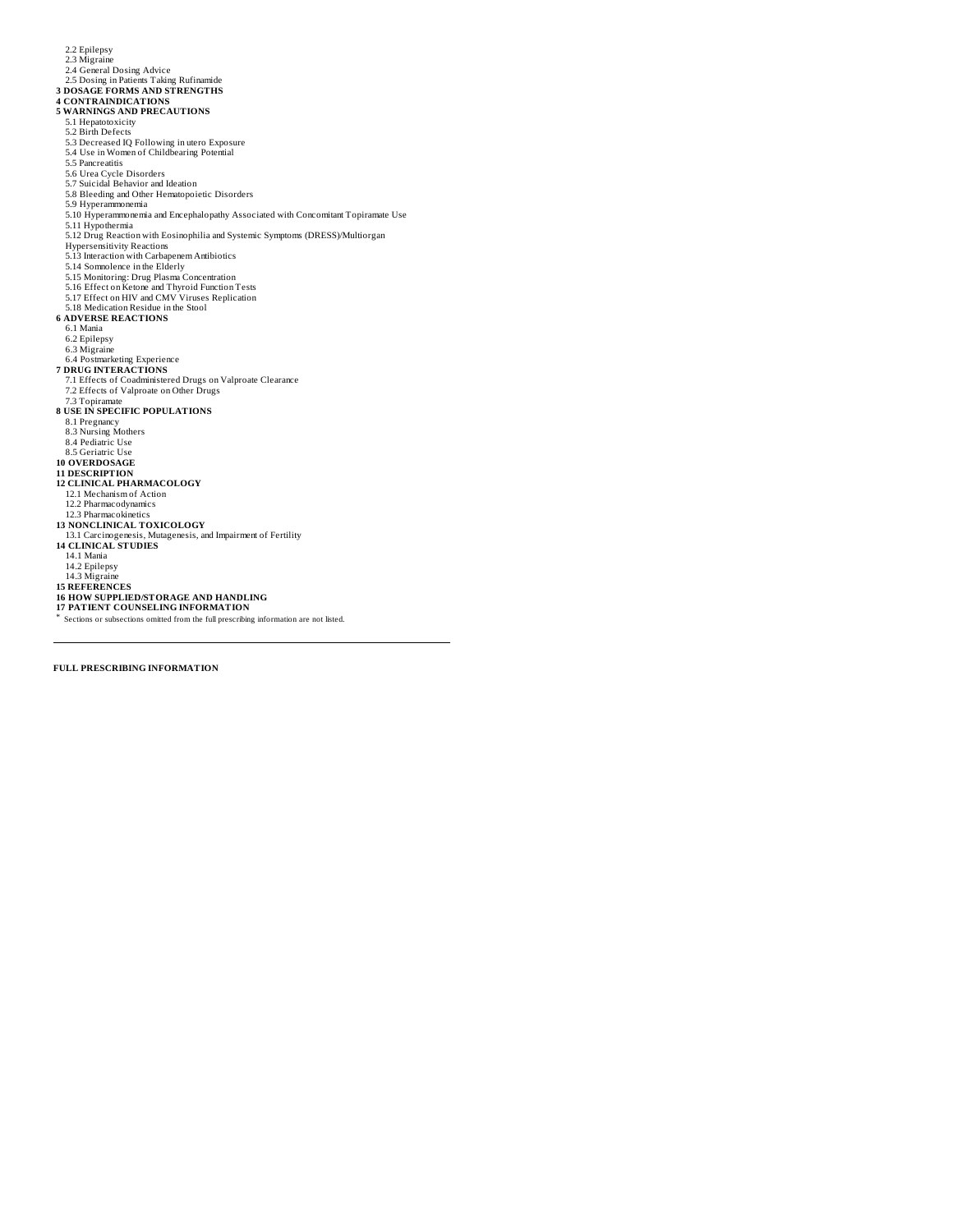2.2 Epilepsy 2.3 Migraine 2.4 General Dosing Advice 2.5 Dosing in Patients Taking Rufinamide **3 DOSAGE FORMS AND STRENGTHS 4 CONTRAINDICATIONS 5 WARNINGS AND PRECAUTIONS** 5.1 Hepatotoxicity 5.2 Birth Defects 5.3 Decreased IQ Following in utero Exposure 5.4 Use in Women of Childbearing Potential 5.5 Pancreatitis 5.6 Urea Cycle Disorders 5.7 Suicidal Behavior and Ideation 5.8 Bleeding and Other Hematopoietic Disorders 5.9 Hyperammonemia 5.10 Hyperammonemia and Encephalopathy Associated with Concomitant Topiramate Use 5.11 Hypothermia 5.12 Drug Reaction with Eosinophilia and Systemic Symptoms (DRESS)/Multiorgan<br>Hypersensitivity Reactions<br>5.13 Interaction with Carbapenem Antibiotics 5.14 Somnolence in the Elderly 5.15 Monitoring: Drug Plasma Concentration 5.16 Effect on Ketone and Thyroid Function Tests 5.17 Effect on HIV and CMV Viruses Replication 5.18 Medication Residue in the Stool **6 ADVERSE REACTIONS** 6.1 Mania 6.2 Epilepsy 6.3 Migraine 6.4 Postmarketing Experience **7 DRUG INTERACTIONS** 7.1 Effects of Coadministered Drugs on Valproate Clearance 7.2 Effects of Valproate on Other Drugs 7.3 Topiramate **8 USE IN SPECIFIC POPULATIONS** 8.1 Pregnancy 8.3 Nursing Mothers 8.4 Pediatric Use 8.5 Geriatric Use **10 OVERDOSAGE 11 DESCRIPTION 12 CLINICAL PHARMACOLOGY** 12.1 Mechanism of Action 12.2 Pharmacodynamics 12.3 Pharmacokinetics **13 NONCLINICAL TOXICOLOGY** 13.1 Carcinogenesis, Mutagenesis, and Impairment of Fertility **14 CLINICAL STUDIES** 14.1 Mania 14.2 Epilepsy 14.3 Migraine **15 REFERENCES 16 HOW SUPPLIED/STORAGE AND HANDLING 17 PATIENT COUNSELING INFORMATION** \* Sections or subsections omitted from the full prescribing information are not listed.

**FULL PRESCRIBING INFORMATION**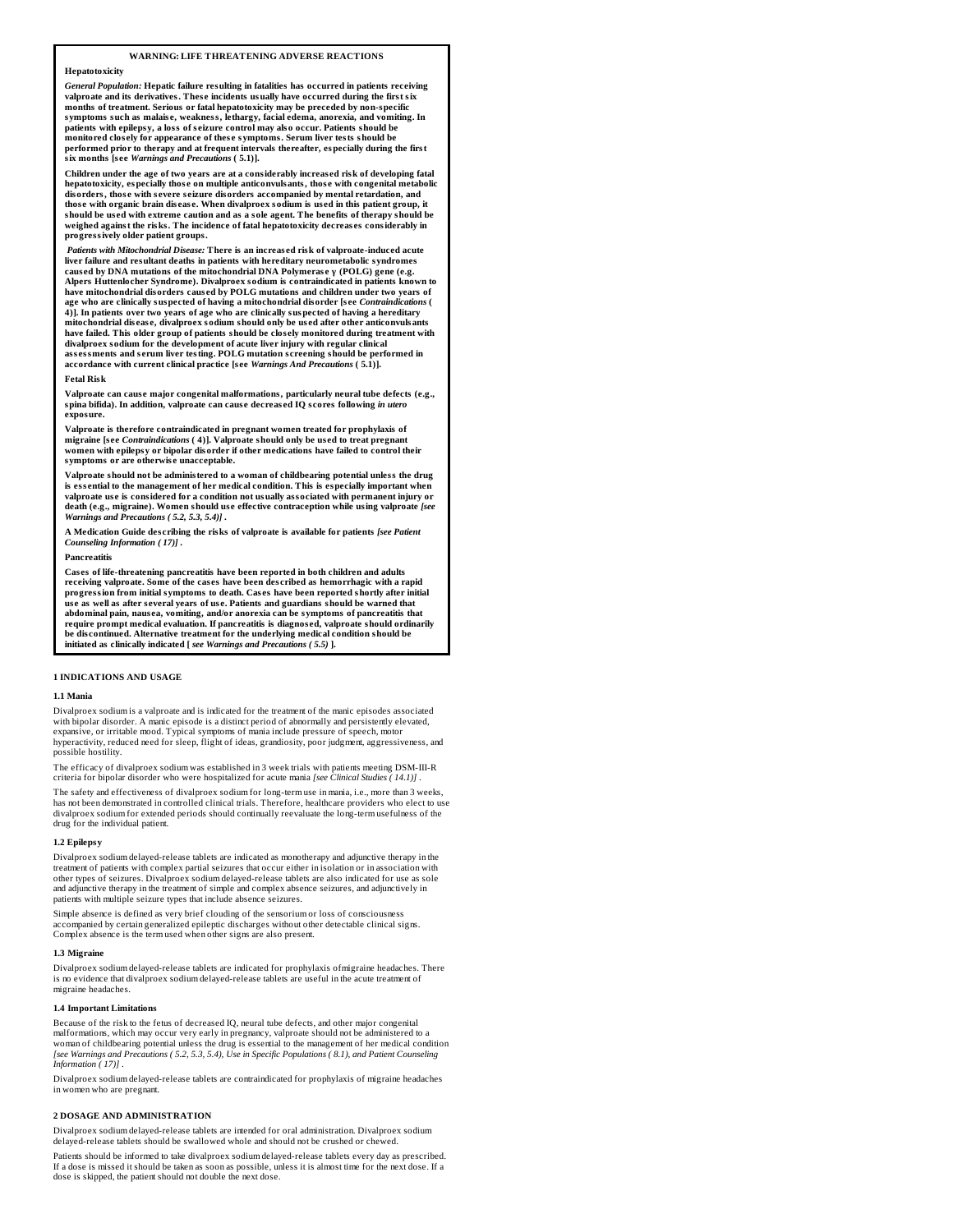### **WARNING: LIFE THREATENING ADVERSE REACTIONS**

# **Hepatotoxicity**

*General Population:* **Hepatic failure resulting in fatalities has occurred in patients receiving** valproate and its derivatives. These incidents usually have occurred during the first six<br>months of treatment. Serious or fatal hepatotoxicity may be preceded by non-specific **symptoms such as malais e, weakness, lethargy, facial edema, anorexia, and vomiting. In patients with epilepsy, a loss of s eizure control may also occur. Patients should be monitored clos ely for appearance of thes e symptoms. Serum liver tests should be performed prior to therapy and at frequent intervals thereafter, especially during the first six months [s ee** *Warnings and Precautions* **( 5.1)].**

**Children under the age of two years are at a considerably increas ed risk of developing fatal** hepatotoxicity, especially those on multiple anticonvulsants, those with congenital metabolic<br>disorders, those with severe seizure disorders accompanied by mental retardation, and those with organic brain disease. When divalproex sodium is used in this patient group, it **should be us ed with extreme caution and as a sole agent. The benefits of therapy should be weighed against the risks. The incidence of fatal hepatotoxicity decreas es considerably in progressively older patient groups.**

*Patients with Mitochondrial Disease:* **There is an increas ed risk of valproate-induced acute liver failure and resultant deaths in patients with hereditary neurometabolic syndromes caus ed by DNA mutations of the mitochondrial DNA Polymeras e γ (POLG) gene (e.g.** Alpers Huttenlocher Syndrome). Divalproex sodium is contraindicated in patients known to<br>have mitochondrial disorders caused by POLG mutations and children under two years of **age who are clinically suspected of having a mitochondrial disorder [s ee** *Contraindications* **(** 4)]. In patients over two years of age who are clinically suspected of having a hereditary<br>mitochondrial disease, divalproex sodium should only be used after other anticonvulsants **have failed. This older group of patients should be clos ely monitored during treatment with** divalproex sodium for the development of acute liver injury with regular clinical<br>assessments and serum liver testing. POLG mutation screening should be performed in **accordance with current clinical practice [s ee** *Warnings And Precautions* **( 5.1)].**

# **Fetal Risk**

**Valproate can caus e major congenital malformations, particularly neural tube defects (e.g., spina bifida). In addition, valproate can caus e decreas ed IQ scores following** *in utero* **exposure.**

Valproate is therefore contraindicated in pregnant women treated for prophylaxis of<br>migraine [see *Contraindications* ( 4)]. Valproate should only be used to treat pregnant **women with epilepsy or bipolar disorder if other medications have failed to control their symptoms or are otherwis e unacceptable.**

**Valproate should not be administered to a woman of childbearing potential unless the drug** is essential to the management of her medical condition. This is especially important when<br>valproate use is considered for a condition not usually associated with permanent injury or **death (e.g., migraine). Women should us e effective contraception while using valproate** *[see Warnings and Precautions ( 5.2, 5.3, 5.4)]* **.**

**A Medication Guide des cribing the risks of valproate is available for patients** *[see Patient Counseling Information ( 17)]* **.**

### **Pancreatitis**

**Cas es of life-threatening pancreatitis have been reported in both children and adults receiving valproate. Some of the cas es have been des cribed as hemorrhagic with a rapid progression from initial symptoms to death. Cas es have been reported shortly after initial us e as well as after s everal years of us e. Patients and guardians should be warned that** abdominal pain, nausea, vomiting, and/or anorexia can be symptoms of pancreatitis that<br>require prompt medical evaluation. If pancreatitis is diagnosed, valproate should ordinarily<br>be discontinued. Alternative treatment for

### **1 INDICATIONS AND USAGE**

# **1.1 Mania**

Divalproex sodium is a valproate and is indicated for the treatment of the manic episodes associated with bipolar disorder. A manic episode is a distinct period of abnormally and persistently elevated, expansive, or irritable mood. Typical symptoms of mania include pressure of speech, motor hyperactivity, reduced need for sleep, flight of ideas, grandiosity, poor judgment, aggressiveness, and possible hostility.

The efficacy of divalproex sodium was established in 3 week trials with patients meeting DSM-III-R criteria for bipolar disorder who were hospitalized for acute mania *[see Clinical Studies ( 14.1)]* .

The safety and effectiveness of divalproex sodium for long-term use in mania, i.e., more than 3 weeks, has not been demonstrated in controlled clinical trials. Therefore, healthcare providers who elect to use divalproex sodium for extended periods should continually reevaluate the long-term usefulness of the drug for the individual patient.

# **1.2 Epilepsy**

Divalproex sodium delayed-release tablets are indicated as monotherapy and adjunctive therapy in the treatment of patients with complex partial seizures that occur either in isolation or in association with other types of seizures. Divalproex sodium delayed-release tablets are also indicated for use as sole and adjunctive therapy in the treatment of simple and complex absence seizures, and adjunctively in patients with multiple seizure types that include absence seizures.

Simple absence is defined as very brief clouding of the sensorium or loss of consciousness accompanied by certain generalized epileptic discharges without other detectable clinical signs. Complex absence is the term used when other signs are also present.

# **1.3 Migraine**

Divalproex sodium delayed-release tablets are indicated for prophylaxis ofmigraine headaches. There is no evidence that divalproex sodium delayed-release tablets are useful in the acute treatment of migraine headaches.

### **1.4 Important Limitations**

Because of the risk to the fetus of decreased IQ, neural tube defects, and other major congenital malformations, which may occur very early in pregnancy, valproate should not be administered to a<br>woman of childbearing potential unless the drug is essential to the management of her medical condition [see Warnings and Precautions (5.2, 5.3, 5.4), Use in Specific Populations (8.1), and Patient Counseling *Information ( 17)]* .

Divalproex sodium delayed-release tablets are contraindicated for prophylaxis of migraine headaches in women who are pregnant.

### **2 DOSAGE AND ADMINISTRATION**

Divalproex sodium delayed-release tablets are intended for oral administration. Divalproex sodium delayed-release tablets should be swallowed whole and should not be crushed or che

Patients should be informed to take divalproex sodium delayed-release tablets every day as prescribed. If a dose is missed it should be taken as soon as possible, unless it is almost time for the next dose. If a dose is skipped, the patient should not double the next dose.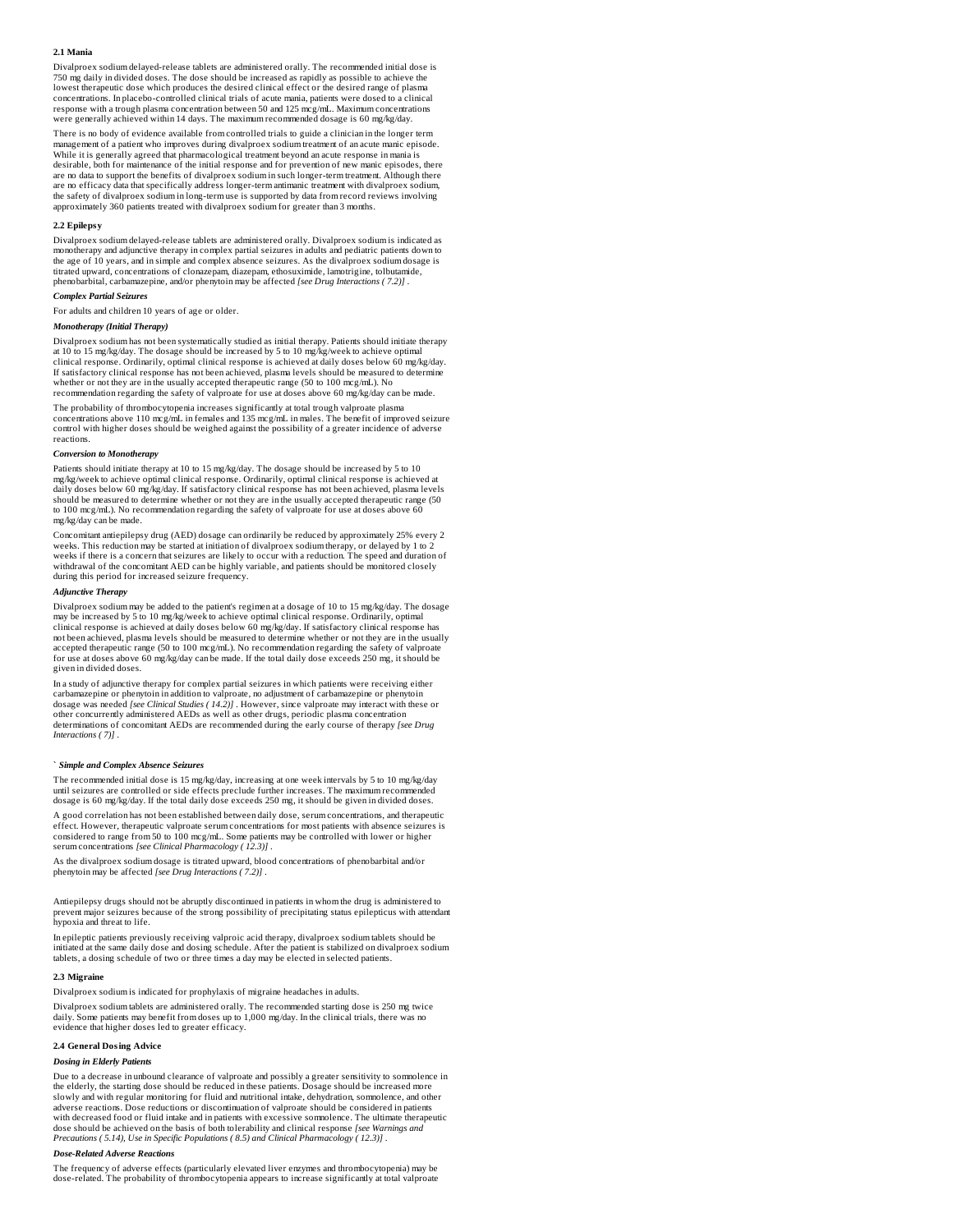### **2.1 Mania**

Divalproex sodium delayed-release tablets are administered orally. The recommended initial dose is 750 mg daily in divided doses. The dose should be increased as rapidly as possible to achieve the lowest therapeutic dose which produces the desired clinical effect or the desired range of plasma concentrations. In placebo-controlled clinical trials of acute mania, patients were dosed to a clinical response with a trough plasma concentration between 50 and 125 mcg/mL. Maximum concentrations<br>were generally achieved within 14 days. The maximum recommended dosage is 60 mg/kg/day.

There is no body of evidence available from controlled trials to guide a clinician in the longer term management of a patient who improves during divalproex sodium treatment of an acute manic episode. While it is generally agreed that pharmacological treatment beyond an acute response in mania is desirable, both for maintenance of the initial response and for prevention of new manic episodes, there are no data to support the benefits of divalproex sodium in such longer-term treatment. Although there are no efficacy data that specifically address longer-term antimanic treatment with divalproex sodium, the safety of divalproex sodium in long-term use is supported by data from record reviews involving approximately 360 patients treated with divalproex sodium for greater than 3 months.

# **2.2 Epilepsy**

Divalproex sodium delayed-release tablets are administered orally. Divalproex sodium is indicated as<br>monotherapy and adjunctive therapy in complex partial seizures in adults and pediatric patients down to the age of 10 years, and in simple and complex absence seizures. As the divalproex sodium dosage is titrated upward, concentrations of clonazepam, diazepam, ethosuximide, lamotrigine, tolbutamide, phenobarbital, carbamazepine, and/or phenytoin may be affected *[see Drug Interactions ( 7.2)]* .

# *Complex Partial Seizures*

For adults and children 10 years of age or older.

# *Monotherapy (Initial Therapy)*

Divalproex sodium has not been systematically studied as initial therapy. Patients should initiate therapy at 10 to 15 mg/kg/day. The dosage should be increased by 5 to 10 mg/kg/week to achieve optimal clinical response. Ordinarily, optimal clinical response is achieved at daily doses below 60 mg/kg/day. If satisfactory clinical response has not been achieved, plasma levels should be measured to determine<br>whether or not they are in the usually accepted therapeutic range (50 to 100 mcg/mL). No recommendation regarding the safety of valproate for use at doses above 60 mg/kg/day can be made.

The probability of thrombocytopenia increases significantly at total trough valproate plasma concentrations above 110 mcg/mL in females and 135 mcg/mL in males. The benefit of improved seizure control with higher doses should be weighed against the possibility of a greater incidence of adverse reactions.

# *Conversion to Monotherapy*

Patients should initiate therapy at 10 to 15 mg/kg/day. The dosage should be increased by 5 to 10 mg/kg/week to achieve optimal clinical response. Ordinarily, optimal clinical response is achieved at daily doses below 60 mg/kg/day. If satisfactory clinical response has not been achieved, plasma levels should be measured to determine whether or not they are in the usually accepted therapeutic range (50 to 100 mcg/mL). No recommendation regarding the safety of valproate for use at doses above 60 mg/kg/day can be made.

Concomitant antiepilepsy drug (AED) dosage can ordinarily be reduced by approximately 25% every 2<br>weeks. This reduction may be started at initiation of divalproex sodium therapy, or delayed by 1 to 2 weeks if there is a concern that seizures are likely to occur with a reduction. The speed and duration of withdrawal of the concomitant AED can be highly variable, and patients should be monitored closely during this period for increased seizure frequency.

# *Adjunctive Therapy*

Divalproex sodium may be added to the patient's regimen at a dosage of 10 to 15 mg/kg/day. The dosage<br>may be increased by 5 to 10 mg/kg/week to achieve optimal clinical response. Ordinarily, optimal clinical response is achieved at daily doses below 60 mg/kg/day. If satisfactory clinical response has not been achieved, plasma levels should be measured to determine whether or not they are in the usually accepted therapeutic range (50 to 100 mcg/mL). No recommendation regarding the safety of valproate for use at doses above 60 mg/kg/day can be made. If the total daily dose exceeds 250 mg, it should be given in divided doses.

In a study of adjunctive therapy for complex partial seizures in which patients were receiving either<br>carbamazepine or phenytoin in addition to valproate, no adjustment of carbamazepine or phenytoin<br>dosage was needed [*see* other concurrently administered AEDs as well as other drugs, periodic plasma concentration determinations of concomitant AEDs are recommended during the early course of therapy *[see Drug Interactions ( 7)]* .

#### **`** *Simple and Complex Absence Seizures*

The recommended initial dose is 15 mg/kg/day, increasing at one week intervals by 5 to 10 mg/kg/day until seizures are controlled or side effects preclude further increases. The maximum recommended dosage is 60 mg/kg/day. If the total daily dose exceeds 250 mg, it should be given in divided doses.

A good correlation has not been established between daily dose, serum concentrations, and therapeutic effect. However, therapeutic valproate serum concentrations for most patients with absence seizures is considered to range from 50 to 100 mcg/mL. Some patients may be controlled with lower or higher serum concentrations *[see Clinical Pharmacology ( 12.3)]* .

As the divalproex sodium dosage is titrated upward, blood concentrations of phenobarbital and/or phenytoin may be affected *[see Drug Interactions ( 7.2)]* .

Antiepilepsy drugs should not be abruptly discontinued in patients in whom the drug is administered to prevent major seizures because of the strong possibility of precipitating status epilepticus with attendant hypoxia and threat to life.

In epileptic patients previously receiving valproic acid therapy, divalproex sodium tablets should be initiated at the same daily dose and dosing schedule. After the patient is stabilized on divalproex sodium tablets, a dosing schedule of two or three times a day may be elected in selected patients.

# **2.3 Migraine**

Divalproex sodium is indicated for prophylaxis of migraine headaches in adults.

Divalproex sodium tablets are administered orally. The recommended starting dose is 250 mg twice daily. Some patients may benefit from doses up to 1,000 mg/day. In the clinical trials, there was no evidence that higher doses led to greater efficacy.

### **2.4 General Dosing Advice**

### *Dosing in Elderly Patients*

Due to a decrease in unbound clearance of valproate and possibly a greater sensitivity to somnolence in the elderly, the starting dose should be reduced in these patients. Dosage should be increased more slowly and with regular monitoring for fluid and nutritional intake, dehydration, somnolence, and other adverse reactions. Dose reductions or discontinuation of valproate should be considered in patients<br>with decreased food or fluid intake and in patients with excessive somnolence. The ultimate therapeutic dose should be achieved on the basis of both tolerability and clinical response [see Warnings and<br>Precautions ( 5.14), Use in Specific Populations ( 8.5) and Clinical Pharmacology ( 12.3)] .

### *Dose-Related Adverse Reactions*

The frequency of adverse effects (particularly elevated liver enzymes and thrombocytopenia) may be dose-related. The probability of thrombocytopenia appears to increase significantly at total valproate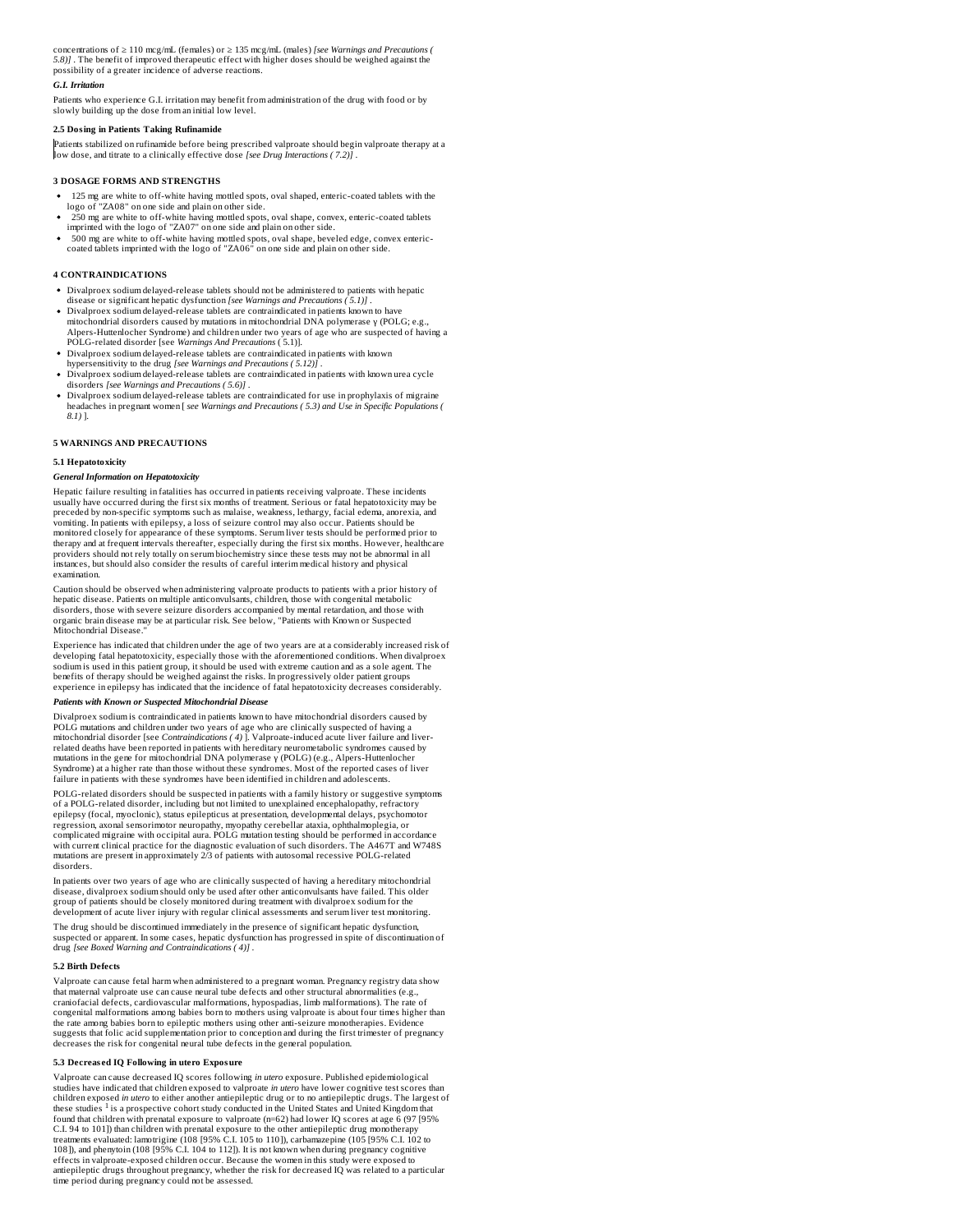concentrations of ≥ 110 mcg/mL (females) or ≥ 135 mcg/mL (males) *[see Warnings and Precautions ( 5.8)]* . The benefit of improved therapeutic effect with higher doses should be weighed against the possibility of a greater incidence of adverse reactions.

# *G.I. Irritation*

Patients who experience G.I. irritation may benefit from administration of the drug with food or by slowly building up the dose from an initial low level.

# **2.5 Dosing in Patients Taking Rufinamide**

Patients stabilized on rufinamide before being prescribed valproate should begin valproate therapy at a low dose, and titrate to a clinically effective dose *[see Drug Interactions ( 7.2)]* .

### **3 DOSAGE FORMS AND STRENGTHS**

- 125 mg are white to off-white having mottled spots, oval shaped, enteric-coated tablets with the
- logo of "ZA08" on one side and plain on other side. 250 mg are white to off-white having mottled spots, oval shape, convex, enteric-coated tablets
- imprinted with the logo of "ZA07" on one side and plain on other side. 500 mg are white to off-white having mottled spots, oval shape, beveled edge, convex entericcoated tablets imprinted with the logo of "ZA06" on one side and plain on other side.

### **4 CONTRAINDICATIONS**

- $\bullet$  Divalproex sodium delayed-release tablets should not be administered to patients with hepatic disease or significant hepatic dysfunction *[see Warnings and Precautions ( 5.1)]* .
- Divalproex sodium delayed-release tablets are contraindicated in patients known to have<br>mitochondrial disorders caused by mutations in mitochondrial DNA polymerase γ (POLG; e.g., Alpers-Huttenlocher Syndrome) and children under two years of age who are suspected of having a POLG-related disorder [see *Warnings And Precautions* ( 5.1)].
- Divalproex sodium delayed-release tablets are contraindicated in patients with known
- hypersensitivity to the drug *[see Warnings and Precautions ( 5.12)] .*<br>Divalproex sodium delayed-release tablets are contraindicated in patients with known urea cycle disorders *[see Warnings and Precautions ( 5.6)]* .
- Divalproex sodium delayed-release tablets are contraindicated for use in prophylaxis of migraine headaches in pregnant women [ *see Warnings and Precautions ( 5.3) and Use in Specific Populations ( 8.1)* ].

### **5 WARNINGS AND PRECAUTIONS**

### **5.1 Hepatotoxicity**

# *General Information on Hepatotoxicity*

Hepatic failure resulting in fatalities has occurred in patients receiving valproate. These incidents usually have occurred during the first six months of treatment. Serious or fatal hepatotoxicity may be preceded by non-specific symptoms such as malaise, weakness, lethargy, facial edema, anorexia, and vomiting. In patients with epilepsy, a loss of seizure control may also occur. Patients should be monitored closely for appearance of these symptoms. Serum liver tests should be performed prior to therapy and at frequent intervals thereafter, especially during the first six months. However, healthcare providers should not rely totally on serum biochemistry since these tests may not be abnormal in all instances, but should also consider the results of careful interim medical history and physical examination.

Caution should be observed when administering valproate products to patients with a prior history of hepatic disease. Patients on multiple anticonvulsants, children, those with congenital metabolic disorders, those with severe seizure disorders accompanied by mental retardation, and those with organic brain disease may be at particular risk. See below, "Patients with Known or Suspected Mitochondrial Disease."

Experience has indicated that children under the age of two years are at a considerably increased risk of developing fatal hepatotoxicity, especially those with the aforementioned conditions. When divalproex sodium is used in this patient group, it should be used with extreme caution and as a sole agent. The benefits of therapy should be weighed against the risks. In progressively older patient groups experience in epilepsy has indicated that the incidence of fatal hepatotoxicity decreases considerably.

# *Patients with Known or Suspected Mitochondrial Disease*

Divalproex sodium is contraindicated in patients known to have mitochondrial disorders caused by POLG mutations and children under two years of age who are clinically suspected of having a mitochondrial disorder [see *Contraindications ( 4)* ]. Valproate-induced acute liver failure and liverrelated deaths have been reported in patients with hereditary neurometabolic syndromes caused by mutations in the gene for mitochondrial DNA polymerase γ (POLG) (e.g., Alpers-Huttenlocher Syndrome) at a higher rate than those without these syndromes. Most of the reported cases of liver failure in patients with these syndromes have been identified in children and adolescents.

POLG-related disorders should be suspected in patients with a family history or suggestive symptoms of a POLG-related disorder, including but not limited to unexplained encephalopathy, refractory<br>epilepsy (focal, myoclonic), status epilepticus at presentation, developmental delays, psychomotor<br>regression, axonal sensorim complicated migraine with occipital aura. POLG mutation testing should be performed in accordance<br>with current clinical practice for the diagnostic evaluation of such disorders. The A467T and W748S mutations are present in approximately 2/3 of patients with autosomal recessive POLG-related disorders.

In patients over two years of age who are clinically suspected of having a hereditary mitochondrial disease, divalproex sodium should only be used after other anticonvulsants have failed. This older group of patients should be closely monitored during treatment with divalproex sodium for the development of acute liver injury with regular clinical assessments and serum liver test monitoring.

The drug should be discontinued immediately in the presence of significant hepatic dysfunction, suspected or apparent. In some cases, hepatic dysfunction has progressed in spite of discontinuation of drug *[see Boxed Warning and Contraindications ( 4)]* .

### **5.2 Birth Defects**

Valproate can cause fetal harm when administered to a pregnant woman. Pregnancy registry data show that maternal valproate use can cause neural tube defects and other structural abnormalities (e.g., craniofacial defects, cardiovascular malformations, hypospadias, limb malformations). The rate of congenital malformations among babies born to mothers using valproate is about four times higher than the rate among babies born to epileptic mothers using other anti-seizure monotherapies. Evidence suggests that folic acid supplementation prior to conception and during the first trimester of pregnancy decreases the risk for congenital neural tube defects in the general population.

# **5.3 Decreas ed IQ Following in utero Exposure**

Valproate can cause decreased IQ scores following *in utero* exposure. Published epidemiological studies have indicated that children exposed to valproate *in utero* have lower cognitive test scores than children exposed *in utero* to either another antiepileptic drug or to no antiepileptic drugs. The largest of<br>these studies <sup>1</sup> is a prospective cohort study conducted in the United States and United Kingdom that found that children with prenatal exposure to valproate (n=62) had lower IQ scores at age 6 (97 [95% C.I. 94 to 101]) than children with prenatal exposure to the other antiepileptic drug monotherapy treatments evaluated: lamotrigine (108 [95% C.I. 105 to 110]), carbamazepine (105 [95% C.I. 102 to 108]), and phenytoin (108 [95% C.I. 104 to 112]). It is not known when during pregnancy cognitive effects in valproate-exposed children occur. Because the women in this study were exposed to antiepileptic drugs throughout pregnancy, whether the risk for decreased IQ was related to a particular time period during pregnancy could not be assessed.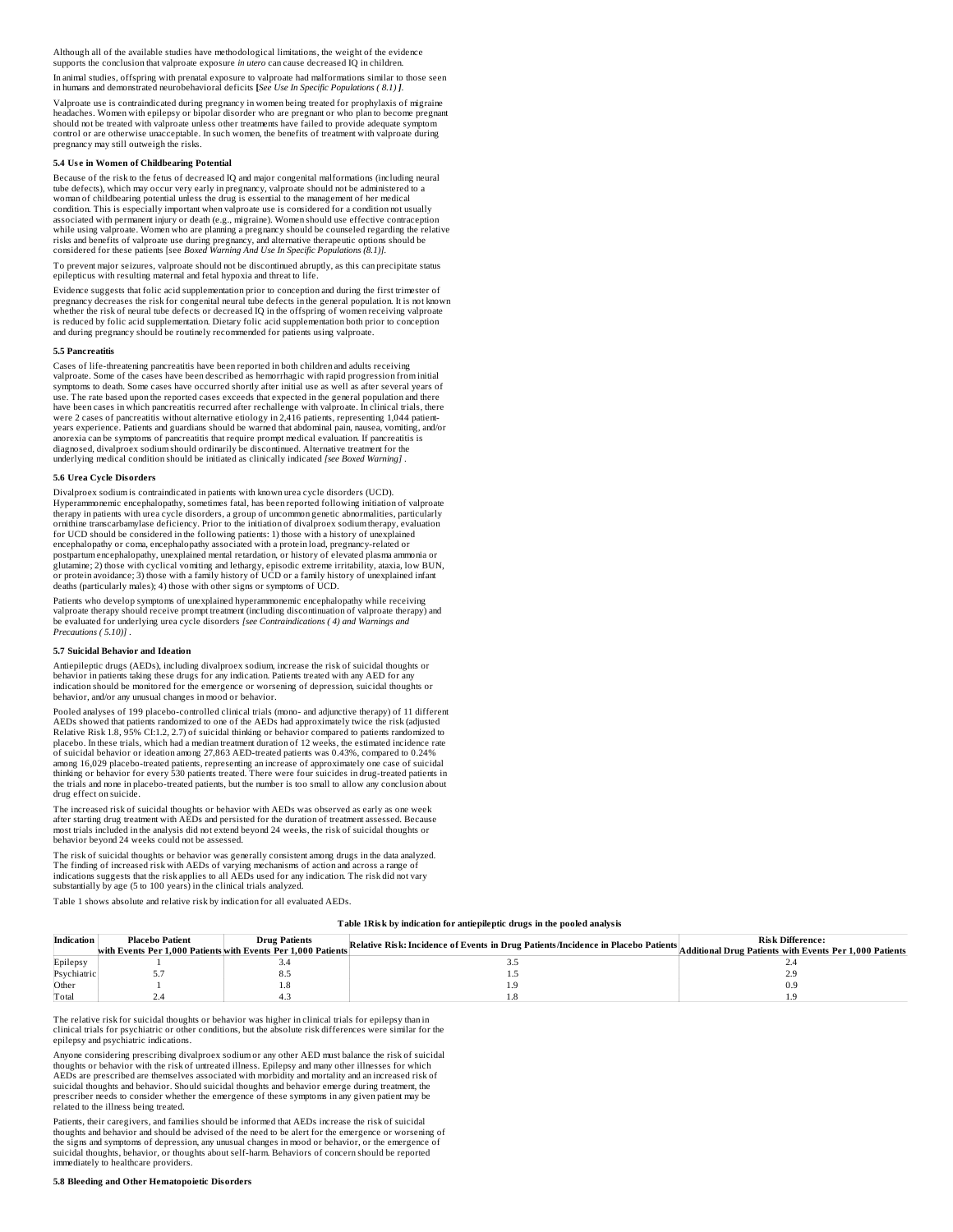Although all of the available studies have methodological limitations, the weight of the evidence supports the conclusion that valproate exposure *in utero* can cause decreased IQ in children.

In animal studies, offspring with prenatal exposure to valproate had malformations similar to those seen in humans and demonstrated neurobehavioral deficits **[***See Use In Specific Populations ( 8.1) ]*.

Valproate use is contraindicated during pregnancy in women being treated for prophylaxis of migraine headaches. Women with epilepsy or bipolar disorder who are pregnant or who plan to become pregnant should not be treated with valproate unless other treatments have failed to provide adequate symptom control or are otherwise unacceptable. In such women, the benefits of treatment with valproate during pregnancy may still outweigh the risks.

### **5.4 Us e in Women of Childbearing Potential**

Because of the risk to the fetus of decreased IQ and major congenital malformations (including neural tube defects), which may occur very early in pregnancy, valproate should not be administered to a<br>woman of childbearing potential unless the drug is essential to the management of her medical<br>condition. This is especially associated with permanent injury or death (e.g., migraine). Women should use effective contraception while using valproate. Women who are planning a pregnancy should be counseled regarding the relative risks and benefits of valproate use during pregnancy, and alternative therapeutic options should be<br>considered for these patients [see *Boxed Warning And Use In Specific Populations (8.1)].* 

To prevent major seizures, valproate should not be discontinued abruptly, as this can precipitate status epilepticus with resulting maternal and fetal hypoxia and threat to life.

Evidence suggests that folic acid supplementation prior to conception and during the first trimester of pregnancy decreases the risk for congenital neural tube defects in the general population. It is not known<br>whether the risk of neural tube defects or decreased IQ in the offspring of women receiving valproate<br>is reduced by and during pregnancy should be routinely recommended for patients using valproate.

### **5.5 Pancreatitis**

Cases of life-threatening pancreatitis have been reported in both children and adults receiving valproate. Some of the cases have been described as hemorrhagic with rapid progression from initial symptoms to death. Some cases have occurred shortly after initial use as well as after several years of use. The rate based upon the reported cases exceeds that expected in the general population and there have been cases in which pancreatitis recurred after rechallenge with valproate. In clinical trials, there were 2 cases of pancreatitis without alternative etiology in 2,416 patients, representing 1,044 patientyears experience. Patients and guardians should be warned that abdominal pain, nausea, vomiting, and/or anorexia can be symptoms of pancreatitis that require prompt medical evaluation. If pancreatitis is diagnosed, divalproex sodium should ordinarily be discontinued. Alternative treatment for the underlying medical condition should be initiated as clinically indicated *[see Boxed Warning]* .

### **5.6 Urea Cycle Disorders**

Divalproex sodium is contraindicated in patients with known urea cycle disorders (UCD). Hyperammonemic encephalopathy, sometimes fatal, has been reported following initiation of valproate therapy in patients with urea cycle disorders, a group of uncommon genetic abnormalities, particularly ornithine transcarbamylase deficiency. Prior to the initiation of divalproex sodium therapy, evaluation for UCD should be considered in the following patients: 1) those with a history of unexplained<br>encephalopathy or coma, encephalopathy associated with a protein load, pregnancy-related or<br>postpartum encephalopathy, unexplai glutamine; 2) those with cyclical vomiting and lethargy, episodic extreme irritability, ataxia, low BUN, or protein avoidance; 3) those with a family history of UCD or a family history of unexplained infant deaths (particularly males); 4) those with other signs or symptoms of UCD.

Patients who develop symptoms of unexplained hyperammonemic encephalopathy while receiving valproate therapy should receive prompt treatment (including discontinuation of valproate therapy) and<br>be evaluated for underlying urea cycle disorders *[see Contraindications ( 4) and Warnings and Precautions ( 5.10)]* .

### **5.7 Suicidal Behavior and Ideation**

Antiepileptic drugs (AEDs), including divalproex sodium, increase the risk of suicidal thoughts or behavior in patients taking these drugs for any indication. Patients treated with any AED for any indication should be monitored for the emergence or worsening of depression, suicidal thoughts or behavior, and/or any unusual changes in mood or behavior.

Pooled analyses of 199 placebo-controlled clinical trials (mono- and adjunctive therapy) of 11 different AEDs showed that patients randomized to one of the AEDs had approximately twice the risk (adjusted<br>Relative Risk 1.8, 95% CI:1.2, 2.7) of suicidal thinking or behavior compared to patients randomized to placebo. In these trials, which had a median treatment duration of 12 weeks, the estimated incidence rate of suicidal behavior or ideation among 27,863 AED-treated patients was 0.43%, compared to 0.24% among 16,029 placebo-treated patients, representing an increase of approximately one case of suicidal thinking or behavior for every 530 patients treated. There were four suicides in drug-treated patients in the trials and none in placebo-treated patients, but the number is too small to allow any conclusion about drug effect on suicide.

The increased risk of suicidal thoughts or behavior with AEDs was observed as early as one week after starting drug treatment with AEDs and persisted for the duration of treatment assessed. Because most trials included in the analysis did not extend beyond 24 weeks, the risk of suicidal thoughts or behavior beyond 24 weeks could not be assessed.

The risk of suicidal thoughts or behavior was generally consistent among drugs in the data analyzed. The finding of increased risk with AEDs of varying mechanisms of action and across a range of indications suggests that the risk applies to all AEDs used for any indication. The risk did not vary substantially by age (5 to 100 years) in the clinical trials analyzed.

Table 1 shows absolute and relative risk by indication for all evaluated AEDs.

**Table 1Risk by indication for antiepileptic drugs in the pooled analysis**

| <b>Indication</b> | Placebo Patient                                               | <b>Drug Patients</b> | Relative Risk: Incidence of Events in Drug Patients/Incidence in Placebo Patients Additional Drug Pati <u>ents with Events Per 1,000 Patients (Additional Drug Patients with Events Per 1,000 Patients).</u> | <b>Risk Difference:</b> |
|-------------------|---------------------------------------------------------------|----------------------|--------------------------------------------------------------------------------------------------------------------------------------------------------------------------------------------------------------|-------------------------|
|                   | with Events Per 1.000 Patients with Events Per 1.000 Patients |                      |                                                                                                                                                                                                              |                         |
| Epilepsy          |                                                               |                      |                                                                                                                                                                                                              |                         |
| Psychiatric       |                                                               | 8.5                  |                                                                                                                                                                                                              | 2.9                     |
| Other             |                                                               |                      |                                                                                                                                                                                                              | 0.9                     |
| Total             |                                                               |                      |                                                                                                                                                                                                              |                         |

The relative risk for suicidal thoughts or behavior was higher in clinical trials for epilepsy than in clinical trials for psychiatric or other conditions, but the absolute risk differences were similar for the epilepsy and psychiatric indications.

Anyone considering prescribing divalproex sodium or any other AED must balance the risk of suicidal thoughts or behavior with the risk of untreated illness. Epilepsy and many other illnesses for which<br>AEDs are prescribed are themselves associated with morbidity and mortality and an increased risk of suicidal thoughts and behavior. Should suicidal thoughts and behavior emerge during treatment, the prescriber needs to consider whether the emergence of these symptoms in any given patient may be related to the illness being treated.

Patients, their caregivers, and families should be informed that AEDs increase the risk of suicidal thoughts and behavior and should be advised of the need to be alert for the emergence or worsening of the signs and symptoms of depression, any unusual changes in mood or behavior, or the emergence of suicidal thoughts, behavior, or thoughts about self-harm. Behaviors of concern should be reported immediately to healthcare providers.

### **5.8 Bleeding and Other Hematopoietic Disorders**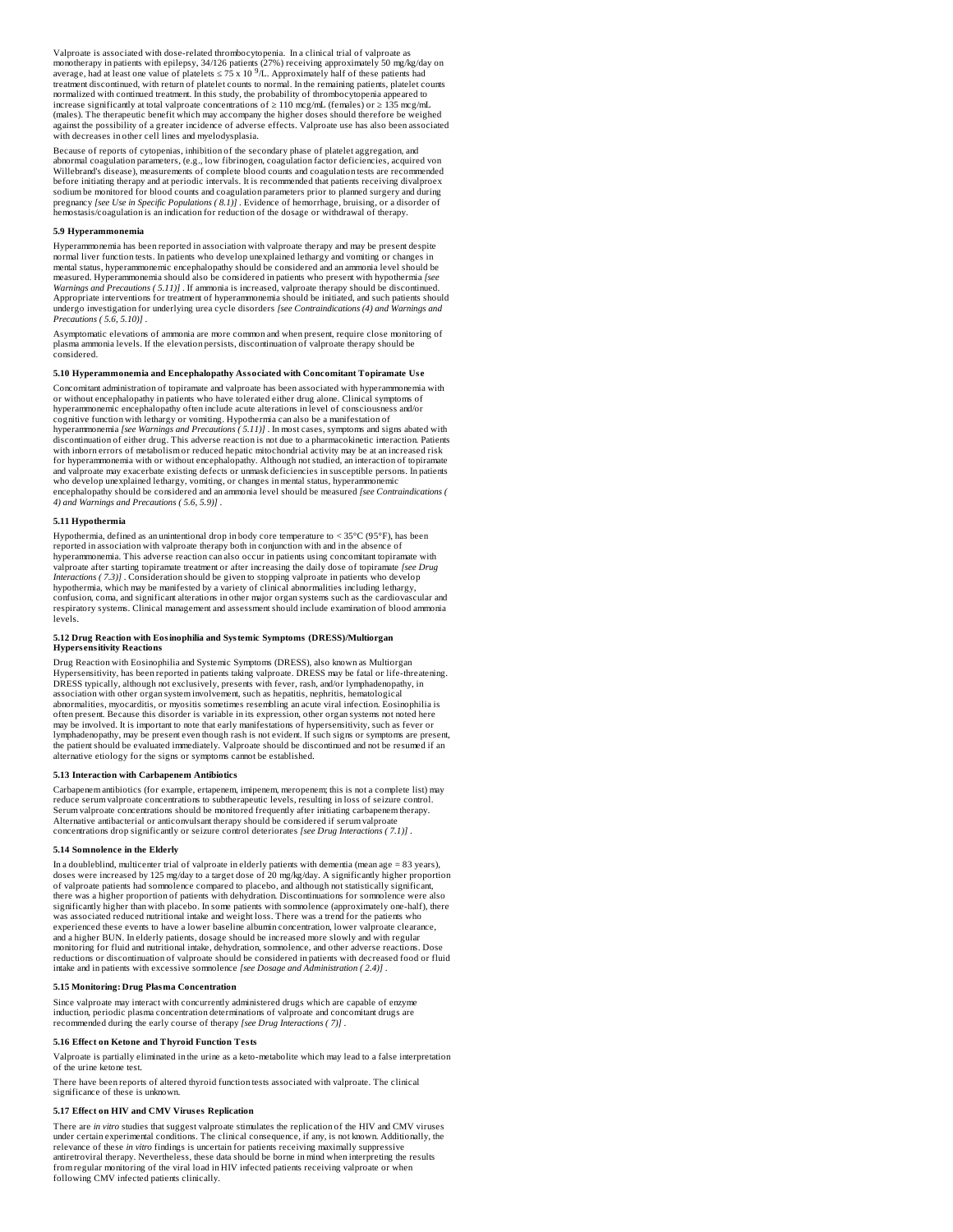Valproate is associated with dose-related thrombocytopenia. In a clinical trial of valproate as monotherapy in patients with epilepsy, 34/126 patients (27%) receiving approximately 50 mg/kg/day on<br>average, had at least one value of platelets ≤ 75 x 10 <sup>9</sup>/L. Approximately half of these patients had treatment discontinued, with return of platelet counts to normal. In the remaining patients, platelet counts<br>normalized with continued treatment. In this study, the probability of thrombocytopenia appeared to<br>increase sig (males). The therapeutic benefit which may accompany the higher doses should therefore be weighed against the possibility of a greater incidence of adverse effects. Valproate use has also been associated with decreases in other cell lines and myelodysplasia.

Because of reports of cytopenias, inhibition of the secondary phase of platelet aggregation, and abnormal coagulation parameters, (e.g., low fibrinogen, coagulation factor deficiencies, acquired von<br>Willebrand's disease), measurements of complete blood counts and coagulation tests are recommended<br>before initiating the sodium be monitored for blood counts and coagulation parameters prior to planned surgery and during<br>pregnancy *[see Use in Specific Populations ( 8.1)] .* Evidence of hemorrhage, bruising, or a disorder of hemostasis/coagulation is an indication for reduction of the dosage or withdrawal of therapy.

### **5.9 Hyperammonemia**

Hyperammonemia has been reported in association with valproate therapy and may be present despite normal liver function tests. In patients who develop unexplained lethargy and vomiting or changes in<br>mental status, hyperammonemic encephalopathy should be considered and an ammonia level should be measured. Hyperammonemia should also be considered in patients who present with hypothermia *[see*<br>Warnings and Precautions ( 5.11)] . If ammonia is increased, valproate therapy should be discontinued. Appropriate interventions for treatment of hyperammonemia should be initiated, and such patients should<br>undergo investigation for underlying urea cycle disorders *[see Contraindications (4) and Warnings and Precautions ( 5.6, 5.10)]* .

Asymptomatic elevations of ammonia are more common and when present, require close monitoring of plasma ammonia levels. If the elevation persists, discontinuation of valproate therapy should be considered.

# **5.10 Hyperammonemia and Encephalopathy Associated with Concomitant Topiramate Us e**

Concomitant administration of topiramate and valproate has been associated with hyperammonemia with or without encephalopathy in patients who have tolerated either drug alone. Clinical symptoms of hyperammonemic encephalopathy often include acute alterations in level of consciousness and/or cognitive function with lethargy or vomiting. Hypothermia can also be a manifestation of hyperammonemia *[see Warnings and Precautions ( 5.11)] .* In most cases, symptoms and signs abated with<br>discontinuation of either drug. This adverse reaction is not due to a pharmacokinetic interaction. Patients with inborn errors of metabolism or reduced hepatic mitochondrial activity may be at an increased risk for hyperammonemia with or without encephalopathy. Although not studied, an interaction of topiramate and valproate may exacerbate existing defects or unmask deficiencies in susceptible persons. In patients who develop unexplained lethargy, vomiting, or changes in mental status, hyperammonemic encephalopathy should be considered and an ammonia level should be measured *[see Contraindications ( 4) and Warnings and Precautions ( 5.6, 5.9)]* .

### **5.11 Hypothermia**

Hypothermia, defined as an unintentional drop in body core temperature to < 35°C (95°F), has been reported in association with valproate therapy both in conjunction with and in the absence of hyperammonemia. This adverse reaction can also occur in patients using concomitant topiramate with valproate after starting topiramate treatment or after increasing the daily dose of topiramate *[see Drug Interactions ( 7.3)]* . Consideration should be given to stopping valproate in patients who develop hypothermia, which may be manifested by a variety of clinical abnormalities including lethargy, confusion, coma, and significant alterations in other major organ systems such as the cardiovascular and respiratory systems. Clinical management and assessment should include examination of blood ammonia levels.

### **5.12 Drug Reaction with Eosinophilia and Systemic Symptoms (DRESS)/Multiorgan Hypers ensitivity Reactions**

Drug Reaction with Eosinophilia and Systemic Symptoms (DRESS), also known as Multiorgan Hypersensitivity, has been reported in patients taking valproate. DRESS may be fatal or life-threatening. DRESS typically, although not exclusively, presents with fever, rash, and/or lymphadenopathy, in association with other organ system involvement, such as hepatitis, nephritis, hematological abnormalities, myocarditis, or myositis sometimes resembling an acute viral infection. Eosinophilia is often present. Because this disorder is variable in its expression, other organ systems not noted here may be involved. It is important to note that early manifestations of hypersensitivity, such as fever or lymphadenopathy, may be present even though rash is not evident. If such signs or symptoms are present, the patient should be evaluated immediately. Valproate should be discontinued and not be resumed if an alternative etiology for the signs or symptoms cannot be established.

### **5.13 Interaction with Carbapenem Antibiotics**

Carbapenem antibiotics (for example, ertapenem, imipenem, meropenem; this is not a complete list) may reduce serum valproate concentrations to subtherapeutic levels, resulting in loss of seizure control. Serum valproate concentrations should be monitored frequently after initiating carbapenem therapy. Alternative antibacterial or anticonvulsant therapy should be considered if serum valproate concentrations drop significantly or seizure control deteriorates *[see Drug Interactions ( 7.1)]* .

### **5.14 Somnolence in the Elderly**

In a doubleblind, multicenter trial of valproate in elderly patients with dementia (mean age = 83 years), doses were increased by 125 mg/day to a target dose of 20 mg/kg/day. A significantly higher proportion of valproate patients had somnolence compared to placebo, and although not statistically significant, there was a higher proportion of patients with dehydration. Discontinuations for somnolence were also significantly higher than with placebo. In some patients with somnolence (approximately one-half), there was associated reduced nutritional intake and weight loss. There was a trend for the patients who experienced these events to have a lower baseline albumin concentration, lower valproate clearance, and a higher BUN. In elderly patients, dosage should be increased more slowly and with regular monitoring for fluid and nutritional intake, dehydration, somnolence, and other adverse reactions. Dose reductions or discontinuation of valproate should be considered in patients with decreased food or fluid intake and in patients with excessive somnolence *[see Dosage and Administration ( 2.4)]* .

#### **5.15 Monitoring: Drug Plasma Concentration**

Since valproate may interact with concurrently administered drugs which are capable of enzyme induction, periodic plasma concentration determinations of valproate and concomitant drugs are recommended during the early course of therapy *[see Drug Interactions ( 7)]* .

### **5.16 Effect on Ketone and Thyroid Function Tests**

Valproate is partially eliminated in the urine as a keto-metabolite which may lead to a false interpretation of the urine ketone test.

There have been reports of altered thyroid function tests associated with valproate. The clinical significance of these is unknown.

### **5.17 Effect on HIV and CMV Virus es Replication**

There are *in vitro* studies that suggest valproate stimulates the replication of the HIV and CMV viruses under certain experimental conditions. The clinical consequence, if any, is not known. Additionally, the relevance of these *in vitro* findings is uncertain for patients receiving maximally suppressive antiretroviral therapy. Nevertheless, these data should be borne in mind when interpreting the results from regular monitoring of the viral load in HIV infected patients receiving valproate or when following CMV infected patients clinically.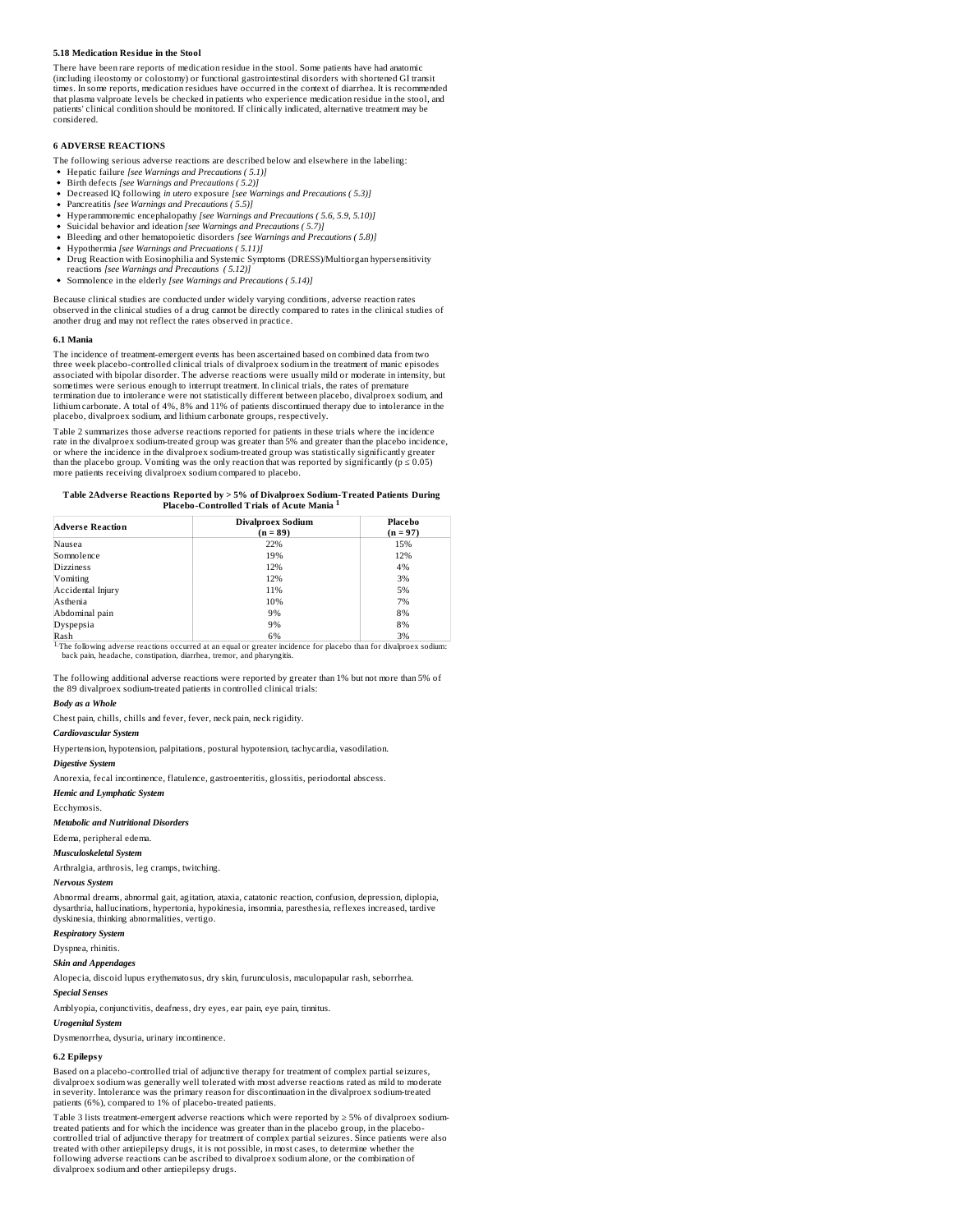# **5.18 Medication Residue in the Stool**

There have been rare reports of medication residue in the stool. Some patients have had anatomic (including ileostomy or colostomy) or functional gastrointestinal disorders with shortened GI transit times. In some reports, medication residues have occurred in the context of diarrhea. It is recommended that plasma valproate levels be checked in patients who experience medication residue in the stool, and patients' clinical condition should be monitored. If clinically indicated, alternative treatment may be considered.

# **6 ADVERSE REACTIONS**

The following serious adverse reactions are described below and elsewhere in the labeling:

- Hepatic failure *[see Warnings and Precautions ( 5.1)]* Birth defects *[see Warnings and Precautions ( 5.2)]*
- Decreased IQ following *in utero* exposure *[see Warnings and Precautions ( 5.3)]*
- 
- Pancreatitis *[see Warnings and Precautions ( 5.5)]*<br>Hyperammonemic encephalopathy *[see Warnings and Precautions ( 5.6*, *5.9, 5.10)]*
- Suicidal behavior and ideation *[see Warnings and Precautions ( 5.7)]*
- Bleeding and other hematopoietic disorders *[see Warnings and Precautions ( 5.8)]* Hypothermia *[see Warnings and Precuations ( 5.11)]*
- Drug Reaction with Eosinophilia and Systemic Symptoms (DRESS)/Multiorgan hypersensitivity
- reactions *[see Warnings and Precautions ( 5.12)]* Somnolence in the elderly *[see Warnings and Precautions ( 5.14)]*

Because clinical studies are conducted under widely varying conditions, adverse reaction rates observed in the clinical studies of a drug cannot be directly compared to rates in the clinical studies of another drug and may not reflect the rates observed in practice.

### **6.1 Mania**

The incidence of treatment-emergent events has been ascertained based on combined data from two<br>three week placebo-controlled clinical trials of divalproex sodium in the treatment of manic episodes<br>associated with bipolar sometimes were serious enough to interrupt treatment. In clinical trials, the rates of premature termination due to intolerance were not statistically different between placebo, divalproex sodium, and lithium carbonate. A total of 4%, 8% and 11% of patients discontinued therapy due to intolerance in the placebo, divalproex sodium, and lithium carbonate groups, respectively.

Table 2 summarizes those adverse reactions reported for patients in these trials where the incidence rate in the divalproex sodium-treated group was greater than 5% and greater than the placebo incidence, or where the incidence in the divalproex sodium-treated group was statistically significantly greater than the placebo group. Vomiting was the only reaction that was reported by significantly (p ≤ 0.05)<br>more patients receiving divalproex sodium compared to placebo.

# Table 2Adverse Reactions Reported by > 5% of Divalproex Sodium-Treated Patients During<br>Placebo-Controlled Trials of Acute Mania <sup>1</sup>

| Adverse Reaction  | <b>Divalproex Sodium</b><br>$(n = 89)$ | Placebo<br>$(n = 97)$ |
|-------------------|----------------------------------------|-----------------------|
| Nausea            | 22%                                    | 15%                   |
| Somnolence        | 19%                                    | 12%                   |
| <b>Dizziness</b>  | 12%                                    | 4%                    |
| Vomiting          | 12%                                    | 3%                    |
| Accidental Injury | 11%                                    | 5%                    |
| Asthenia          | 10%                                    | 7%                    |
| Abdominal pain    | 9%                                     | 8%                    |
| Dyspepsia         | 9%                                     | 8%                    |
| Rash              | 6%                                     | 3%                    |

<sup>1.</sup> The following adverse reactions occurred at an equal or greater incidence for placebo than for divalproex sodium:<br>back pain, headache, constipation, diarrhea, tremor, and pharyngitis.

The following additional adverse reactions were reported by greater than 1% but not more than 5% of the 89 divalproex sodium-treated patients in controlled clinical trials:

# *Body as a Whole*

Chest pain, chills, chills and fever, fever, neck pain, neck rigidity.

### *Cardiovascular System*

Hypertension, hypotension, palpitations, postural hypotension, tachycardia, vasodilation.

### *Digestive System*

Anorexia, fecal incontinence, flatulence, gastroenteritis, glossitis, periodontal abscess.

*Hemic and Lymphatic System*

### Ecchymosis.

*Metabolic and Nutritional Disorders*

# Edema, peripheral edema.

*Musculoskeletal System*

Arthralgia, arthrosis, leg cramps, twitching.

### *Nervous System*

Abnormal dreams, abnormal gait, agitation, ataxia, catatonic reaction, confusion, depression, diplopia, dysarthria, hallucinations, hypertonia, hypokinesia, insomnia, paresthesia, reflexes increased, tardive dyskinesia, thinking abnormalities, vertigo.

*Respiratory System*

# Dyspnea, rhinitis.

*Skin and Appendages*

Alopecia, discoid lupus erythematosus, dry skin, furunculosis, maculopapular rash, seborrhea.

# *Special Senses*

Amblyopia, conjunctivitis, deafness, dry eyes, ear pain, eye pain, tinnitus.

# *Urogenital System*

Dysmenorrhea, dysuria, urinary incontinence.

# **6.2 Epilepsy**

Based on a placebo-controlled trial of adjunctive therapy for treatment of complex partial seizures, divalproex sodium was generally well tolerated with most adverse reactions rated as mild to moderate in severity. Intolerance was the primary reason for discontinuation in the divalproex sodium-treated patients (6%), compared to 1% of placebo-treated patients.

Table 3 lists treatment-emergent adverse reactions which were reported by ≥ 5% of divalproex sodiumtreated patients and for which the incidence was greater than in the placebo group, in the placebo-controlled trial of adjunctive therapy for treatment of complex partial seizures. Since patients were also treated with other antiepilepsy drugs, it is not possible, in most cases, to determine whether the following adverse reactions can be ascribed to divalproex sodium alone, or the combination of divalproex sodium and other antiepilepsy drugs.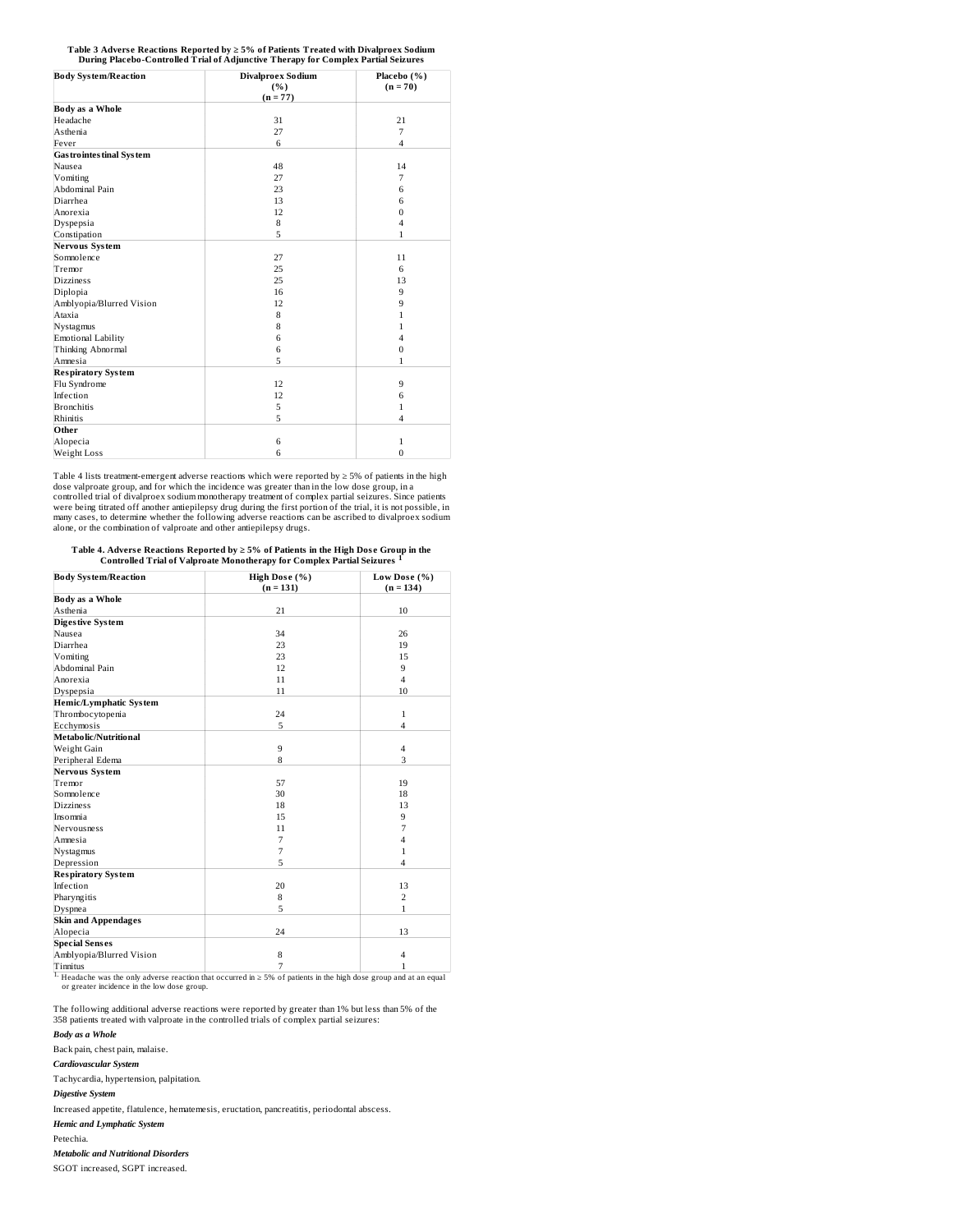**Table 3 Advers e Reactions Reported by ≥ 5% ofPatients Treated with Divalproex Sodium During Placebo-Controlled Trial of Adjunctive Therapy for Complex Partial Seizures**

| <b>Body System/Reaction</b>      | <b>Divalproex Sodium</b><br>(%)<br>$(n = 77)$ | Placebo (%)<br>$(n = 70)$ |
|----------------------------------|-----------------------------------------------|---------------------------|
| <b>Body as a Whole</b>           |                                               |                           |
| Headache                         | 31                                            | 21                        |
| Asthenia                         | 27                                            | 7                         |
| Fever                            | 6                                             | 4                         |
| <b>Gas trointes tinal System</b> |                                               |                           |
| Nausea                           | 48                                            | 14                        |
| Vomiting                         | 27                                            | 7                         |
| Abdominal Pain                   | 23                                            | 6                         |
| Diarrhea                         | 13                                            | 6                         |
| Anorexia                         | 12                                            | $\Omega$                  |
| Dyspepsia                        | 8                                             | $\overline{4}$            |
| Constipation                     | 5                                             | 1                         |
| <b>Nervous System</b>            |                                               |                           |
| Somnolence                       | 27                                            | 11                        |
| Tremor                           | 25                                            | 6                         |
| <b>Dizziness</b>                 | 25                                            | 13                        |
| Diplopia                         | 16                                            | 9                         |
| Amblyopia/Blurred Vision         | 12                                            | 9                         |
| Ataxia                           | 8                                             | 1                         |
| Nystagmus                        | 8                                             | 1                         |
| <b>Emotional Lability</b>        | 6                                             | $\overline{\mathbf{4}}$   |
| Thinking Abnormal                | 6                                             | $\Omega$                  |
| Amnesia                          | 5                                             | 1                         |
| <b>Respiratory System</b>        |                                               |                           |
| Flu Syndrome                     | 12                                            | 9                         |
| Infection                        | 12                                            | 6                         |
| <b>Bronchitis</b>                | 5                                             | 1                         |
| Rhinitis                         | 5                                             | 4                         |
| Other                            |                                               |                           |
| Alopecia                         | 6                                             | 1                         |
| Weight Loss                      | 6                                             | $\bf{0}$                  |

Table 4 lists treatment-emergent adverse reactions which were reported by ≥ 5% of patients in the high dose valproate group, and for which the incidence was greater than in the low dose group, in a<br>controlled trial of divalproex sodium monotherapy treatment of complex partial seizures. Since patients<br>were being titrated off alone, or the combination of valproate and other antiepilepsy drugs.

Table 4. Adverse Reactions Reported by  $\geq 5\%$  of Patients in the High Dose Group in the Controlled Trial of Valproate Monotherapy for Complex Partial Seizures  $^1$ 

| <b>Body System/Reaction</b>        | High Dose (%) | Low Dose (%)            |
|------------------------------------|---------------|-------------------------|
|                                    | $(n = 131)$   | $(n = 134)$             |
| <b>Body as a Whole</b><br>Asthenia |               |                         |
|                                    | 21            | 10                      |
| <b>Digestive System</b>            |               |                         |
| Nausea                             | 34            | 26                      |
| Diarrhea                           | 23            | 19                      |
| Vomiting                           | 23            | 15                      |
| Abdominal Pain                     | 12            | 9                       |
| Anorexia                           | 11            | $\overline{4}$          |
| Dyspepsia                          | 11            | 10                      |
| <b>Hemic/Lymphatic System</b>      |               |                         |
| Thrombocytopenia                   | 24            | $\mathbf{1}$            |
| Ecchymosis                         | 5             | $\overline{4}$          |
| Metabolic/Nutritional              |               |                         |
| Weight Gain                        | 9             | $\overline{4}$          |
| Peripheral Edema                   | 8             | 3                       |
| Nervous System                     |               |                         |
| Tremor                             | 57            | 19                      |
| Somnolence                         | 30            | 18                      |
| <b>Dizziness</b>                   | 18            | 13                      |
| Insomnia                           | 15            | 9                       |
| <b>Nervousness</b>                 | 11            | 7                       |
| Amnesia                            | 7             | $\overline{\mathbf{4}}$ |
| <b>Nystagmus</b>                   | 7             | $\mathbf{1}$            |
| Depression                         | 5             | 4                       |
| <b>Respiratory System</b>          |               |                         |
| Infection                          | 20            | 13                      |
| Pharyngitis                        | 8             | $\overline{2}$          |
| Dyspnea                            | 5             | $\mathbf 1$             |
| <b>Skin and Appendages</b>         |               |                         |
| Alopecia                           | 24            | 13                      |
| <b>Special Senses</b>              |               |                         |
| Amblyopia/Blurred Vision           | 8             | $\overline{4}$          |
| Tinnitus                           | 7             | 1                       |

Headache was the only adverse reaction that occurred in ≥ 5% of patients in the high dose group and at an equal or greater incidence in the low dose group.  $\frac{1}{1}$ . Haadache was the only adverse reaction that occurred in  $>$  5% of patients in the high dose group and at

The following additional adverse reactions were reported by greater than 1% but less than 5% of the 358 patients treated with valproate in the controlled trials of complex partial seizures:

*Body as a Whole*

Back pain, chest pain, malaise.

*Cardiovascular System*

Tachycardia, hypertension, palpitation.

*Digestive System*

Increased appetite, flatulence, hematemesis, eructation, pancreatitis, periodontal abscess.

*Hemic and Lymphatic System*

Petechia.

*Metabolic and Nutritional Disorders*

SGOT increased, SGPT increased.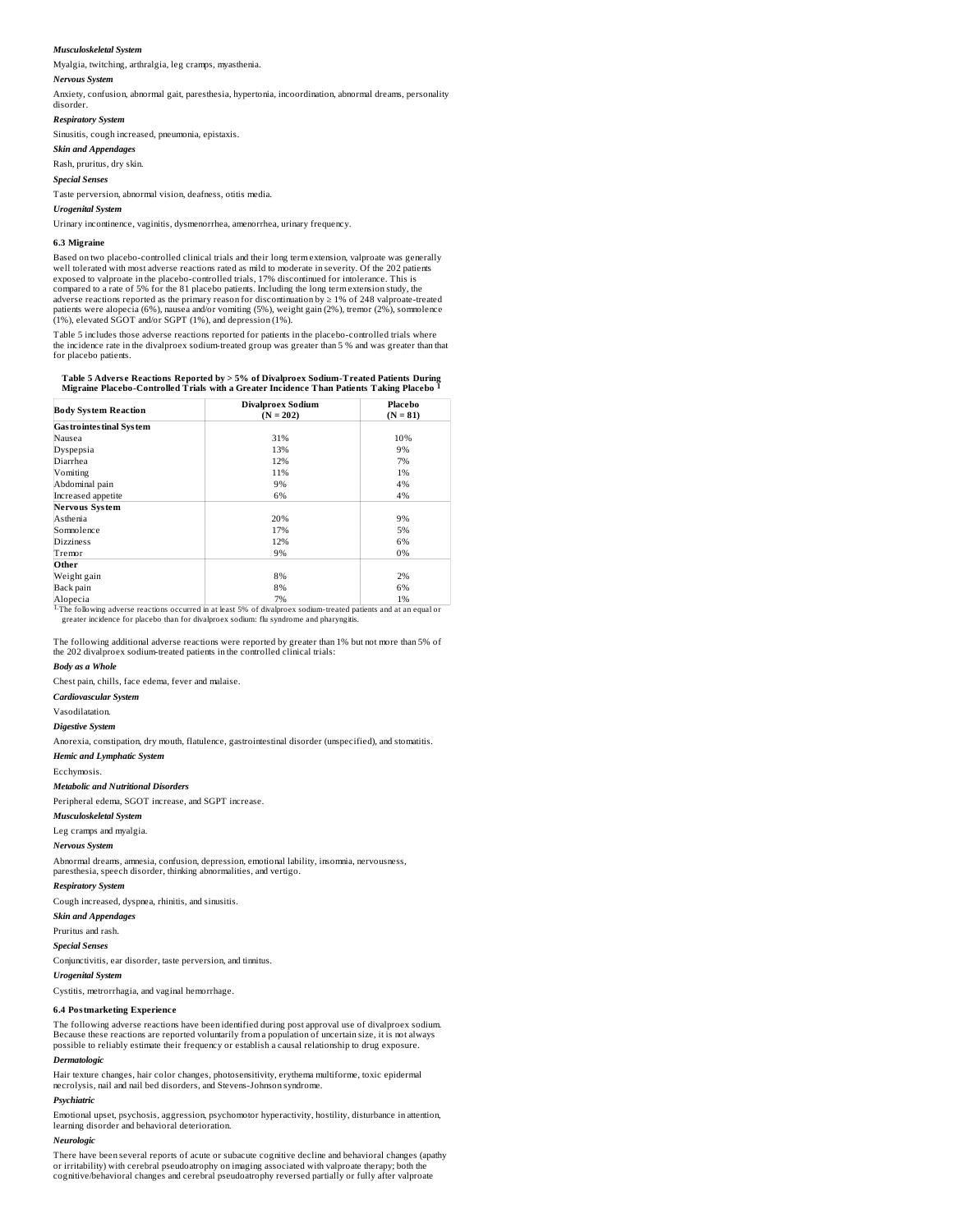# *Musculoskeletal System*

Myalgia, twitching, arthralgia, leg cramps, myasthenia.

### *Nervous System*

Anxiety, confusion, abnormal gait, paresthesia, hypertonia, incoordination, abnormal dreams, personality disorder.

*Respiratory System*

Sinusitis, cough increased, pneumonia, epistaxis.

*Skin and Appendages*

Rash, pruritus, dry skin.

# *Special Senses*

Taste perversion, abnormal vision, deafness, otitis media.

# *Urogenital System*

Urinary incontinence, vaginitis, dysmenorrhea, amenorrhea, urinary frequency.

# **6.3 Migraine**

Based on two placebo-controlled clinical trials and their long term extension, valproate was generally well tolerated with most adverse reactions rated as mild to moderate in severity. Of the 202 patients exposed to valproate in the placebo-controlled trials, 17% discontinued for intolerance. This is compared to a rate of 5% for the 81 placebo patients. Including the long term extension study, the adverse reactions reported as the primary reason for discontinuation by ≥ 1% of 248 valproate-treated patients were alopecia (6%), nausea and/or vomiting (5%), weight gain (2%), tremor (2%), somnolence (1%), elevated SGOT and/or SGPT (1%), and depression (1%).

Table 5 includes those adverse reactions reported for patients in the placebo-controlled trials where the incidence rate in the divalproex sodium-treated group was greater than 5 % and was greater than that for placebo patients.

#### **Table 5 Advers e Reactions Reported by > 5% ofDivalproex Sodium-Treated Patients During 1 Migraine Placebo-Controlled Trials with a Greater Incidence Than Patients Taking Placebo**

| <b>Body System Reaction</b>      | <b>Divalproex Sodium</b><br>$(N = 202)$ | Placebo<br>$(N = 81)$ |
|----------------------------------|-----------------------------------------|-----------------------|
| <b>Gas trointes tinal System</b> |                                         |                       |
| Nausea                           | 31%                                     | 10%                   |
| Dyspepsia                        | 13%                                     | 9%                    |
| Diarrhea                         | 12%                                     | 7%                    |
| Vomiting                         | 11%                                     | 1%                    |
| Abdominal pain                   | 9%                                      | 4%                    |
| Increased appetite               | 6%                                      | 4%                    |
| <b>Nervous System</b>            |                                         |                       |
| Asthenia                         | 20%                                     | 9%                    |
| Somnolence                       | 17%                                     | 5%                    |
| <b>Dizziness</b>                 | 12%                                     | 6%                    |
| Tremor                           | 9%                                      | 0%                    |
| Other                            |                                         |                       |
| Weight gain                      | 8%                                      | 2%                    |
| Back pain                        | 8%                                      | 6%                    |
| Alopecia                         | 7%                                      | 1%                    |

<sup>1.</sup> The following adverse reactions occurred in at least 5% of divalproex sodium-treated patients and at an equal or greater incidence for placebo than for divalproex sodium: flu syndrome and pharyngitis.

The following additional adverse reactions were reported by greater than 1% but not more than 5% of the 202 divalproex sodium-treated patients in the controlled clinical trials:

# *Body as a Whole*

Chest pain, chills, face edema, fever and malaise.

# *Cardiovascular System*

Vasodilatation.

### *Digestive System*

Anorexia, constipation, dry mouth, flatulence, gastrointestinal disorder (unspecified), and stomatitis.

*Hemic and Lymphatic System*

### Ecchymosis.

*Metabolic and Nutritional Disorders*

Peripheral edema, SGOT increase, and SGPT increase.

### *Musculoskeletal System*

Leg cramps and myalgia.

# *Nervous System*

Abnormal dreams, amnesia, confusion, depression, emotional lability, insomnia, nervousness, paresthesia, speech disorder, thinking abnormalities, and vertigo.

# *Respiratory System*

Cough increased, dyspnea, rhinitis, and sinusitis.

*Skin and Appendages*

Pruritus and rash. *Special Senses*

Conjunctivitis, ear disorder, taste perversion, and tinnitus.

# *Urogenital System*

Cystitis, metrorrhagia, and vaginal hemorrhage.

# **6.4 Postmarketing Experience**

The following adverse reactions have been identified during post approval use of divalproex sodium.<br>Because these reactions are reported voluntarily from a population of uncertain size, it is not always<br>possible to reliabl

# *Dermatologic*

Hair texture changes, hair color changes, photosensitivity, erythema multiforme, toxic epidermal necrolysis, nail and nail bed disorders, and Stevens-Johnson syndrome.

### *Psychiatric*

Emotional upset, psychosis, aggression, psychomotor hyperactivity, hostility, disturbance in attention, learning disorder and behavioral deterioration.

### *Neurologic*

There have been several reports of acute or subacute cognitive decline and behavioral changes (apathy or irritability) with cerebral pseudoatrophy on imaging associated with valproate therapy; both the cognitive/behavioral changes and cerebral pseudoatrophy reversed partially or fully after valproate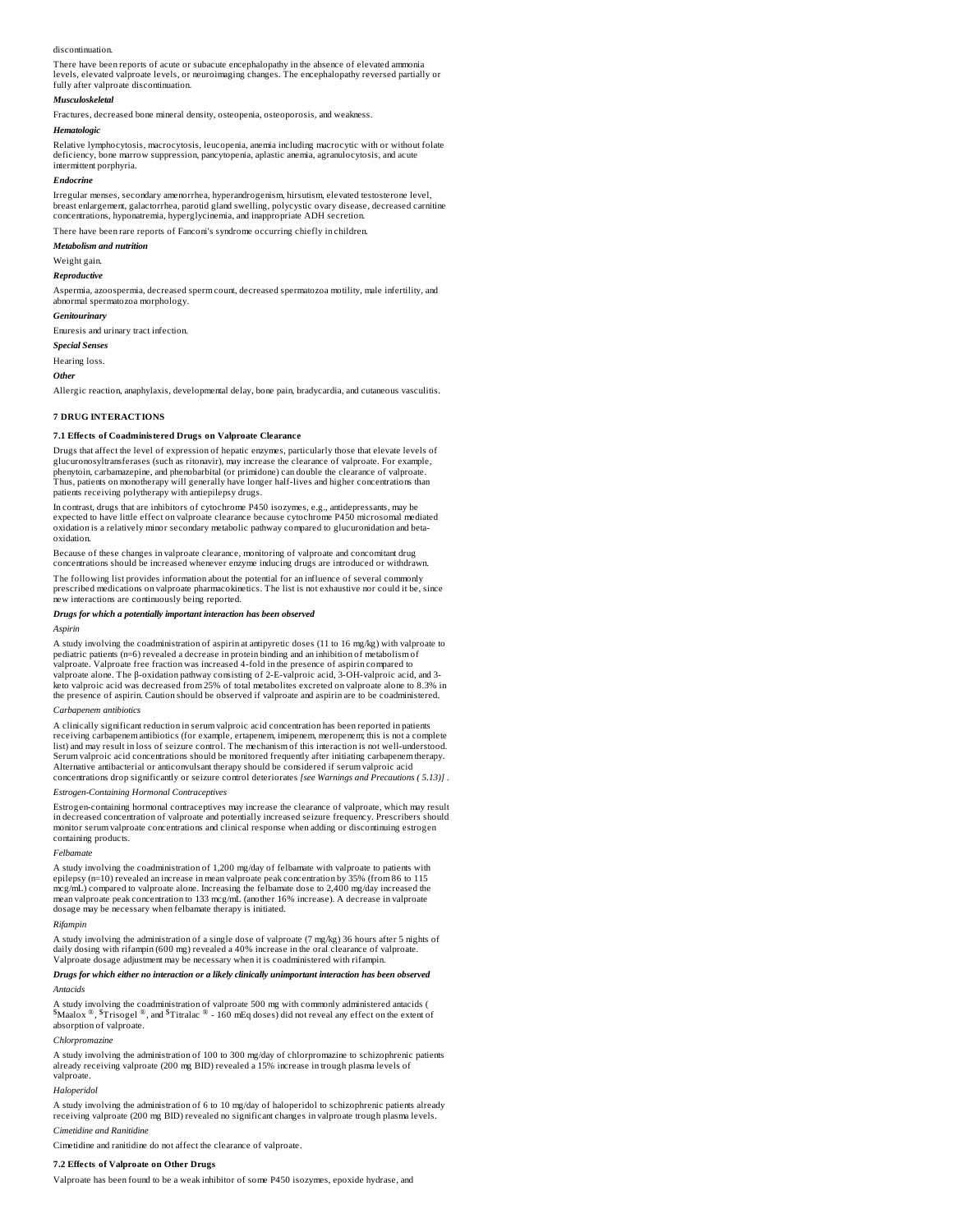### discontinuation.

There have been reports of acute or subacute encephalopathy in the absence of elevated ammonia levels, elevated valproate levels, or neuroimaging changes. The encephalopathy reversed partially or fully after valproate discontinuation.

#### *Musculoskeletal*

Fractures, decreased bone mineral density, osteopenia, osteoporosis, and weakness.

### *Hematologic*

Relative lymphocytosis, macrocytosis, leucopenia, anemia including macrocytic with or without folate deficiency, bone marrow suppression, pancytopenia, aplastic anemia, agranulocytosis, and acute intermittent porphyria.

### *Endocrine*

Irregular menses, secondary amenorrhea, hyperandrogenism, hirsutism, elevated testosterone level, breast enlargement, galactorrhea, parotid gland swelling, polycystic ovary disease, decreased carnitine concentrations, hyponatremia, hyperglycinemia, and inappropriate ADH secretion.

There have been rare reports of Fanconi's syndrome occurring chiefly in children.

# *Metabolism and nutrition*

Weight gain.

# *Reproductive*

Aspermia, azoospermia, decreased sperm count, decreased spermatozoa motility, male infertility, and abnormal spermatozoa morphology.

*Genitourinary*

Enuresis and urinary tract infection.

*Special Senses*

# Hearing loss.

*Other*

Allergic reaction, anaphylaxis, developmental delay, bone pain, bradycardia, and cutaneous vasculitis.

### **7 DRUG INTERACTIONS**

# **7.1 Effects of Coadministered Drugs on Valproate Clearance**

Drugs that affect the level of expression of hepatic enzymes, particularly those that elevate levels of glucuronosyltransferases (such as ritonavir), may increase the clearance of valproate. For example, phenytoin, carbamazepine, and phenobarbital (or primidone) can double the clearance of valproate. Thus, patients on monotherapy will generally have longer half-lives and higher concentrations than patients receiving polytherapy with antiepilepsy drugs.

In contrast, drugs that are inhibitors of cytochrome P450 isozymes, e.g., antidepressants, may be expected to have little effect on valproate clearance because cytochrome P450 microsomal mediated oxidation is a relatively minor secondary metabolic pathway compared to glucuronidation and betaoxidation.

Because of these changes in valproate clearance, monitoring of valproate and concomitant drug concentrations should be increased whenever enzyme inducing drugs are introduced or withdrawn. The following list provides information about the potential for an influence of several commonly prescribed medications on valproate pharmacokinetics. The list is not exhaustive nor could it be, since new interactions are continuously being reported.

# *Drugs for which a potentially important interaction has been observed*

# *Aspirin*

A study involving the coadministration of aspirin at antipyretic doses (11 to 16 mg/kg) with valproate to pediatric patients (n=6) revealed a decrease in protein binding and an inhibition of metabolism of valproate. Valproate free fraction was increased 4-fold in the presence of aspirin compared to valproate alone. The β-oxidation pathway consisting of 2-E-valproic acid, 3-OH-valproic acid, and 3 keto valproic acid was decreased from 25% of total metabolites excreted on valproate alone to 8.3% in the presence of aspirin. Caution should be observed if valproate and aspirin are to be coadministered.

# *Carbapenem antibiotics*

A clinically significant reduction in serum valproic acid concentration has been reported in patients receiving carbapenem antibiotics (for example, ertapenem, imipenem, meropenem; this is not a complete list) and may result in loss of seizure control. The mechanism of this interaction is not well-understood. Serum valproic acid concentrations should be monitored frequently after initiating carbapenem therapy. Alternative antibacterial or anticonvulsant therapy should be considered if serum valproic acid concentrations drop significantly or seizure control deteriorates *[see Warnings and Precautions ( 5.13)]* .

# *Estrogen-Containing Hormonal Contraceptives*

Estrogen-containing hormonal contraceptives may increase the clearance of valproate, which may result in decreased concentration of valproate and potentially increased seizure frequency. Prescribers should monitor serum valproate concentrations and clinical response when adding or discontinuing estrogen containing products.

# *Felbamate*

A study involving the coadministration of 1,200 mg/day of felbamate with valproate to patients with<br>epilepsy (n=10) revealed an increase in mean valproate peak concentration by 35% (from 86 to 115<br>mcg/mL) compared to valpr mean valproate peak concentration to 133 mcg/mL (another 16% increase). A decrease in valproate dosage may be necessary when felbamate therapy is initiated.

# *Rifampin*

A study involving the administration of a single dose of valproate (7 mg/kg) 36 hours after 5 nights of daily dosing with rifampin (600 mg) revealed a 40% increase in the oral clearance of valproate. Valproate dosage adjustment may be necessary when it is coadministered with rifampin.

# *Drugs for which either no interaction or a likely clinically unimportant interaction has been observed Antacids*

A study involving the coadministration of valproate 500 mg with commonly administered antacids (<br><sup>\$</sup>Maalox ®, <sup>\$</sup>Trisogel ®, and <sup>\$</sup>Titralac ® - 160 mEq doses) did not reveal any effect on the extent of absorption of valproate.

### *Chlorpromazine*

A study involving the administration of 100 to 300 mg/day of chlorpromazine to schizophrenic patients already receiving valproate (200 mg BID) revealed a 15% increase in trough plasma levels of valproate.

### *Haloperidol*

A study involving the administration of 6 to 10 mg/day of haloperidol to schizophrenic patients already receiving valproate (200 mg BID) revealed no significant changes in valproate trough plasma levels. *Cimetidine and Ranitidine*

Cimetidine and ranitidine do not affect the clearance of valproate.

# **7.2 Effects of Valproate on Other Drugs**

Valproate has been found to be a weak inhibitor of some P450 isozymes, epoxide hydrase, and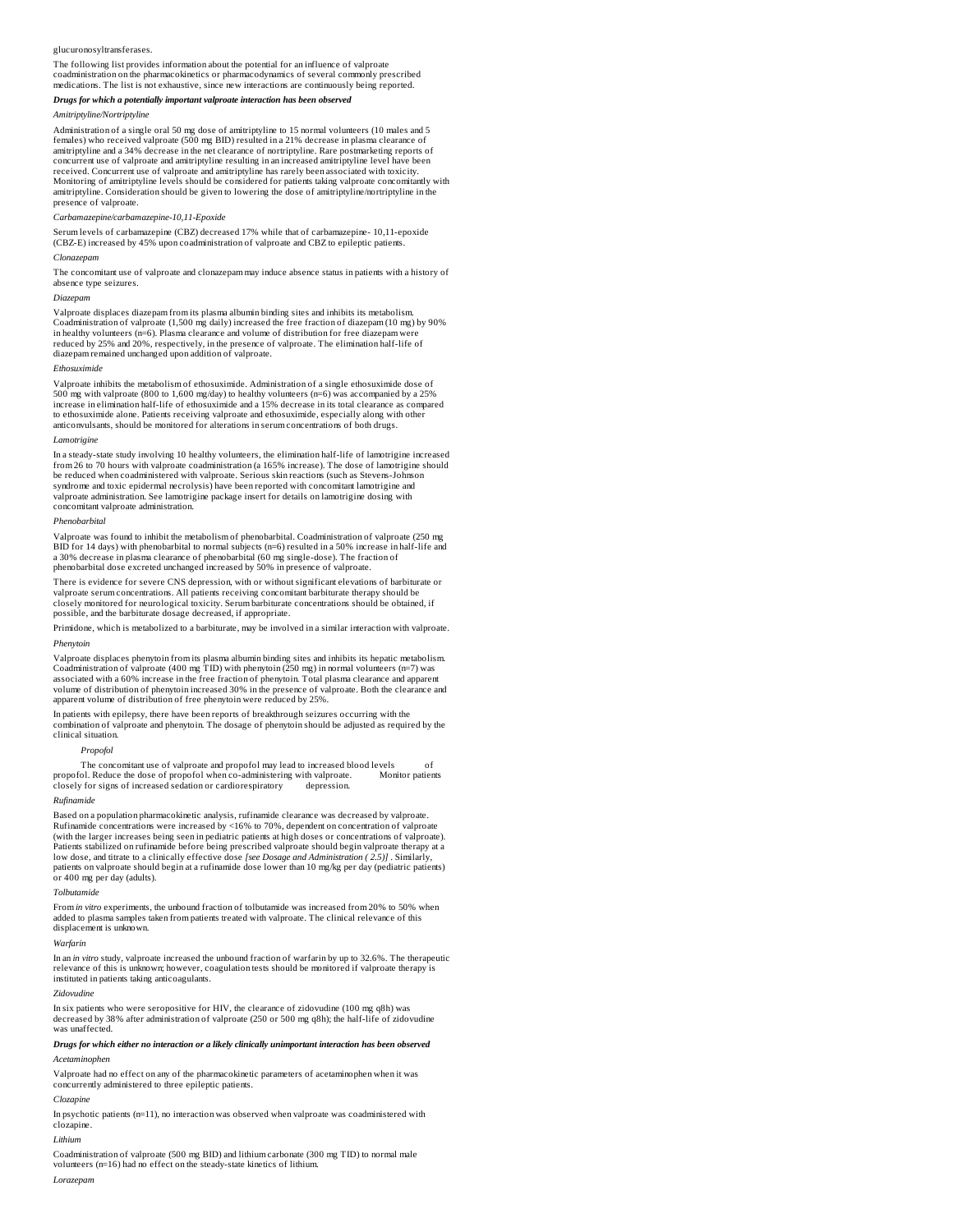### glucuronosyltransferases.

The following list provides information about the potential for an influence of valproate coadministration on the pharmacokinetics or pharmacodynamics of several commonly prescribed

medications. The list is not exhaustive, since new interactions are continuously being reported. *Drugs for which a potentially important valproate interaction has been observed*

### *Amitriptyline/Nortriptyline*

Administration of a single oral 50 mg dose of amitriptyline to 15 normal volunteers (10 males and 5 females) who received valproate (500 mg BID) resulted in a 21% decrease in plasma clearance of amitriptyline and a 34% decrease in the net clearance of nortriptyline. Rare postmarketing reports of concurrent use of valproate and amitriptyline resulting in an increased amitriptyline level have been received. Concurrent use of valproate and amitriptyline has rarely been associated with toxicity.<br>Monitoring of amitriptyline levels should be considered for patients taking valproate concomitantly with amitriptyline. Consideration should be given to lowering the dose of amitriptyline/nortriptyline in the presence of valproate.

*Carbamazepine/carbamazepine-10,11-Epoxide*

Serum levels of carbamazepine (CBZ) decreased 17% while that of carbamazepine- 10,11-epoxide (CBZ-E) increased by 45% upon coadministration of valproate and CBZ to epileptic patients. *Clonazepam*

The concomitant use of valproate and clonazepam may induce absence status in patients with a history of absence type seizures.

### *Diazepam*

Valproate displaces diazepam from its plasma albumin binding sites and inhibits its metabolism.<br>Coadministration of valproate (1,500 mg daily) increased the free fraction of diazepam (10 mg) by 90%<br>in healthy volunteers (n reduced by 25% and 20%, respectively, in the presence of valproate. The elimination half-life of diazepam remained unchanged upon addition of valproate.

#### *Ethosuximide*

Valproate inhibits the metabolism of ethosuximide. Administration of a single ethosuximide dose of<br>500 mg with valproate (800 to 1,600 mg/day) to healthy volunteers (n=6) was accompanied by a 25%<br>increase in elimination ha to ethosuximide alone. Patients receiving valproate and ethosuximide, especially along with other anticonvulsants, should be monitored for alterations in serum concentrations of both drugs.

### *Lamotrigine*

In a steady-state study involving 10 healthy volunteers, the elimination half-life of lamotrigine increased from 26 to 70 hours with valproate coadministration (a 165% increase). The dose of lamotrigine should be reduced when coadministered with valproate. Serious skin reactions (such as Stevens-Johnson syndrome and toxic epidermal necrolysis) have been reported with concomitant lamotrigine and valproate administration. See lamotrigine package insert for details on lamotrigine dosing with concomitant valproate administration.

# *Phenobarbital*

Valproate was found to inhibit the metabolism of phenobarbital. Coadministration of valproate (250 mg<br>BID for 14 days) with phenobarbital to normal subjects (n=6) resulted in a 50% increase in half-life and a 30% decrease in plasma clearance of phenobarbital (60 mg single-dose). The fraction of phenobarbital dose excreted unchanged increased by 50% in presence of valproate.

There is evidence for severe CNS depression, with or without significant elevations of barbiturate or valproate serum concentrations. All patients receiving concomitant barbiturate therapy should be closely monitored for neurological toxicity. Serum barbiturate concentrations should be obtained, if possible, and the barbiturate dosage decreased, if appropriate.

Primidone, which is metabolized to a barbiturate, may be involved in a similar interaction with valproate. *Phenytoin*

Valproate displaces phenytoin from its plasma albumin binding sites and inhibits its hepatic metabolism. Coadministration of valproate (400 mg TID) with phenytoin (250 mg) in normal volunteers (n=7) was associated with a 60% increase in the free fraction of phenytoin. Total plasma clearance and apparent volume of distribution of phenytoin increased 30% in the presence of valproate. Both the clearance and apparent volume of distribution of free phenytoin were reduced by 25%.

In patients with epilepsy, there have been reports of breakthrough seizures occurring with the combination of valproate and phenytoin. The dosage of phenytoin should be adjusted as required by the clinical situation.

#### *Propofol*

The concomitant use of valproate and propofol may lead to increased blood levels of<br>ol. Reduce the dose of propofol when co-administering with valproate. Monitor patients propofol. Reduce the dose of propofol when co-administering with valproate. Monitor patients closely for signs of increased sedation or cardiorespiratory depression.

### *Rufinamide*

Based on a population pharmacokinetic analysis, rufinamide clearance was decreased by valproate. Rufinamide concentrations were increased by <16% to 70%, dependent on concentration of valproate (with the larger increases being seen in pediatric patients at high doses or concentrations of valproate). Patients stabilized on rufinamide before being prescribed valproate should begin valproate therapy at a low dose, and titrate to a clinically effective dose *[see Dosage and Administration ( 2.5)] .* Similarly,<br>patients on valproate should begin at a rufinamide dose lower than 10 mg/kg per day (pediatric patients) or 400 mg per day (adults).

### *Tolbutamide*

From *in vitro* experiments, the unbound fraction of tolbutamide was increased from 20% to 50% when added to plasma samples taken from patients treated with valproate. The clinical relevance of this displacement is unknown.

#### *Warfarin*

In an *in vitro* study, valproate increased the unbound fraction of warfarin by up to 32.6%. The therapeutic relevance of this is unknown; however, coagulation tests should be monitored if valproate therapy is instituted in patients taking anticoagulants.

# *Zidovudine*

In six patients who were seropositive for HIV, the clearance of zidovudine (100 mg q8h) was decreased by 38% after administration of valproate (250 or 500 mg q8h); the half-life of zidovudine was unaffected.

# *Drugs for which either no interaction or a likely clinically unimportant interaction has been observed*

# *Acetaminophen*

Valproate had no effect on any of the pharmacokinetic parameters of acetaminophen when it was concurrently administered to three epileptic patients.

# *Clozapine*

In psychotic patients (n=11), no interaction was observed when valproate was coadministered with clozapine.

#### *Lithium*

Coadministration of valproate (500 mg BID) and lithium carbonate (300 mg TID) to normal male volunteers (n=16) had no effect on the steady-state kinetics of lithium.

#### *Lorazepam*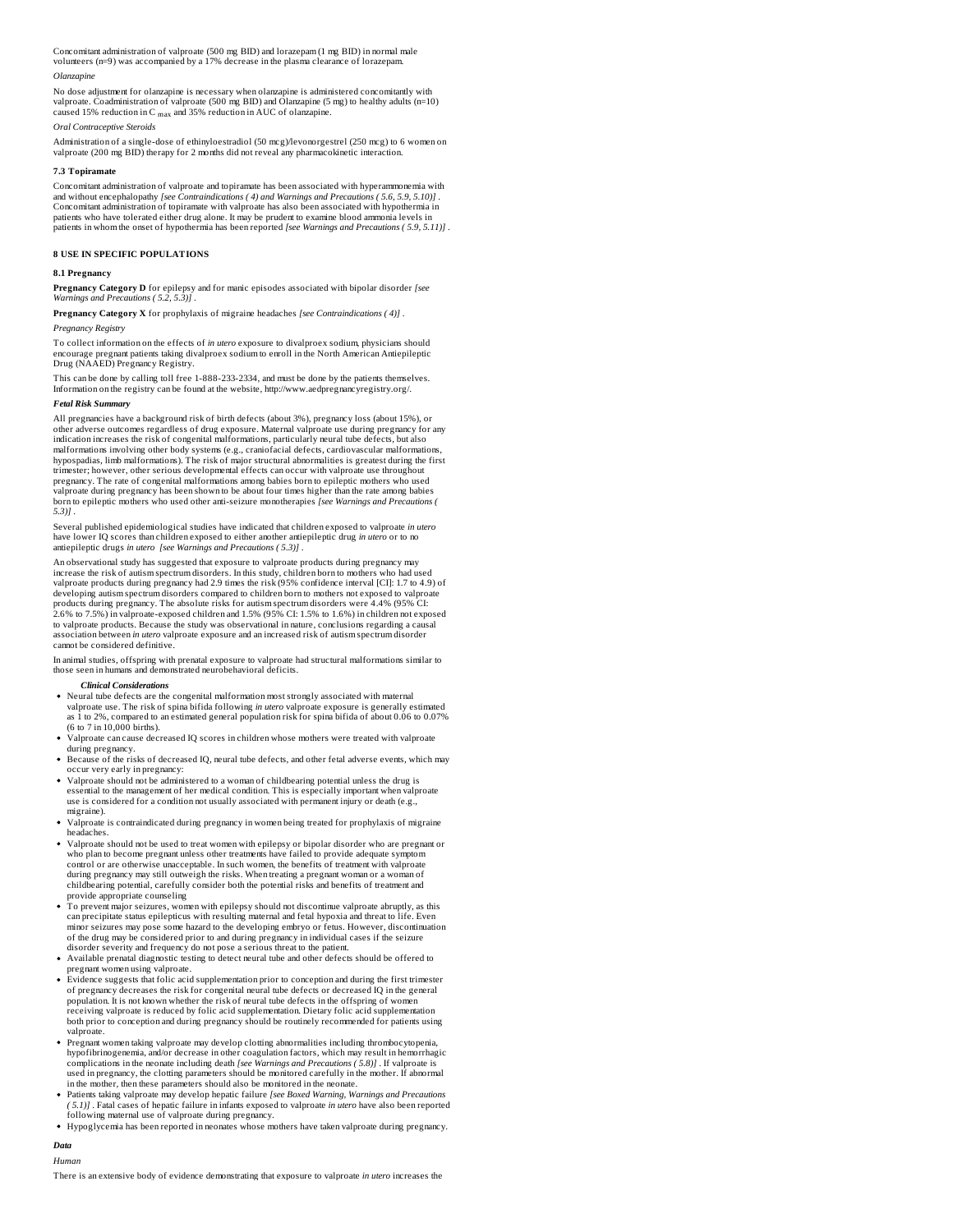Concomitant administration of valproate (500 mg BID) and lorazepam (1 mg BID) in normal male volunteers (n=9) was accompanied by a 17% decrease in the plasma clearance of lorazepam.

# *Olanzapine*

No dose adjustment for olanzapine is necessary when olanzapine is administered concomitantly with valproate. Coadministration of valproate (500 mg BID) and Olanzapine (5 mg) to healthy adults (n=10)<br>caused 15% reduction in C <sub>max</sub> and 35% reduction in AUC of olanzapine.

# *Oral Contraceptive Steroids*

Administration of a single-dose of ethinyloestradiol (50 mcg)/levonorgestrel (250 mcg) to 6 women on valproate (200 mg BID) therapy for 2 months did not reveal any pharmacokinetic interaction.

# **7.3 Topiramate**

Concomitant administration of valproate and topiramate has been associated with hyperammonemia with and without encephalopathy *[see Contraindications ( 4) and Warnings and Precautions ( 5.6, 5.9, 5.10)]* . Concomitant administration of topiramate with valproate has also been associated with hypothermia in patients who have tolerated either drug alone. It may be prudent to examine blood ammonia levels in patients in whom the onset of hypothermia has been reported *[see Warnings and Precautions ( 5.9, 5.11)]* .

### **8 USE IN SPECIFIC POPULATIONS**

### **8.1 Pregnancy**

**Pregnancy Category D** for epilepsy and for manic episodes associated with bipolar disorder *[see Warnings and Precautions ( 5.2, 5.3)]* .

**Pregnancy Category X** for prophylaxis of migraine headaches *[see Contraindications ( 4)]* .

# *Pregnancy Registry*

To collect information on the effects of *in utero* exposure to divalproex sodium, physicians should encourage pregnant patients taking divalproex sodium to enroll in the North American Antiepileptic Drug (NAAED) Pregnancy Registry.

This can be done by calling toll free 1-888-233-2334, and must be done by the patients themselves. Information on the registry can be found at the website, http://www.aedpregnancyregistry.org/.

### *Fetal Risk Summary*

All pregnancies have a background risk of birth defects (about 3%), pregnancy loss (about 15%), or other adverse outcomes regardless of drug exposure. Maternal valproate use during pregnancy for any indication increases the risk of congenital malformations, particularly neural tube defects, but also malformations involving other body systems (e.g., craniofacial defects, cardiovascular malformations, hypospadias, limb malformations). The risk of major structural abnormalities is greatest during the first trimester; however, other serious developmental effects can occur with valproate use throughout pregnancy. The rate of congenital malformations among babies born to epileptic mothers who used valproate during pregnancy has been shown to be about four times higher than the rate among babies born to epileptic mothers who used other anti-seizure monotherapies *[see Warnings and Precautions ( 5.3)]* .

Several published epidemiological studies have indicated that children exposed to valproate *in utero* have lower IQ scores than children exposed to either another antiepileptic drug *in utero* or to no antiepileptic drugs *in utero [see Warnings and Precautions ( 5.3)]* .

An observational study has suggested that exposure to valproate products during pregnancy may increase the risk of autism spectrum disorders. In this study, children born to mothers who had used valproate products during pregnancy had 2.9 times the risk (95% confidence interval [CI]: 1.7 to 4.9) of developing autism spectrum disorders compared to children born to mothers not exposed to valproate products during pregnancy. The absolute risks for autism spectrum disorders were 4.4% (95% CI: 2.6% to 7.5%) in valproate-exposed children and 1.5% (95% CI: 1.5% to 1.6%) in children not exposed to valproate products. Because the study was observational in nature, conclusions regarding a causal association between *in utero* valproate exposure and an increased risk of autism spectrum disorder cannot be considered definitive.

In animal studies, offspring with prenatal exposure to valproate had structural malformations similar to those seen in humans and demonstrated neurobehavioral deficits.

### *Clinical Considerations*

- Neural tube defects are the congenital malformation most strongly associated with maternal valproate use. The risk of spina bifida following *in utero* valproate exposure is generally estimated as 1 to 2%, compared to an estimated general population risk for spina bifida of about 0.06 to 0.07% (6 to 7 in 10,000 births).
- Valproate can cause decreased IQ scores in children whose mothers were treated with valproate during pregnancy.
- Because of the risks of decreased IQ, neural tube defects, and other fetal adverse events, which may occur very early in pregnancy:
- Valproate should not be administered to a woman of childbearing potential unless the drug is essential to the management of her medical condition. This is especially important when valproate use is considered for a condition not usually associated with permanent injury or death (e.g., migraine).
- Valproate is contraindicated during pregnancy in women being treated for prophylaxis of migraine headaches.
- Valproate should not be used to treat women with epilepsy or bipolar disorder who are pregnant or who plan to become pregnant unless other treatments have failed to provide adequate symptom control or are otherwise unacceptable. In such women, the benefits of treatment with valproate during pregnancy may still outweigh the risks. When treating a pregnant woman or a woman of childbearing potential, carefully consider both the potential risks and benefits of treatment and provide appropriate counseling
- To prevent major seizures, women with epilepsy should not discontinue valproate abruptly, as this can precipitate status epilepticus with resulting maternal and fetal hypoxia and threat to life. Even minor seizures may pose some hazard to the developing embryo or fetus. However, discontinuation of the drug may be considered prior to and during pregnancy in individual cases if the seizure disorder severity and frequency do not pose a serious threat to the patient.
- Available prenatal diagnostic testing to detect neural tube and other defects should be offered to pregnant women using valproate.
- Evidence suggests that folic acid supplementation prior to conception and during the first trimester of pregnancy decreases the risk for congenital neural tube defects or decreased IQ in the general population. It is not known whether the risk of neural tube defects in the offspring of women receiving valproate is reduced by folic acid supplementation. Dietary folic acid supplementation both prior to conception and during pregnancy should be routinely recommended for patients using valproate.
- Pregnant women taking valproate may develop clotting abnormalities including thrombocytopenia, hypofibrinogenemia, and/or decrease in other coagulation factors, which may result in hemorrhagic complications in the neonate including death *[see Warnings and Precautions ( 5.8)]* . If valproate is used in pregnancy, the clotting parameters should be monitored carefully in the mother. If abnormal in the mother, then these parameters should also be monitored in the neonate.
- Patients taking valproate may develop hepatic failure *[see Boxed Warning, Warnings and Precautions*<br>*( 5.1)] .* Fatal cases of hepatic failure in infants exposed to valproate *in utero* have also been reported
- following maternal use of valproate during pregnancy.<br>Hypoglycemia has been reported in neonates whose mothers have taken valproate during pregnancy. *Data*

# *Human*

There is an extensive body of evidence demonstrating that exposure to valproate *in utero* increases the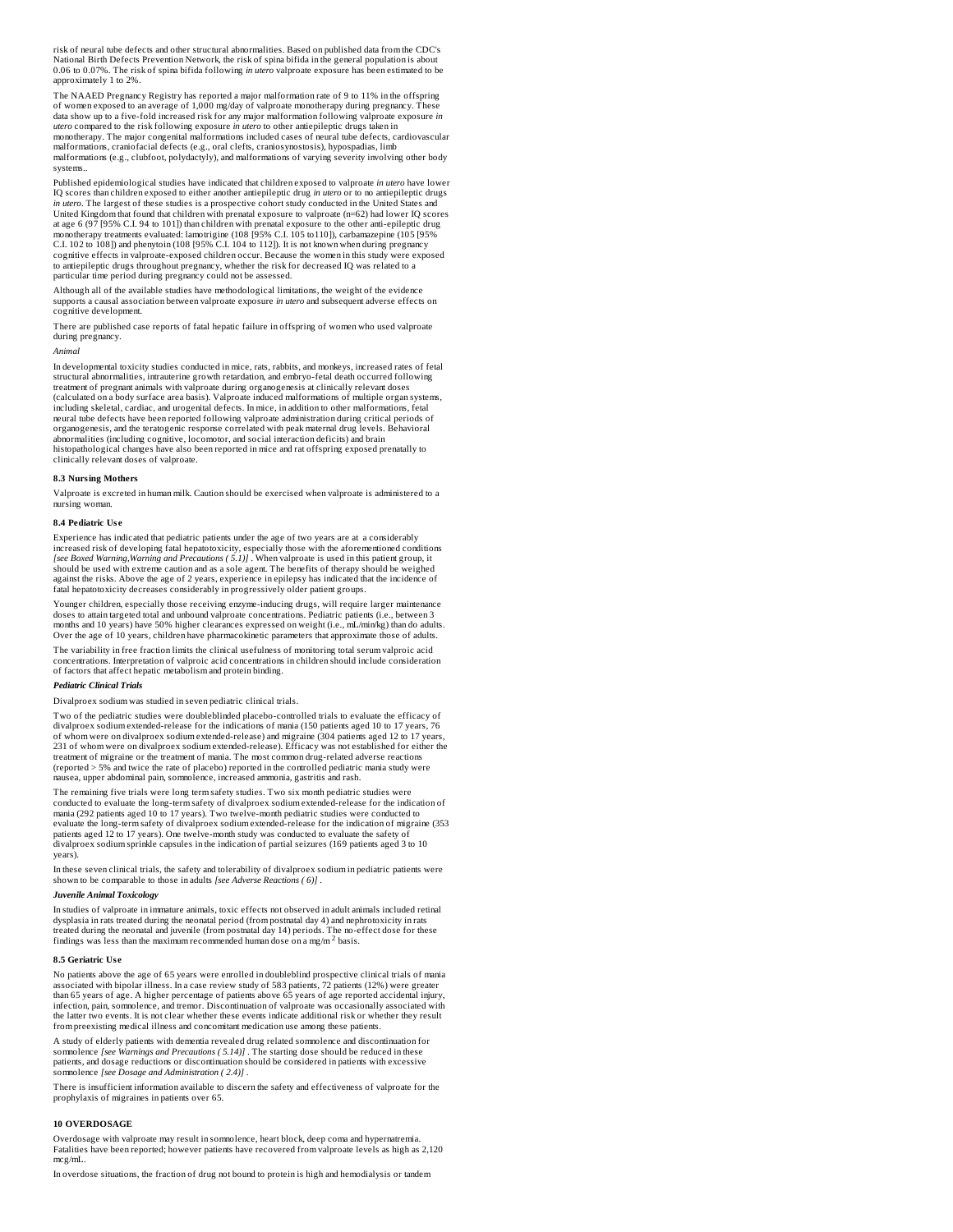risk of neural tube defects and other structural abnormalities. Based on published data from the CDC's National Birth Defects Prevention Network, the risk of spina bifida in the general population is about 0.06 to 0.07%. The risk of spina bifida following *in utero* valproate exposure has been estimated to be approximately 1 to 2%.

The NAAED Pregnancy Registry has reported a major malformation rate of 9 to 11% in the offspring of women exposed to an average of 1,000 mg/day of valproate monotherapy during pregnancy. These data show up to a five-fold increased risk for any major malformation following valproate exposure *in utero* compared to the risk following exposure *in utero* to other antiepileptic drugs taken in monotherapy. The major congenital malformations included cases of neural tube defects, cardiovascular malformations, craniofacial defects (e.g., oral clefts, craniosynostosis), hypospadias, limb malformations (e.g., clubfoot, polydactyly), and malformations of varying severity involving other body systems..

Published epidemiological studies have indicated that children exposed to valproate *in utero* have lower IQ scores than children exposed to either another antiepileptic drug *in utero* or to no antiepileptic drugs *in utero*. The largest of these studies is a prospective cohort study conducted in the United States and United Kingdom that found that children with prenatal exposure to valproate (n=62) had lower IQ scores at age 6 (97 [95% C.I. 94 to 101]) than children with prenatal exposure to the other anti-epileptic drug monotherapy treatments evaluated: lamotrigine (108 [95% C.I. 105 to110]), carbamazepine (105 [95% C.I. 102 to 108]) and phenytoin (108 [95% C.I. 104 to 112]). It is not known when during pregnancy cognitive effects in valproate-exposed children occur. Because the women in this study were exposed to antiepileptic drugs throughout pregnancy, whether the risk for decreased IQ was related to a particular time period during pregnancy could not be assessed.

Although all of the available studies have methodological limitations, the weight of the evidence supports a causal association between valproate exposure *in utero* and subsequent adverse effects on cognitive development.

There are published case reports of fatal hepatic failure in offspring of women who used valproate during pregnancy.

### *Animal*

In developmental toxicity studies conducted in mice, rats, rabbits, and monkeys, increased rates of fetal structural abnormalities, intrauterine growth retardation, and embryo-fetal death occurred following treatment of pregnant animals with valproate during organogenesis at clinically relevant doses<br>(calculated on a body surface area basis). Valproate induced malformations of multiple organ systems,<br>including skeletal, cardi neural tube defects have been reported following valproate administration during critical periods of organogenesis, and the teratogenic response correlated with peak maternal drug levels. Behavioral abnormalities (including cognitive, locomotor, and social interaction deficits) and brain histopathological changes have also been reported in mice and rat offspring exposed prenatally to clinically relevant doses of valproate.

### **8.3 Nursing Mothers**

Valproate is excreted in human milk. Caution should be exercised when valproate is administered to a nursing woman.

#### **8.4 Pediatric Us e**

Experience has indicated that pediatric patients under the age of two years are at a considerably<br>increased risk of developing fatal hepatotoxicity, especially those with the aforementioned conditions<br>[*see Boxed Warning,W* should be used with extreme caution and as a sole agent. The benefits of therapy should be weighed against the risks. Above the age of 2 years, experience in epilepsy has indicated that the incidence of fatal hepatotoxicity decreases considerably in progressively older patient groups.

Younger children, especially those receiving enzyme-inducing drugs, will require larger maintenance doses to attain targeted total and unbound valproate concentrations. Pediatric patients (i.e., between 3<br>months and 10 years) have 50% higher clearances expressed on weight (i.e., mL/min/kg) than do adults. Over the age of 10 years, children have pharmacokinetic parameters that approximate those of adults.

The variability in free fraction limits the clinical usefulness of monitoring total serum valproic acid concentrations. Interpretation of valproic acid concentrations in children should include consideration of factors that affect hepatic metabolism and protein binding.

# *Pediatric Clinical Trials*

Divalproex sodium was studied in seven pediatric clinical trials.

Two of the pediatric studies were doubleblinded placebo-controlled trials to evaluate the efficacy of divalproex sodium extended-release for the indications of mania (150 patients aged 10 to 17 years, 76 of whom were on divalproex sodium extended-release) and migraine (304 patients aged 12 to 17 years, 231 of whom were on divalproex sodium extended-release). Efficacy was not established for either the treatment of migraine or the treatment of mania. The most common drug-related adverse reactions (reported > 5% and twice the rate of placebo) reported in the controlled pediatric mania study were nausea, upper abdominal pain, somnolence, increased ammonia, gastritis and rash.

The remaining five trials were long term safety studies. Two six month pediatric studies were conducted to evaluate the long-term safety of divalproex sodium extended-release for the indication of<br>mania (292 patients aged 10 to 17 years). Two twelve-month pediatric studies were conducted to evaluate the long-term safety of divalproex sodium extended-release for the indication of migraine (353<br>patients aged 12 to 17 years). One twelve-month study was conducted to evaluate the safety of<br>divalproex sodium sprink years).

In these seven clinical trials, the safety and tolerability of divalproex sodium in pediatric patients were shown to be comparable to those in adults *[see Adverse Reactions ( 6)]* .

# *Juvenile Animal Toxicology*

In studies of valproate in immature animals, toxic effects not observed in adult animals included retinal dysplasia in rats treated during the neonatal period (from postnatal day 4) and nephrotoxicity in rats treated during the neonatal and juvenile (from postnatal day 14) periods. The no-effect dose for these<br>findings was less than the maximum recommended human dose on a mg/m <sup>2</sup> basis.

#### **8.5 Geriatric Us e**

No patients above the age of 65 years were enrolled in doubleblind prospective clinical trials of mania associated with bipolar illness. In a case review study of 583 patients, 72 patients (12%) were greater than 65 years of age. A higher percentage of patients above 65 years of age reported accidental injury, infection, pain, somnolence, and tremor. Discontinuation of valproate was occasionally associated with the latter two events. It is not clear whether these events indicate additional risk or whether they result from preexisting medical illness and concomitant medication use among these patients.

A study of elderly patients with dementia revealed drug related somnolence and discontinuation for somnolence *[see Warnings and Precautions ( 5.14)]* . The starting dose should be reduced in these patients, and dosage reductions or discontinuation should be considered in patients with excessive somnolence *[see Dosage and Administration ( 2.4)]* .

There is insufficient information available to discern the safety and effectiveness of valproate for the prophylaxis of migraines in patients over 65.

### **10 OVERDOSAGE**

Overdosage with valproate may result in somnolence, heart block, deep coma and hypernatremia. Fatalities have been reported; however patients have recovered from valproate levels as high as 2,120 mcg/mL.

In overdose situations, the fraction of drug not bound to protein is high and hemodialysis or tandem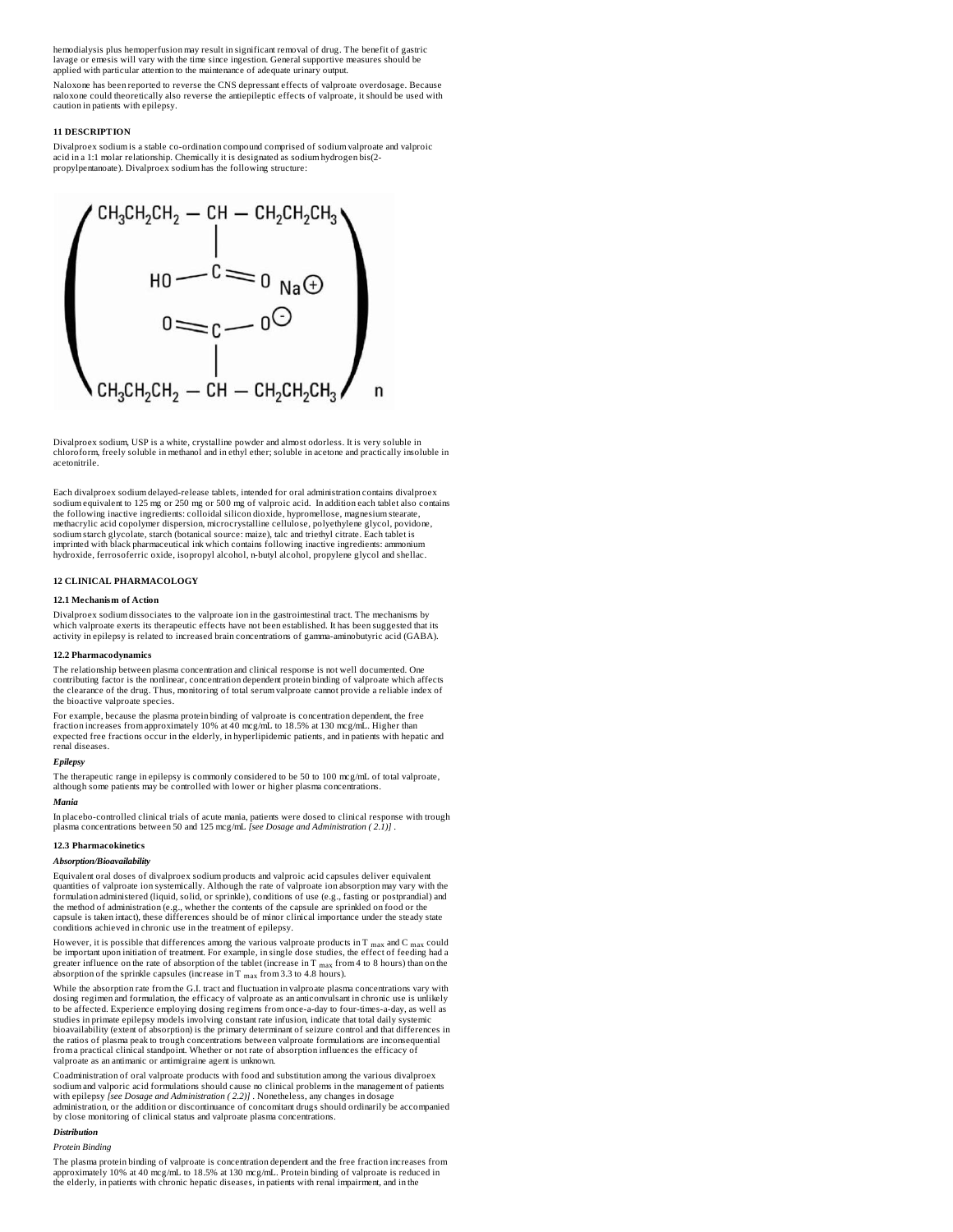hemodialysis plus hemoperfusion may result in significant removal of drug. The benefit of gastric lavage or emesis will vary with the time since ingestion. General supportive measures should be applied with particular attention to the maintenance of adequate urinary output.

Naloxone has been reported to reverse the CNS depressant effects of valproate overdosage. Because naloxone could theoretically also reverse the antiepileptic effects of valproate, it should be used with caution in patients with epilepsy.

### **11 DESCRIPTION**

Divalproex sodium is a stable co-ordination compound comprised of sodium valproate and valproic acid in a 1:1 molar relationship. Chemically it is designated as sodium hydrogen bis(2 propylpentanoate). Divalproex sodium has the following structure:



Divalproex sodium, USP is a white, crystalline powder and almost odorless. It is very soluble in chloroform, freely soluble in methanol and in ethyl ether; soluble in acetone and practically insoluble in acetonitrile.

Each divalproex sodium delayed-release tablets, intended for oral administration contains divalproex sodium equivalent to 125 mg or 250 mg or 500 mg of valproic acid. In addition each tablet also contains the following inactive ingredients: colloidal silicon dioxide, hypromellose, magnesium stearate, methacrylic acid copolymer dispersion, microcrystalline cellulose, polyethylene glycol, povidone, sodium starch glycolate, starch (botanical source: maize), talc and triethyl citrate. Each tablet is imprinted with black pharmaceutical ink which contains following inactive ingredients: ammonium hydroxide, ferrosoferric oxide, isopropyl alcohol, n-butyl alcohol, propylene glycol and shellac.

### **12 CLINICAL PHARMACOLOGY**

### **12.1 Mechanism of Action**

Divalproex sodium dissociates to the valproate ion in the gastrointestinal tract. The mechanisms by which valproate exerts its therapeutic effects have not been established. It has been suggested that its activity in epilepsy is related to increased brain concentrations of gamma-aminobutyric acid (GABA).

### **12.2 Pharmacodynamics**

The relationship between plasma concentration and clinical response is not well documented. One contributing factor is the nonlinear, concentration dependent protein binding of valproate which affects the clearance of the drug. Thus, monitoring of total serum valproate cannot provide a reliable index of the bioactive valproate species.

For example, because the plasma protein binding of valproate is concentration dependent, the free fraction increases from approximately 10% at40 mcg/mL to 18.5% at130 mcg/mL. Higher than expected free fractions occur in the elderly, in hyperlipidemic patients, and in patients with hepatic and renal diseases.

# *Epilepsy*

The therapeutic range in epilepsy is commonly considered to be 50 to 100 mcg/mL of total valproate, although some patients may be controlled with lower or higher plasma concentrations.

# *Mania*

In placebo-controlled clinical trials of acute mania, patients were dosed to clinical response with trough plasma concentrations between 50 and 125 mcg/mL *[see Dosage and Administration ( 2.1)]* .

# **12.3 Pharmacokinetics**

# *Absorption/Bioavailability*

Equivalent oral doses of divalproex sodium products and valproic acid capsules deliver equivalent quantities of valproate ion systemically. Although the rate of valproate ion absorption may vary with the formulation administered (liquid, solid, or sprinkle), conditions of use (e.g., fasting or postprandial) and the method of administration (e.g., whether the contents of the capsule are sprinkled on food or the capsule is taken intact), these differences should be of minor clinical importance under the steady state conditions achieved in chronic use in the treatment of epilepsy.

However, it is possible that differences among the various valproate products in T <sub>max</sub> and C <sub>max</sub> could<br>be important upon initiation of treatment. For example, in single dose studies, the effect of feeding had a greater influence on the rate of absorption of the tablet (increase in T  $_{\rm max}$  from 4 to 8 hours) than on the absorption of the sprinkle capsules (increase in T  $_{\rm max}$  from 3.3 to 4.8 hours).

While the absorption rate from the G.I. tract and fluctuation in valproate plasma concentrations vary with dosing regimen and formulation, the efficacy of valproate as an anticonvulsant in chronic use is unlikely to be affected. Experience employing dosing regimens from once-a-day to four-times-a-day, as well as studies in primate epilepsy models involving constant rate infusion, indicate that total daily systemic<br>bioavailability (extent of absorption) is the primary determinant of seizure control and that differences in<br>the ratio from a practical clinical standpoint. Whether or not rate of absorption influences the efficacy of valproate as an antimanic or antimigraine agent is unknown.

Coadministration of oral valproate products with food and substitution among the various divalproex sodium and valporic acid formulations should cause no clinical problems in the management of patients<br>with epilepsy *[see Dosage and Administration ( 2.2)] .* Nonetheless, any changes in dosage<br>administration, or the addit by close monitoring of clinical status and valproate plasma concentrations.

# *Distribution*

# *Protein Binding*

The plasma protein binding of valproate is concentration dependent and the free fraction increases from approximately 10% at40 mcg/mL to 18.5% at 130 mcg/mL. Protein binding of valproate is reduced in the elderly, in patients with chronic hepatic diseases, in patients with renal impairment, and in the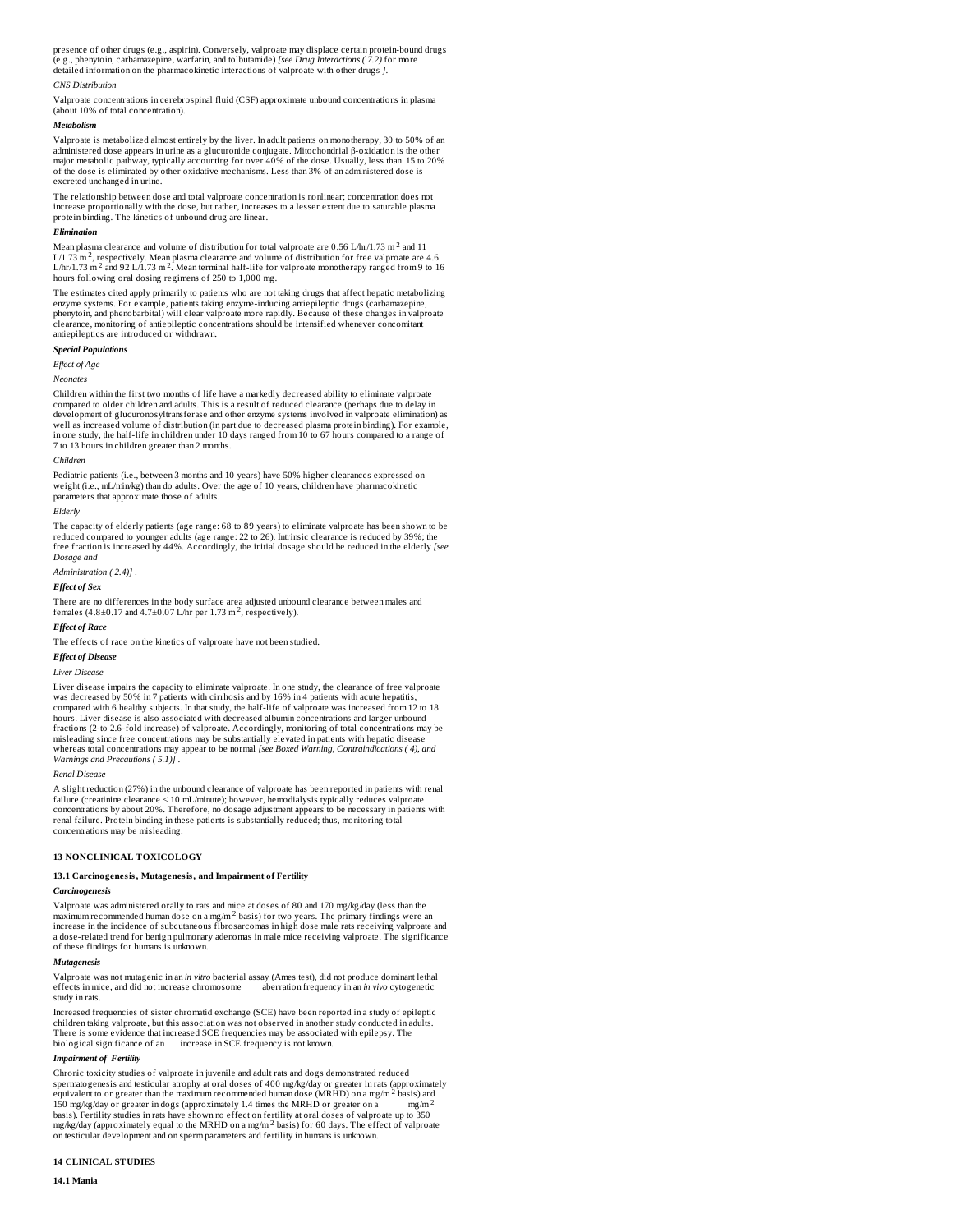presence of other drugs (e.g., aspirin). Conversely, valproate may displace certain protein-bound drugs (e.g., phenytoin, carbamazepine, warfarin, and tolbutamide) [*see Drug Interactions ( 7*.2) for more<br>detailed information on the pharmacokinetic interactions of valproate with other drugs ].

# *CNS Distribution*

Valproate concentrations in cerebrospinal fluid (CSF) approximate unbound concentrations in plasma (about 10% of total concentration).

### *Metabolism*

Valproate is metabolized almost entirely by the liver. In adult patients on monotherapy, 30 to 50% of an administered dose appears in urine as a glucuronide conjugate. Mitochondrial β-oxidation is the other<br>major metabolic pathway, typically accounting for over 40% of the dose. Usually, less than 15 to 20% of the dose is eliminated by other oxidative mechanisms. Less than 3% of an administered dose is excreted unchanged in urine.

The relationship between dose and total valproate concentration is nonlinear; concentration does not increase proportionally with the dose, but rather, increases to a lesser extent due to saturable plasma protein binding. The kinetics of unbound drug are linear.

### $E$ *liminatio*

Mean plasma clearance and volume of distribution for total valproate are 0.56 L/hr/1.73 m  $^2$  and 11 L/1.73 m<sup>2</sup>, respectively. Mean plasma clearance and volume of distribution for free valproate are 4.6<br>L/hr/1.73 m <sup>2</sup> and 92 L/1.73 m <sup>2</sup>. Mean terminal half-life for valproate monotherapy ranged from 9 to 16 hours following oral dosing regimens of 250 to 1,000 mg.

The estimates cited apply primarily to patients who are not taking drugs that affect hepatic metabolizing enzyme systems. For example, patients taking enzyme-inducing antiepileptic drugs (carbamazepine, phenytoin, and phenobarbital) will clear valproate more rapidly. Because of these changes in valproate clearance, monitoring of antiepileptic concentrations should be intensified whenever concomitant antiepileptics are introduced or withdrawn.

### *Special Populations*

*Effect of Age*

#### *Neonates*

Children within the first two months of life have a markedly decreased ability to eliminate valproate compared to older children and adults. This is a result of reduced clearance (perhaps due to delay in development of glucuronosyltransferase and other enzyme systems involved in valproate elimination) as well as increased volume of distribution (in part due to decreased plasma protein binding). For example, in one study, the half-life in children under 10 days ranged from 10 to 67 hours compared to a range of 7 to 13 hours in children greater than 2 months.

*Children*

Pediatric patients (i.e., between 3 months and 10 years) have 50% higher clearances expressed on weight (i.e., mL/min/kg) than do adults. Over the age of 10 years, children have pharmacokinetic parameters that approximate those of adults.

### *Elderly*

The capacity of elderly patients (age range: 68 to 89 years) to eliminate valproate has been shown to be reduced compared to younger adults (age range: 22 to 26). Intrinsic clearance is reduced by 39%; the free fraction is increased by 44%. Accordingly, the initial dosage should be reduced in the elderly *[see Dosage and*

*Administration ( 2.4)]* .

# *Effect of Sex*

There are no differences in the body surface area adjusted unbound clearance between males and<br>females (4.8±0.17 and 4.7±0.07 L/hr per 1.73 m<sup>2</sup>, respectively).

# *Effect of Race*

The effects of race on the kinetics of valproate have not been studied.

### *Effect of Disease*

*Liver Disease*

Liver disease impairs the capacity to eliminate valproate. In one study, the clearance of free valproate was decreased by 50% in 7 patients with cirrhosis and by 16% in 4 patients with acute hepatitis, compared with 6 healthy subjects. In that study, the half-life of valproate was increased from 12 to 18 hours. Liver disease is also associated with decreased albumin concentrations and larger unbound fractions (2-to 2.6-fold increase) of valproate. Accordingly, monitoring of total concentrations may be misleading since free concentrations may be substantially elevated in patients with hepatic disease whereas total concentrations may appear to be normal *[see Boxed Warning, Contraindications ( 4), and Warnings and Precautions ( 5.1)]* .

### *Renal Disease*

A slight reduction (27%) in the unbound clearance of valproate has been reported in patients with renal failure (creatinine clearance < 10 mL/minute); however, hemodialysis typically reduces valproate concentrations by about 20%. Therefore, no dosage adjustment appears to be necessary in patients with renal failure. Protein binding in these patients is substantially reduced; thus, monitoring total concentrations may be misleading.

#### **13 NONCLINICAL TOXICOLOGY**

# **13.1 Carcinogenesis, Mutagenesis, and Impairment of Fertility**

# *Carcinogenesis*

Valproate was administered orally to rats and mice at doses of 80 and 170 mg/kg/day (less than the maximum recommended human dose on a mg/m  $^2$  basis) for two years. The primary findings were an increase in the incidence of subcutaneous fibrosarcomas in high dose male rats receiving valproate and a dose-related trend for benign pulmonary adenomas in male mice receiving valproate. The significance of these findings for humans is unknown.

#### *Mutagenesis*

Valproate was not mutagenic in an *in vitro* bacterial assay (Ames test), did not produce dominant lethal aberration frequency in an *in vivo* cytogenetic study in rats.

Increased frequencies of sister chromatid exchange (SCE) have been reported in a study of epileptic children taking valproate, but this association was not observed in another study conducted in adults. There is some evidence that increased SCE frequencies may be associated with epilepsy. The biological significance of an increase in SCE frequency is not known.

# *Impairment of Fertility*

Chronic toxicity studies of valproate in juvenile and adult rats and dogs demonstrated reduced spermatogenesis and testicular atrophy at oral doses of 400 mg/kg/day or greater in rats (approximately equivalent to or greater than the maximum recommended human dose (MRHD) on a mg/m <sup>2</sup> basis) and<br>150 mg/kg/day or greater in dogs (approximately 1.4 times the MRHD or greater on a mg/m <sup>2</sup> basis). Fertility studies in rats have shown no effect on fertility at oral doses of valproate up to 350 mg/kg/day (approximately equal to the MRHD on a mg/m<sup>2</sup> basis) for 60 days. The effect of valproate<br>on testicular development and on sperm parameters and fertility in humans is unknown.

### **14 CLINICAL STUDIES**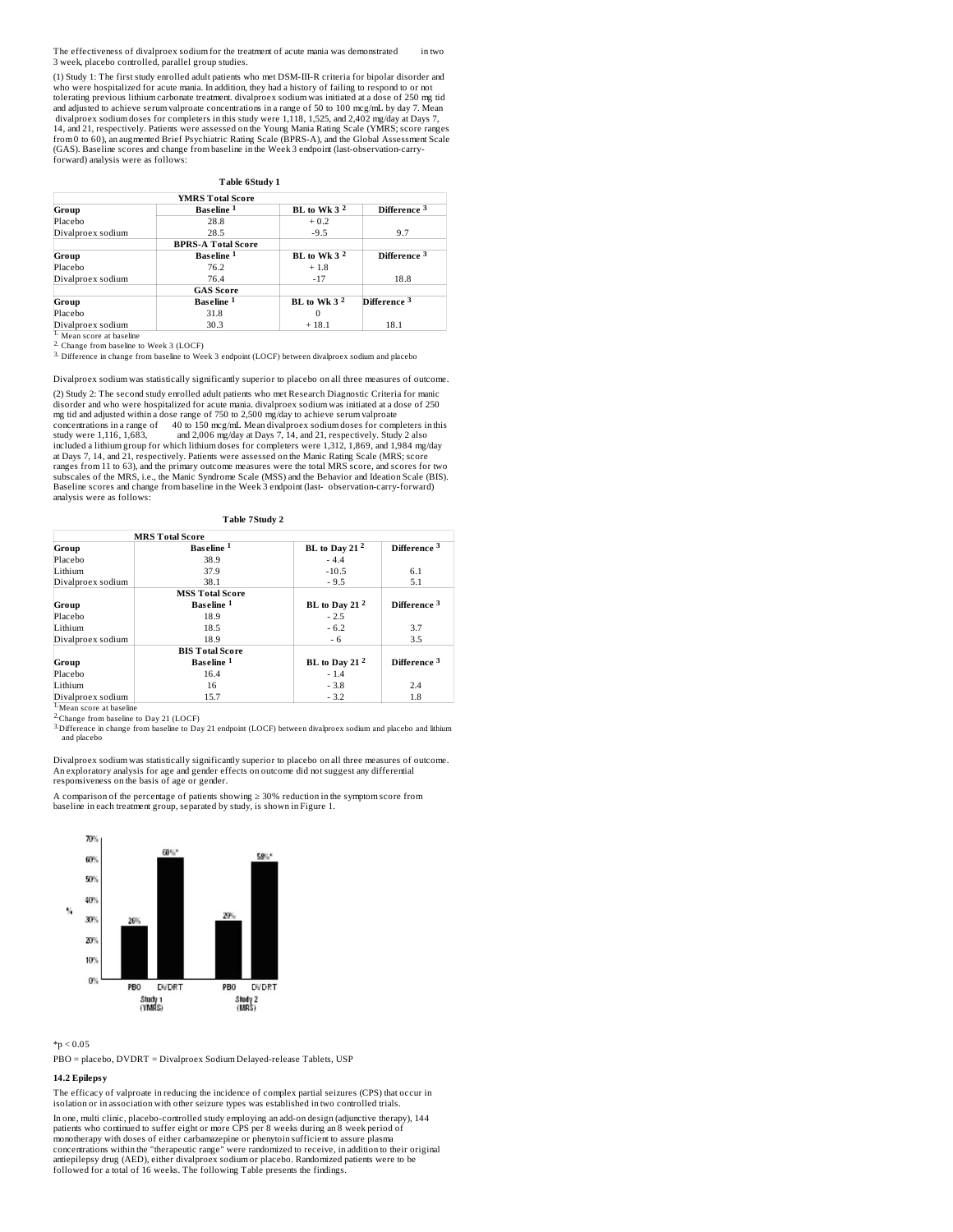The effectiveness of divalproex sodium for the treatment of acute mania was demonstrated in two 3 week, placebo controlled, parallel group studies.

(1) Study 1: The first study enrolled adult patients who met DSM-III-R criteria for bipolar disorder and who were hospitalized for acute mania. In addition, they had a history of failing to respond to or not<br>tolerating previous lithium carbonate treatment. divalproex sodium was initiated at a dose of 250 mg tid<br>and adjusted t divalproex sodium doses for completers in this study were 1,118, 1,525, and 2,402 mg/day at Days 7, 14, and 21, respectively. Patients were assessed on the Young Mania Rating Scale (YMRS; score ranges from 0 to 60), an augmented Brief Psychiatric Rating Scale (BPRS-A), and the Global Assessment Scale (GAS). Baseline scores and change from baseline in the Week 3 endpoint (last-observation-carry-forward) analysis were as follows:

# **Table 6Study 1**

|                   | <b>YMRS Total Score</b>   |               |                         |
|-------------------|---------------------------|---------------|-------------------------|
| Group             | Baseline <sup>1</sup>     | BL to Wk $32$ | Difference <sup>3</sup> |
| Placebo           | 28.8                      | $+0.2$        |                         |
| Divalproex sodium | 28.5                      | $-9.5$        | 9.7                     |
|                   | <b>BPRS-A Total Score</b> |               |                         |
| Group             | Baseline <sup>1</sup>     | BL to Wk $32$ | Difference <sup>3</sup> |
| Placebo           | 76.2                      | $+1.8$        |                         |
| Divalproex sodium | 76.4                      | $-17$         | 18.8                    |
|                   | <b>GAS Score</b>          |               |                         |
| Group             | Baseline <sup>1</sup>     | BL to Wk $32$ | Difference <sup>3</sup> |
| Placebo           | 31.8                      | $^{(1)}$      |                         |
| Divalproex sodium | 30.3                      | $+18.1$       | 18.1                    |

<sup>1.</sup> Mean score at baseline

<sup>2.</sup> Change from baseline to Week 3 (LOCF)

3. Difference in change from baseline to Week 3 endpoint (LOCF) between divalproex sodium and placebo

Divalproex sodium was statistically significantly superior to placebo on all three measures of outcome. (2) Study 2: The second study enrolled adult patients who met Research Diagnostic Criteria for manic disorder and who were hospitalized for acute mania. divalproex sodium was initiated at a dose of 250 mg tid and adjusted within a dose range of 750 to 2,500 mg/day to achieve serum valproate concentrations in a range of 40 to 150 mcg/mL Mean divalproex sodium doses for completers in this study were 1,116, 1,683, and 2,006 mg/day at Days 7, 14, and 21, respectively. Study 2 also included a lithium group for which lithium doses for completers were 1,312, 1,869, and 1,984 mg/day at Days 7, 14, and 21, respectively. Patients were assessed on the Manic Rating Scale (MRS; score ranges from 11 to 63), and the primary outcome measures were the total MRS score, and scores for two subscales of the MRS, i.e., the Manic Syndrome Scale (MSS) and the Behavior and Ideation Scale (BIS). Baseline scores and change from baseline in the Week 3 endpoint (last- observation-carry-forward) analysis were as follows:

|                   | <b>MRS Total Score</b> |                  |                         |
|-------------------|------------------------|------------------|-------------------------|
| Group             | Baseline <sup>1</sup>  | BL to Day 21 $2$ | Difference <sup>3</sup> |
| Placebo           | 38.9                   | $-4.4$           |                         |
| Lithium           | 37.9                   | $-10.5$          | 6.1                     |
| Divalproex sodium | 38.1                   | $-9.5$           | 5.1                     |
|                   | <b>MSS Total Score</b> |                  |                         |
| Group             | Baseline <sup>1</sup>  | BL to Day 21 $2$ | Difference <sup>3</sup> |
| Placebo           | 18.9                   | $-2.5$           |                         |
| Lithium           | 18.5                   | $-6.2$           | 3.7                     |
| Divalproex sodium | 18.9                   | $-6$             | 3.5                     |
|                   | <b>BIS Total Score</b> |                  |                         |
| Group             | Baseline <sup>1</sup>  | BL to Day 21 $2$ | Difference <sup>3</sup> |
| Placebo           | 16.4                   | $-1.4$           |                         |
| Lithium           | 16                     | $-3.8$           | 2.4                     |
| Divalproex sodium | 15.7                   | $-3.2$           | 1.8                     |

<sup>1.</sup>Mean score at baseline

<sup>2</sup> Change from baseline to Day 21 (LOCF)

 $^3$  Difference in change from baseline to Day 21 endpoint (LOCF) between divalproex sodium and placebo and lithium and placebo

Divalproex sodium was statistically significantly superior to placebo on all three measures of outcome.<br>An exploratory analysis for age and gender effects on outcome did not suggest any differential<br>responsiveness on the b

A comparison of the percentage of patients showing ≥ 30% reduction in the symptom score from baseline in each treatment group, separated by study, is shown in Figure 1.



# $*_{p}$  < 0.05

PBO = placebo, DVDRT = Divalproex Sodium Delayed-release Tablets, USP

# **14.2 Epilepsy**

The efficacy of valproate in reducing the incidence of complex partial seizures (CPS) that occur in isolation or in association with other seizure types was established in two controlled trials.

In one, multi clinic, placebo-controlled study employing an add-on design (adjunctive therapy), 144 patients who continued to suffer eight or more CPS per 8 weeks during an 8 week period of monotherapy with doses of either carbamazepine or phenytoin sufficient to assure plasma<br>concentrations within the "therapeutic range" were randomized to receive, in addition to their original<br>antiepilepsy drug (AED), eithe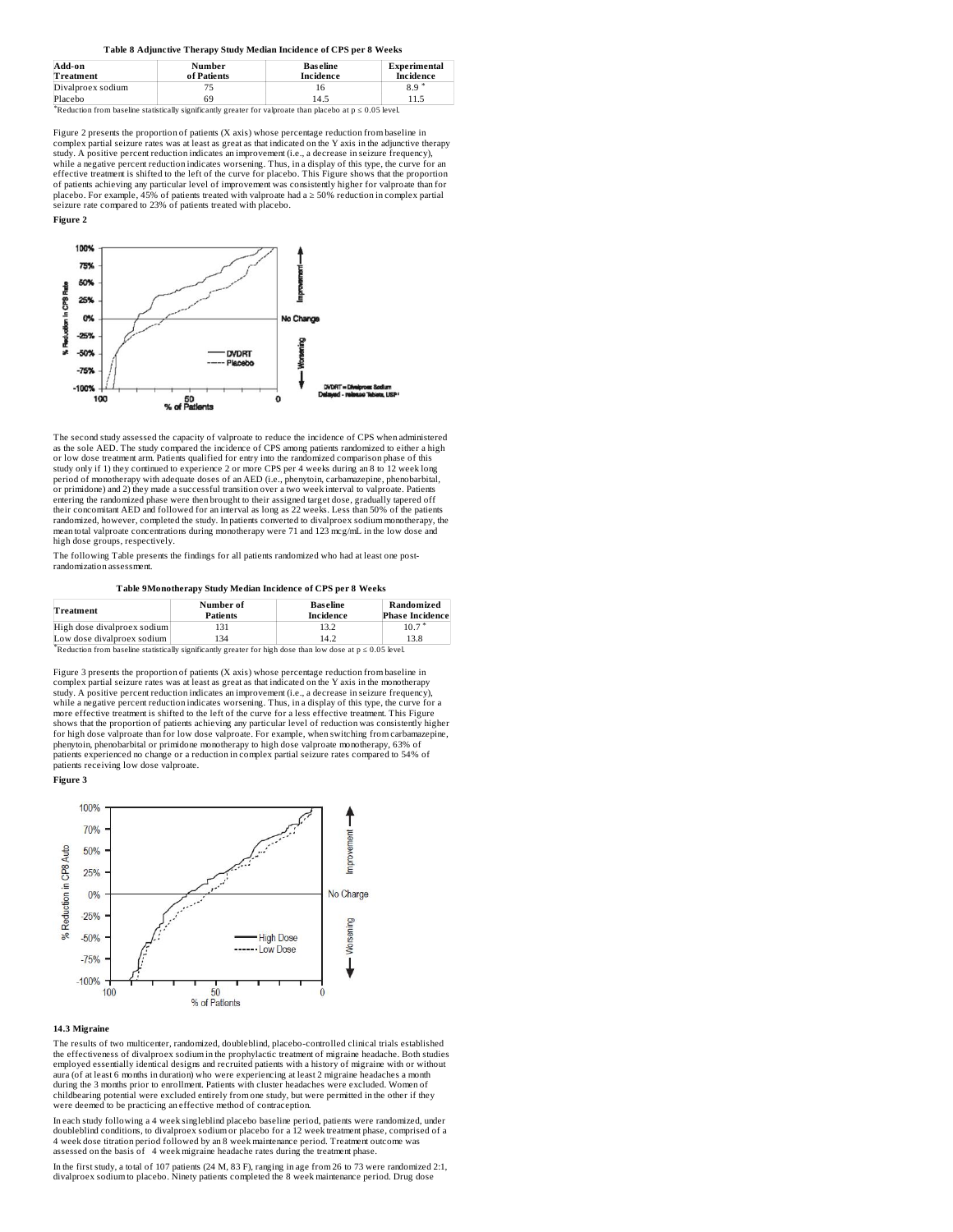**Table 8 Adjunctive Therapy Study Median Incidence of CPS per 8 Weeks**

| Add-on            | Number      | <b>Baseline</b>                                                                                                   | Experimental |
|-------------------|-------------|-------------------------------------------------------------------------------------------------------------------|--------------|
| Treatment         | of Patients | Incidence                                                                                                         | Incidence    |
| Divalproex sodium |             |                                                                                                                   | $8.9*$       |
| Placebo           | 69          | 14.5                                                                                                              | 11.5         |
|                   |             | $*$ Reduction from baseline statistically significantly greater for valproate than placebo at $p \le 0.05$ level. |              |

Figure 2 presents the proportion of patients (X axis) whose percentage reduction from baseline in<br>complex partial seizure rates was at least as great as that indicated on the Y axis in the adjunctive therapy<br>study. A posit while a negative percent reduction indicates worsening. Thus, in a display of this type, the curve for an effective treatment is shifted to the left of the curve for placebo. This Figure shows that the proportion of patients achieving any particular level of improvement was consistently higher for valproate than for placebo. For example, 45% of patients treated with valproate had a  $\geq$  50% reduction in complex partial seizure rate compared to 23% of patients treated with placebo.





The second study assessed the capacity of valproate to reduce the incidence of CPS when administered as the sole AED. The study compared the incidence of CPS among patients randomized to either a high or low dose treatment arm. Patients qualified for entry into the randomized comparison phase of this study only if 1) they continued to experience 2 or more CPS per 4 weeks during an 8 to 12 week long period of monotherapy with adequate doses of an AED (i.e., phenytoin, carbamazepine, phenobarbital, or primidone) and 2) they made a successful transition over a two week interval to valproate. Patients entering the randomized phase were then brought to their assigned target dose, gradually tapered off their concomitant AED and followed for an interval as long as 22 weeks. Less than 50% of the patients randomized, however, completed the study. In patients converted to divalproex sodium monotherapy, the mean total valproate concentrations during monotherapy were 71 and 123 mcg/mL in the low dose and high dose groups, respectively.

The following Table presents the findings for all patients randomized who had at least one postrandomization assessment.

# **Table 9Monotherapy Study Median Incidence of CPS per 8 Weeks**

| Treatment                                                                                                      | Number of<br><b>Patients</b> | <b>Baseline</b><br>Incidence | Randomized<br><b>Phase Incidence</b> |
|----------------------------------------------------------------------------------------------------------------|------------------------------|------------------------------|--------------------------------------|
| High dose divalproex sodium                                                                                    | 131                          | 13.2                         | 10.7 <sup>1</sup>                    |
| Low dose divalproex sodium                                                                                     | 134                          | 14.2                         | 13.8                                 |
| Reduction from baseline statistically significantly greater for high dose than low dose at $p \le 0.05$ level. |                              |                              |                                      |

Figure 3 presents the proportion of patients (X axis) whose percentage reduction from baseline in complex partial seizure rates was at least as great as that indicated on the Y axis in the monotherapy<br>study. A positive percent reduction indicates an improvement (i.e., a decrease in seizure frequency),<br>while a negative more effective treatment is shifted to the left of the curve for a less effective treatment. This Figure shows that the proportion of patients achieving any particular level of reduction was consistently higher for high dose valproate than for low dose valproate. For example, when switching from carbamazepine, phenytoin, phenobarbital or primidone monotherapy to high dose valproate monotherapy, 63% of patients experienced no change or a reduction in complex partial seizure rates compared to 54% of patients receiving low dose valproate.

# **Figure 3**



## **14.3 Migraine**

The results of two multicenter, randomized, doubleblind, placebo-controlled clinical trials established the effectiveness of divalproex sodium in the prophylactic treatment of migraine headache. Both studies employed essentially identical designs and recruited patients with a history of migraine with or without aura (of at least 6 months in duration) who were experiencing at least 2 migraine headaches a month during the 3 months prior to enrollment. Patients with cluster headaches were excluded. Women of childbearing potential were excluded entirely from one study, but were permitted in the other if they<br>were deemed to be practicing an effective method of contraception.

In each study following a 4 week singleblind placebo baseline period, patients were randomized, under doubleblind conditions, to divalproex sodium or placebo for a 12 week treatment phase, comprised of a 4 week dose titration period followed by an 8 week maintenance period. Treatment outcome was assessed on the basis of 4 week migraine headache rates during the treatment phase.

In the first study, a total of 107 patients (24 M, 83 F), ranging in age from 26 to 73 were randomized 2:1, divalproex sodium to placebo. Ninety patients completed the 8 week maintenance period. Drug dose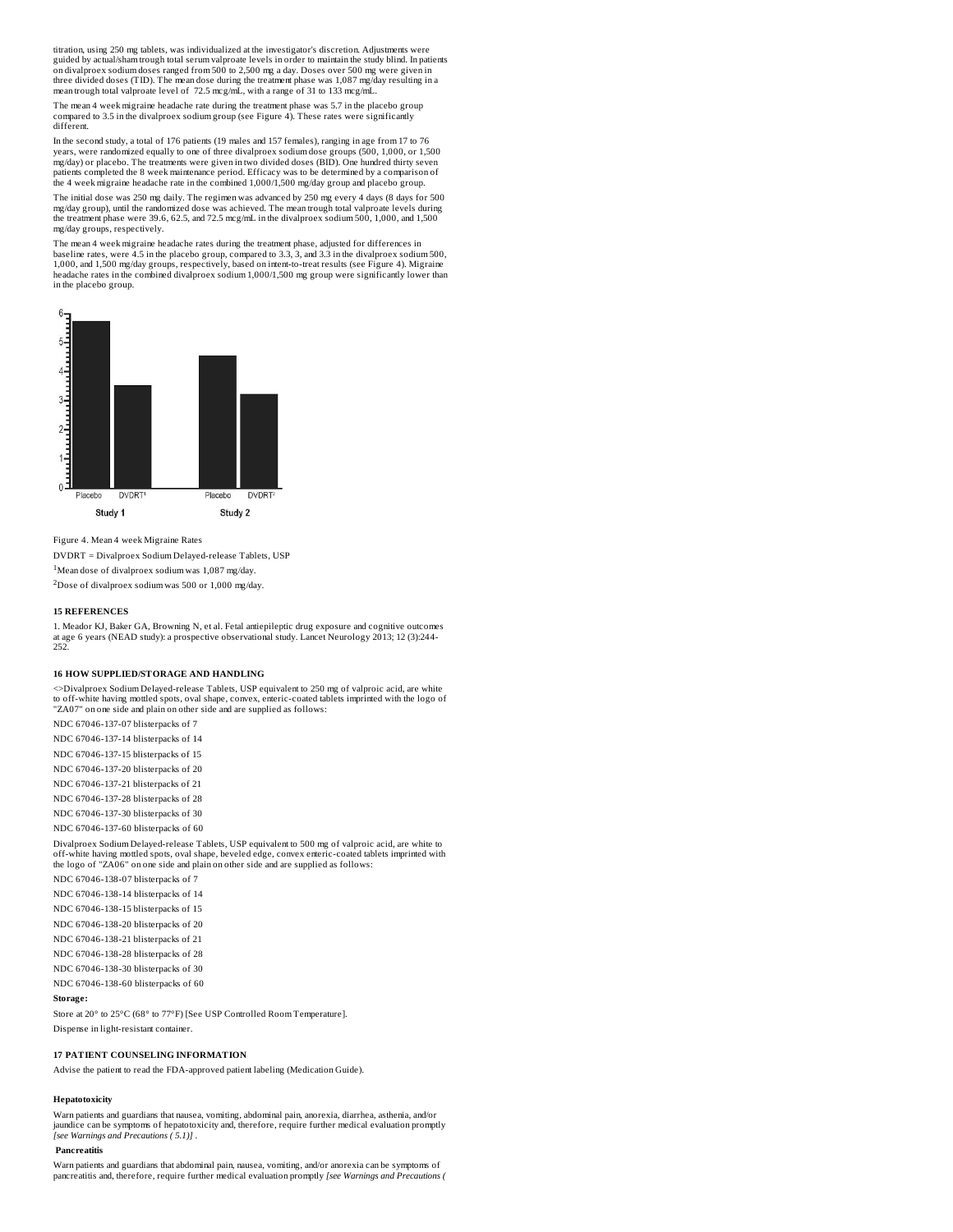titration, using 250 mg tablets, was individualized at the investigator's discretion. Adjustments were guided by actual/sham trough total serum valproate levels in order to maintain the study blind. In patients on divalproex sodium doses ranged from 500 to 2,500 mg a day. Doses over 500 mg were given in three divided doses (TID). The mean dose during the treatment phase was 1,087 mg/day resulting in a<br>mean trough total valproate level of 72.5 mcg/mL, with a range of 31 to 133 mcg/mL.

The mean 4 week migraine headache rate during the treatment phase was 5.7 in the placebo group compared to 3.5 in the divalproex sodium group (see Figure 4). These rates were significantly different.

In the second study, a total of 176 patients (19 males and 157 females), ranging in age from 17 to 76 years, were randomized equally to one of three divalproex sodium dose groups (500, 1,000, or 1,500 mg/day) or placebo. The treatments were given in two divided doses (BID). One hundred thirty seven<br>patients completed the 8 week maintenance period. Efficacy was to be determined by a comparison of<br>the 4 week migraine head

The initial dose was 250 mg daily. The regimen was advanced by 250 mg every 4 days (8 days for 500 mg/day group), until the randomized dose was achieved. The mean trough total valproate levels during the treatment phase were 39.6, 62.5, and 72.5 mcg/mL in the divalproex sodium 500, 1,000, and 1,500 mg/day groups, respectively.

The mean 4 week migraine headache rates during the treatment phase, adjusted for differences in<br>baseline rates, were 4.5 in the placebo group, compared to 3.3, 3, and 3.3 in the divalproex sodium 500,<br>1,000, and 1,500 mg/d in the placebo group.



### Figure 4. Mean 4 week Migraine Rates

DVDRT = Divalproex Sodium Delayed-release Tablets, USP

 $1$ Mean dose of divalproex sodium was  $1,087$  mg/day. <sup>2</sup>Dose of divalproex sodium was 500 or 1,000 mg/day.

### **15 REFERENCES**

1. Meador KJ, Baker GA, Browning N, et al. Fetal antiepileptic drug exposure and cognitive outcomes at age 6 years (NEAD study): a prospective observational study. Lancet Neurology 2013; 12 (3):244- 252.

# **16 HOW SUPPLIED/STORAGE AND HANDLING**

<>Divalproex Sodium Delayed-release Tablets, USP equivalent to 250 mg of valproic acid, are white to off-white having mottled spots, oval shape, convex, enteric-coated tablets imprinted with the logo of "ZA07" on one side and plain on other side and are supplied as follows:

NDC 67046-137-07 blisterpacks of 7

NDC 67046-137-14 blisterpacks of 14

NDC 67046-137-15 blisterpacks of 15

NDC 67046-137-20 blisterpacks of 20

NDC 67046-137-21 blisterpacks of 21

NDC 67046-137-28 blisterpacks of 28 NDC 67046-137-30 blisterpacks of 30

NDC 67046-137-60 blisterpacks of 60

Divalproex Sodium Delayed-release Tablets, USP equivalent to 500 mg of valproic acid, are white to off-white having mottled spots, oval shape, beveled edge, convex enteric-coated tablets imprinted with the logo of "ZA06" on one side and plain on other side and are supplied as follows:

NDC 67046-138-07 blisterpacks of 7

NDC 67046-138-14 blisterpacks of 14

NDC 67046-138-15 blisterpacks of 15

NDC 67046-138-20 blisterpacks of 20

NDC 67046-138-21 blisterpacks of 21

NDC 67046-138-28 blisterpacks of 28 NDC 67046-138-30 blisterpacks of 30

NDC 67046-138-60 blisterpacks of 60

### **Storage:**

Store at 20° to 25°C (68° to 77°F) [See USP Controlled Room Temperature]. Dispense in light-resistant container.

# **17 PATIENT COUNSELING INFORMATION**

Advise the patient to read the FDA-approved patient labeling (Medication Guide).

### **Hepatotoxicity**

Warn patients and guardians that nausea, vomiting, abdominal pain, anorexia, diarrhea, asthenia, and/or jaundice can be symptoms of hepatotoxicity and, therefore, require further medical evaluation promptly *[see Warnings and Precautions ( 5.1)]* .

### **Pancreatitis**

Warn patients and guardians that abdominal pain, nausea, vomiting, and/or anorexia can be symptoms of<br>pancreatitis and, therefore, require further medical evaluation promptly *[see Warnings and Precautions (*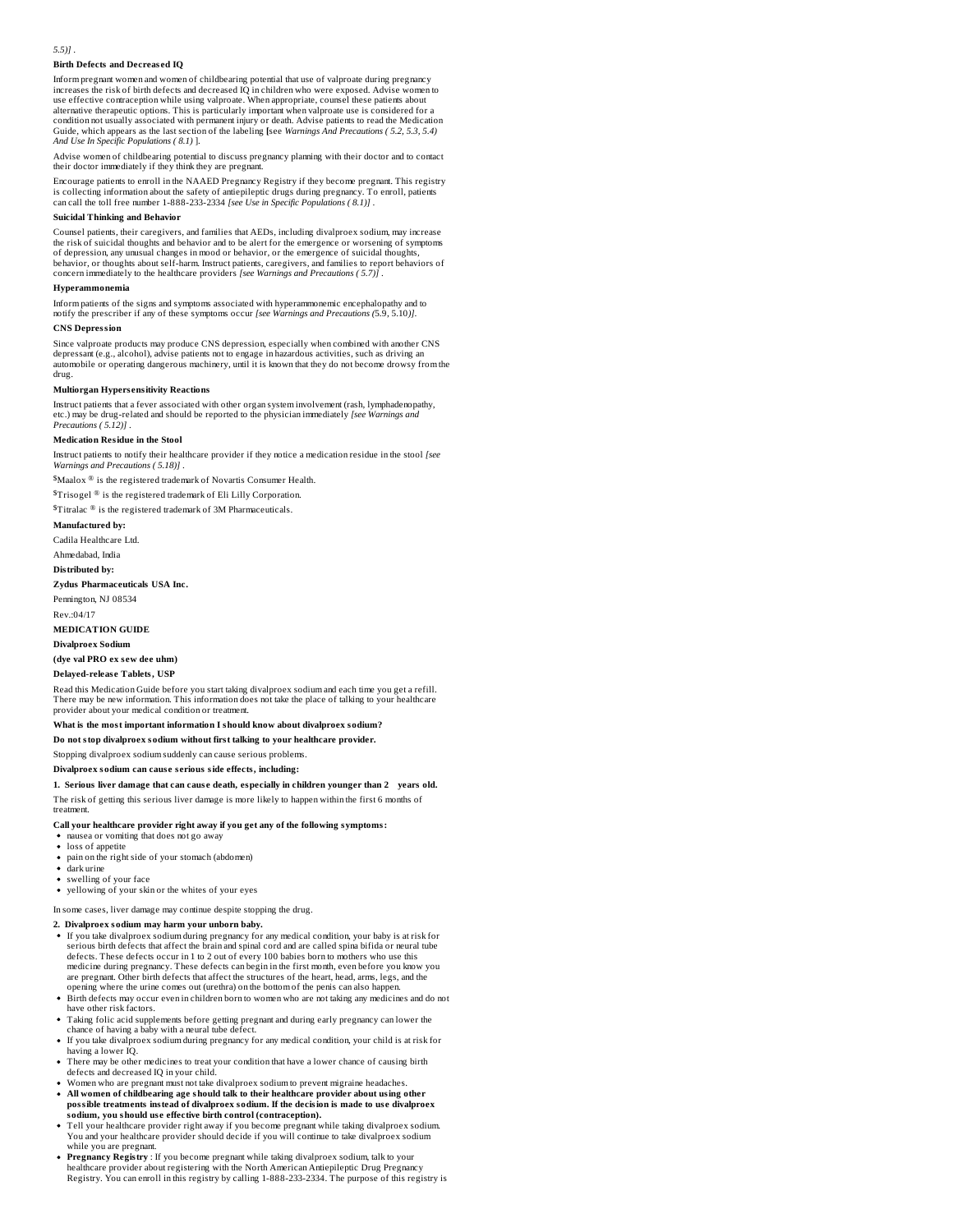### **Birth Defects and Decreas ed IQ**

*5.5)]* .

Inform pregnant women and women of childbearing potential that use of valproate during pregnancy increases the risk of birth defects and decreased IQ in children who were exposed. Advise women to use effective contraception while using valproate. When appropriate, counsel these patients about alternative therapeutic options. This is particularly important when valproate use is considered for a condition not usually associated with permanent injury or death. Advise patients to read the Medication Guide, which appears as the last section of the labeling **[**see *Warnings And Precautions ( 5.2, 5.3, 5.4) And Use In Specific Populations ( 8.1)* ].

Advise women of childbearing potential to discuss pregnancy planning with their doctor and to contact their doctor immediately if they think they are pregnant.

Encourage patients to enroll in the NAAED Pregnancy Registry if they become pregnant. This registry is collecting information about the safety of antiepileptic drugs during pregnancy. To enroll, patients<br>can call the toll free number 1-888-233-2334 [*see Use in Specific Populations ( 8.1)*] .

### **Suicidal Thinking and Behavior**

Counsel patients, their caregivers, and families that AEDs, including divalproex sodium, may increase the risk of suicidal thoughts and behavior and to be alert for the emergence or worsening of symptoms<br>of depression, any unusual changes in mood or behavior, or the emergence of suicidal thoughts,<br>behavior, or thoughts abo concern immediately to the healthcare providers *[see Warnings and Precautions ( 5.7)]* .

# **Hyperammonemia**

Inform patients of the signs and symptoms associated with hyperammonemic encephalopathy and to notify the prescriber if any of these symptoms occur *[see Warnings and Precautions (*5.9, 5.10*)]*. **CNS Depression**

Since valproate products may produce CNS depression, especially when combined with another CNS depressant (e.g., alcohol), advise patients not to engage in hazardous activities, such as driving an automobile or operating dangerous machinery, until it is known that they do not become drowsy from the drug.

### **Multiorgan Hypers ensitivity Reactions**

Instruct patients that a fever associated with other organ system involvement (rash, lymphadenopathy, etc.) may be drug-related and should be reported to the physician immediately *[see Warnings and Precautions ( 5.12)]* .

# **Medication Residue in the Stool**

Instruct patients to notify their healthcare provider if they notice a medication residue in the stool *[see Warnings and Precautions ( 5.18)]* .

 $M$ aalox $\otimes$  is the registered trademark of Novartis Consumer Health.

 $^{\circ}$ Trisogel  $^{\circledR}$  is the registered trademark of Eli Lilly Corporation.

 $^{\circ}$ Titralac  $^{\circledR}$  is the registered trademark of 3M Pharmaceuticals.

# **Manufactured by:**

Cadila Healthcare Ltd.

Ahmedabad, India

# **Distributed by:**

**Zydus Pharmaceuticals USA Inc.**

Pennington, NJ 08534

# Rev.:04/17

**MEDICATION GUIDE**

**Divalproex Sodium**

# **(dye val PRO ex s ew dee uhm)**

# **Delayed-releas e Tablets, USP**

Read this Medication Guide before you start taking divalproex sodium and each time you get a refill. There may be new information. This information does not take the place of talking to your healthcare provider about your medical condition or treatment.

# **What is the most important information I should know about divalproex sodium?**

**Do not stop divalproex sodium without first talking to your healthcare provider.**

Stopping divalproex sodium suddenly can cause serious problems.

**Divalproex sodium can caus e s erious side effects, including:**

# **1. Serious liver damage that can caus e death, especially in children younger than 2 years old.**

The risk of getting this serious liver damage is more likely to happen within the first 6 months of treatment.

# **Call your healthcare provider right away if you get any of the following symptoms:**

- nausea or vomiting that does not go away
- loss of appetite
- pain on the right side of your stomach (abdomen) • dark urine
- swelling of your face
- yellowing of your skin or the whites of your eyes

In some cases, liver damage may continue despite stopping the drug.

# **2. Divalproex sodium may harm your unborn baby.**

- If you take divalproex sodium during pregnancy for any medical condition, your baby is at risk for serious birth defects that affect the brain and spinal cord and are called spina bifida or neural tube defects. These defects occur in 1 to 2 out of every 100 babies born to mothers who use this medicine during pregnancy. These defects can begin in the first month, even before you know you are pregnant. Other birth defects that affect the structures of the heart, head, arms, legs, and the opening where the urine comes out (urethra) on the bottom of the penis can also happen.
- Birth defects may occur even in children born to women who are not taking any medicines and do not have other risk factors.
- Taking folic acid supplements before getting pregnant and during early pregnancy can lower the chance of having a baby with a neural tube defect.
- If you take divalproex sodium during pregnancy for any medical condition, your child is at risk for having a lower IQ.
- There may be other medicines to treat your condition that have a lower chance of causing birth defects and decreased IQ in your child.
- Women who are pregnant must not take divalproex sodium to prevent migraine headaches. All women of childbearing age should talk to their healthcare provider about using other<br>possible treatments instead of divalproex sodium. If the decision is made to use divalproex
- **sodium, you should us e effective birth control (contraception).** Tell your healthcare provider right away if you become pregnant while taking divalproex sodium.<br>You and your healthcare provider should decide if you will continue to take divalproex sodium
- while you are pregnant. **Pregnancy Registry** : If you become pregnant while taking divalproex sodium, talk to your healthcare provider about registering with the North American Antiepileptic Drug Pregnancy<br>Registry. You can enroll in this registry by calling 1-888-233-2334. The purpose of this registry is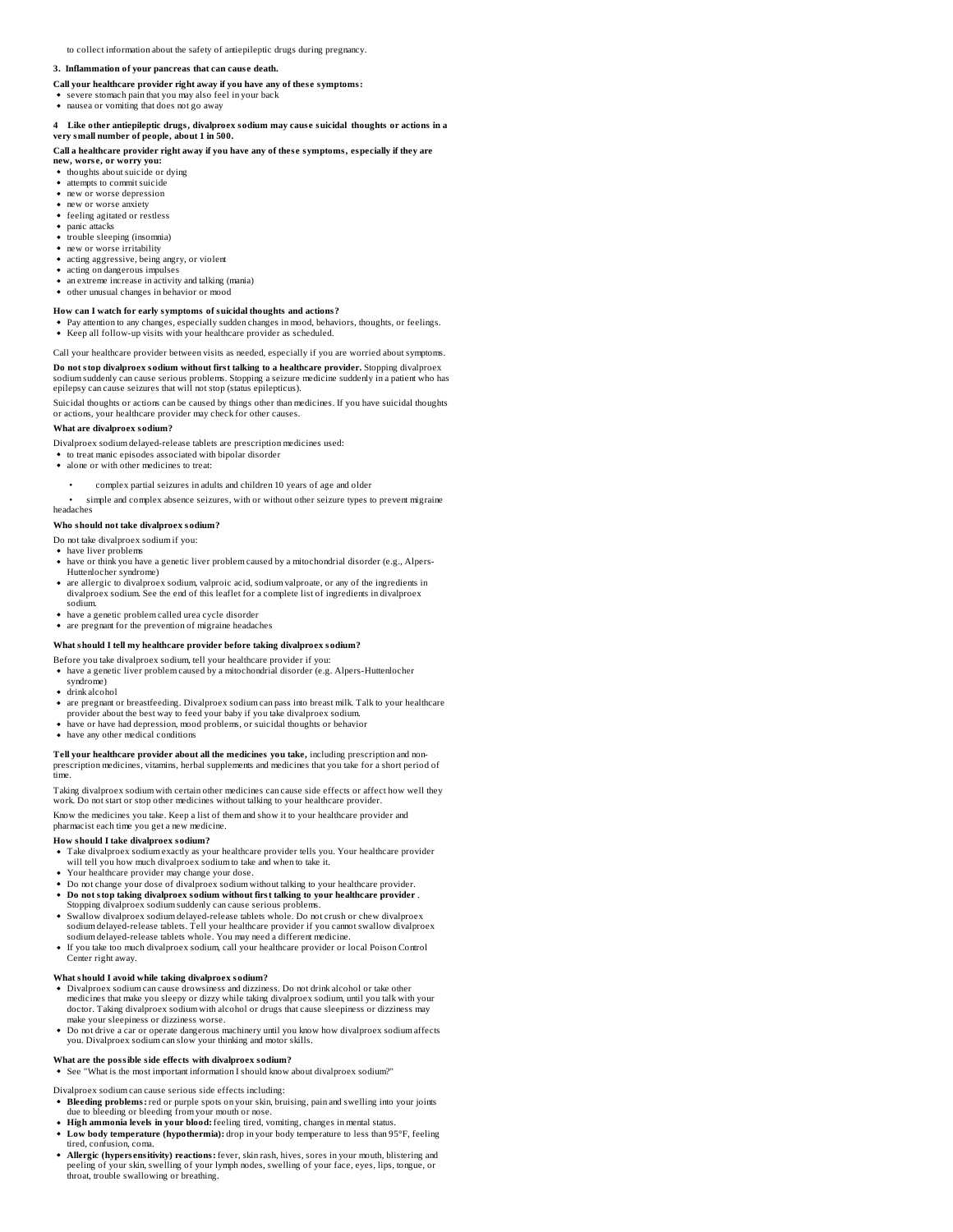### **3. Inflammation of your pancreas that can caus e death.**

# **Call your healthcare provider right away if you have any of thes e symptoms:**

severe stomach pain that you may also feel in your back

# nausea or vomiting that does not go away

# 4 Like other antiepileptic drugs, divalproex sodium may cause suicidal thoughts or actions in a<br>very small number of people, about 1 in 500.

# **Call a healthcare provider right away if you have any of thes e symptoms, especially if they are**

# **new, wors e, or worry you:**

- $\bullet$  thoughts about suicide or dying • attempts to commit suicide
- new or worse depression
- new or worse anxiety
- feeling agitated or restless
- panic attacks
- trouble sleeping (insomnia) • new or worse irritability
- acting aggressive, being angry, or violent
- acting on dangerous impulses
- 
- an extreme increase in activity and talking (mania) other unusual changes in behavior or mood

# **How can I watch for early symptoms of suicidal thoughts and actions?**

Pay attention to any changes, especially sudden changes in mood, behaviors, thoughts, or feelings.<br>Keep all follow-up visits with your healthcare provider as scheduled.

Call your healthcare provider between visits as needed, especially if you are worried about symptoms. **Do not stop divalproex sodium without first talking to a healthcare provider.** Stopping divalproex

sodium suddenly can cause serious problems. Stopping a seizure medicine suddenly in a patient who has epilepsy can cause seizures that will not stop (status epilepticus).

Suicidal thoughts or actions can be caused by things other than medicines. If you have suicidal thoughts or actions, your healthcare provider may check for other causes.

### **What are divalproex sodium?**

Divalproex sodium delayed-release tablets are prescription medicines used:

- to treat manic episodes associated with bipolar disorder alone or with other medicines to treat:
	- complex partial seizures in adults and children 10 years of age and older
- simple and complex absence seizures, with or without other seizure types to prevent migraine headaches

# **Who should not take divalproex sodium?**

Do not take divalproex sodium if you:

• have liver problems

- have or think you have a genetic liver problem caused by a mitochondrial disorder (e.g., Alpers- Huttenlocher syndrome)
- are allergic to divalproex sodium, valproic acid, sodium valproate, or any of the ingredients in divalproex sodium. See the end of this leaflet for a complete list of ingredients in divalproex sodium.
- have a genetic problem called urea cycle disorder
- are pregnant for the prevention of migraine headaches

# **What should I tell my healthcare provider before taking divalproex sodium?**

- Before you take divalproex sodium, tell your healthcare provider if you: have a genetic liver problem caused by a mitochondrial disorder (e.g. Alpers-Huttenlocher
- syndrome)
- drink alcohol
- are pregnant or breastfeeding. Divalproex sodium can pass into breast milk. Talk to your healthcare
- provider about the best way to feed your baby if you take divalproex sodium.
- have or have had depression, mood problems, or suicidal thoughts or behavior have any other medical conditions

**Tell your healthcare provider about all the medicines you take,** including prescription and non-<br>prescription medicines, vitamins, herbal supplements and medicines that you take for a short period of time.

Taking divalproex sodium with certain other medicines can cause side effects or affect how well they work. Do not start or stop other medicines without talking to your healthcare provider.

Know the medicines you take. Keep a list of them and show it to your healthcare provider and pharmacist each time you get a new medicine.

# **How should I take divalproex sodium?**

- Take divalproex sodium exactly as your healthcare provider tells you. Your healthcare provider will tell you how much divalproex sodium to take and when to take it.
- 
- Your healthcare provider may change your dose.<br>Do not change your dose of divalproex sodium without talking to your healthcare provider.
- **Do not stop taking divalproex sodium without first talking to your healthcare provider** .
- Stopping divalproex sodium suddenly can cause serious problems. Swallow divalproex sodium delayed-release tablets whole. Do not crush or chew divalproex sodium delayed-release tablets. Tell your healthcare provider if you cannot swallow divalproex sodium delayed-release tablets whole. You may need a different medicine.
- If you take too much divalproex sodium, call your healthcare provider or local Poison Control Center right away.

# **What should I avoid while taking divalproex sodium?**

- Divalproex sodium can cause drowsiness and dizziness. Do not drink alcohol or take other<br>medicines that make you sleepy or dizzy while taking divalproex sodium, until you talk with your doctor. Taking divalproex sodium with alcohol or drugs that cause sleepiness or dizziness may make your sleepiness or dizziness worse.
- Do not drive a car or operate dangerous machinery until you know how divalproex sodium affects you. Divalproex sodium can slow your thinking and motor skills.

# **What are the possible side effects with divalproex sodium?**

See "What is the most important information I should know about divalproex sodium?"

- Divalproex sodium can cause serious side effects including:<br> **Bleeding problems:** red or purple spots on your skin, bruising, pain and swelling into your joints due to bleeding or bleeding from your mouth or nose.
- **High ammonia levels in your blood:** feeling tired, vomiting, changes in mental status.
- **Low body temperature (hypothermia):** drop in your body temperature to less than 95°F, feeling tired, confusion, coma.
- **Allergic (hypers ensitivity) reactions:** fever, skin rash, hives, sores in your mouth, blistering and peeling of your skin, swelling of your lymph nodes, swelling of your face, eyes, lips, tongue, or throat, trouble swallowing or breathing.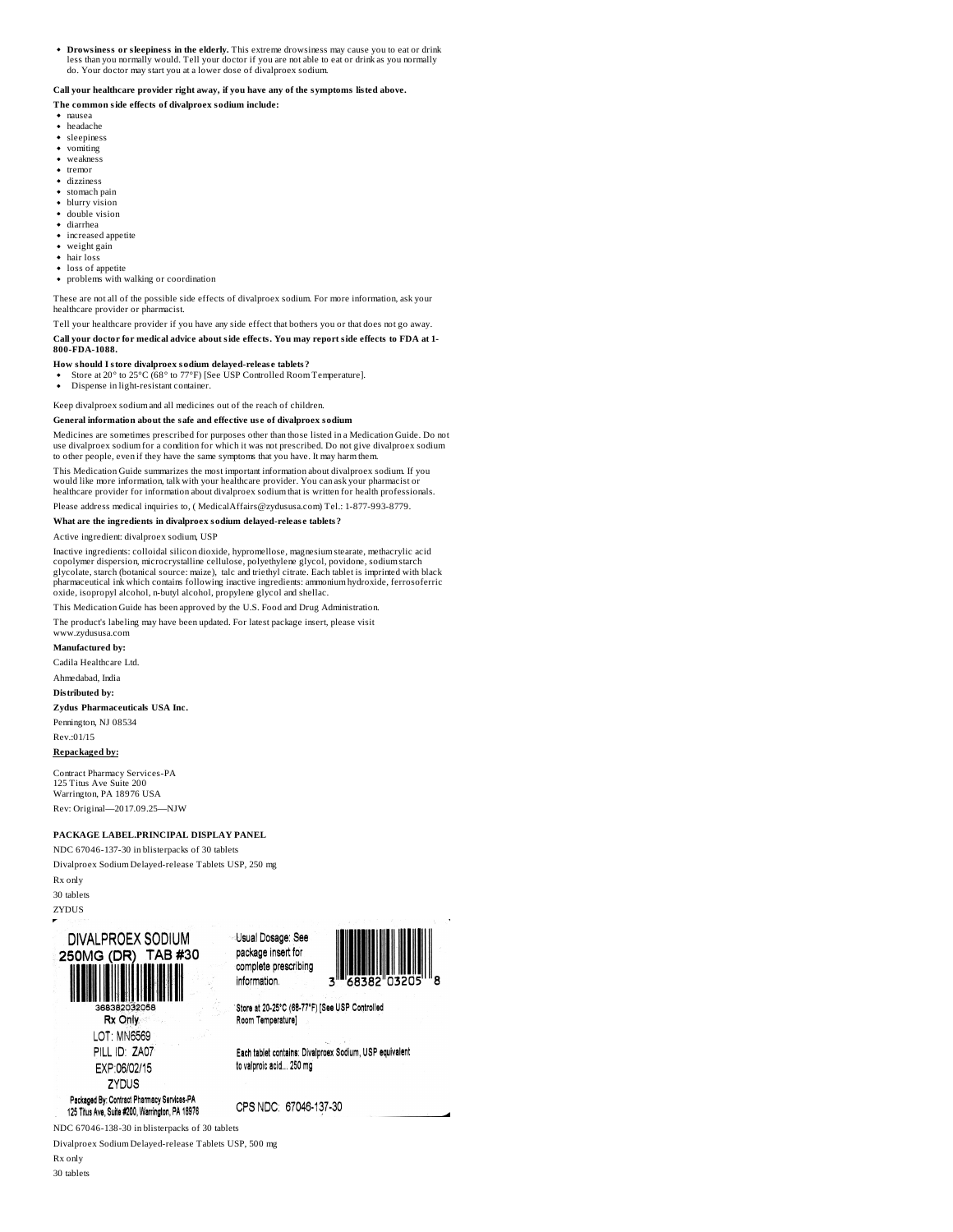**Drowsiness or sleepiness in the elderly.** This extreme drowsiness may cause you to eat or drink less than you normally would. Tell your doctor if you are not able to eat or drink as you normally do. Your doctor may start you at a lower dose of divalproex sodium.

# **Call your healthcare provider right away, if you have any of the symptoms listed above.**

# **The common side effects of divalproex sodium include:**

- nausea headache
- sleepiness
- vomiting
- weakness
- $\bullet$  tremor
- dizziness
- stomach pain
- blurry vision
- double vision
- diarrhea
- increased appetite weight gain
- **+** hair loss
- 
- loss of appetite<br>• problems with y with walking or coordination

These are not all of the possible side effects of divalproex sodium. For more information, ask your healthcare provider or pharmacist.

# Tell your healthcare provider if you have any side effect that bothers you or that does not go away. **Call your doctor for medical advice about side effects. You may report side effects to FDA at 1- 800-FDA-1088.**

**How should I store divalproex sodium delayed-releas e tablets?** Store at 20° to 25°C (68° to 77°F) [See USP Controlled Room Temperature].

- Dispense in light-resistant container.
- Keep divalproex sodium and all medicines out of the reach of children.

### **General information about the safe and effective us e of divalproex sodium**

Medicines are sometimes prescribed for purposes other than those listed in a Medication Guide. Do not use divalproex sodium for a condition for which it was not prescribed. Do not give divalproex sodium to other people, even if they have the same symptoms that you have. It may harm them.

This Medication Guide summarizes the most important information about divalproex sodium. If you<br>would like more information, talk with your healthcare provider. You can ask your pharmacist or healthcare provider for information about divalproex sodium that is written for health professionals.

Please address medical inquiries to, ( MedicalAffairs@zydususa.com) Tel.: 1-877-993-8779.

# **What are the ingredients in divalproex sodium delayed-releas e tablets?**

Active ingredient: divalproex sodium, USP

Inactive ingredients: colloidal silicon dioxide, hypromellose, magnesium stearate, methacrylic acid copolymer dispersion, microcrystalline cellulose, polyethylene glycol, povidone, sodium starch glycolate, starch (botanical source: maize), talc and triethyl citrate. Each tablet is imprinted with black pharmaceutical ink which contains following inactive ingredients: ammonium hydroxide, ferrosoferric oxide, isopropyl alcohol, n-butyl alcohol, propylene glycol and shellac.

This Medication Guide has been approved by the U.S. Food and Drug Administration.

The product's labeling may have been updated. For latest package insert, please visit www.zydususa.com

# **Manufactured by:**

Cadila Healthcare Ltd.

Ahmedabad, India **Distributed by:**

# **Zydus Pharmaceuticals USA Inc.**

Pennington, NJ 08534 Rev.:01/15

# **Repackaged by:**

Contract Pharmacy Services-PA 125 Titus Ave Suite 200 Warrington, PA 18976 USA Rev: Original—2017.09.25—NJW

# **PACKAGE LABEL.PRINCIPAL DISPLAY PANEL**

NDC 67046-137-30 in blisterpacks of 30 tablets Divalproex Sodium Delayed-release Tablets USP, 250 mg

Rx only 30 tablets

ZYDUS



Packaged By: Contract Pharmacy Services-PA 125 Titus Ave, Suite #200, Warrington, PA 18976

NDC 67046-138-30 in blisterpacks of 30 tablets Divalproex Sodium Delayed-release Tablets USP, 500 mg Rx only

30 tablets

package insert for complete prescribing information.



Store at 20-25°C (68-77°F) [See USP Controlled Room Temperature1

Each tablet contains: Divalproex Sodium, USP equivalent to valoroic acid... 250 mg

CPS NDC: 67046-137-30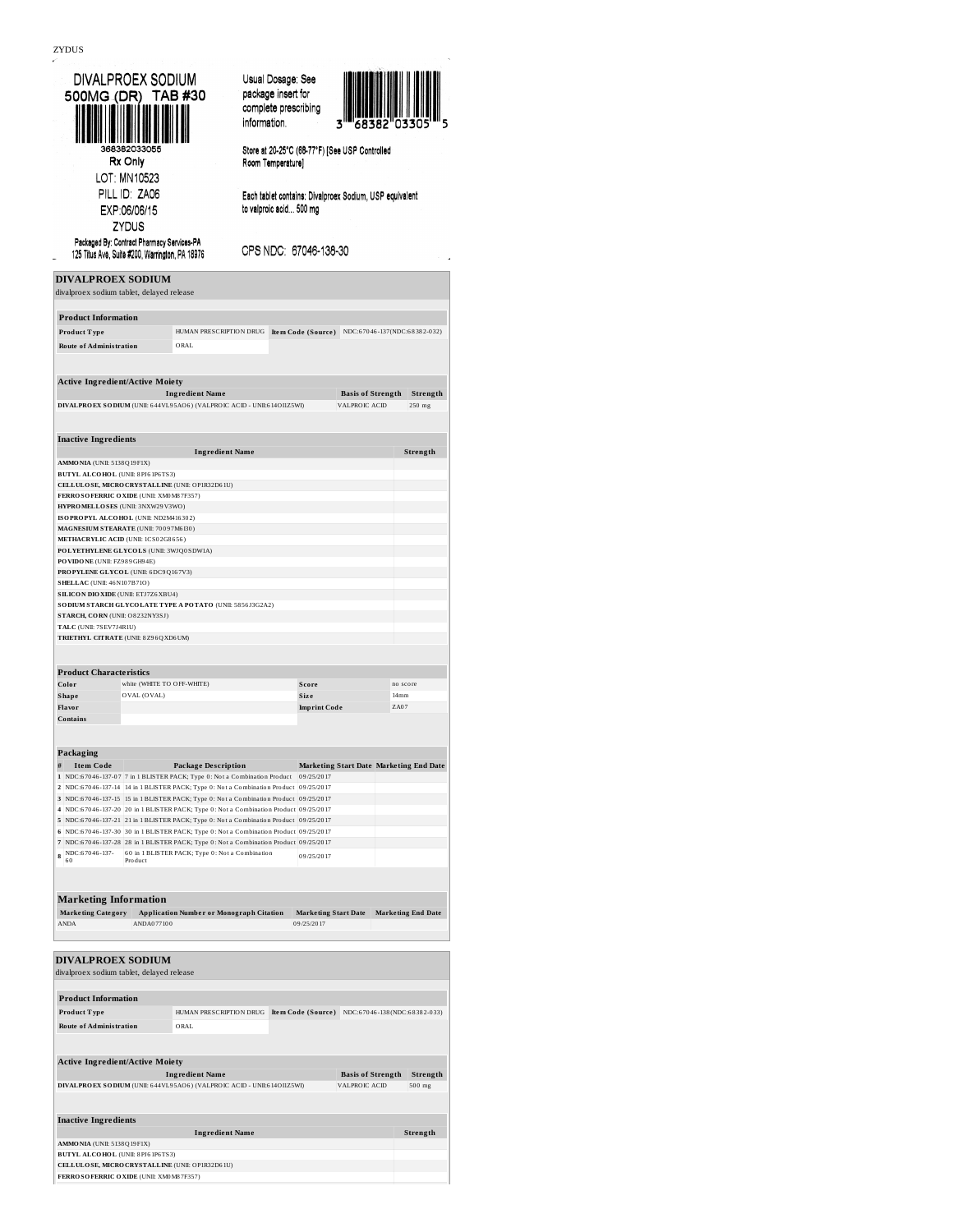

LOT: MN10523 PILL ID: ZA06

EXP:06/06/15

ZYDUS

Usual Dosage: See package insert for complete prescribing information.



Store at 20-25°C (68-77°F) [See USP Controlled Room Temperature]

Each tablet contains: Divalproex Sodium, USP equivalent to valproic acid... 500 mg

Packaged By: Contract Pharmacy Services-PA<br>125 Titus Ave, Suite #200, Warrington, PA 18976

CPS NDC: 67046-138-30

| divalproex sodium tablet, delayed release                                                  | <b>DIVALPROEX SODIUM</b>   |                                                                                                                                                                                |                                                 |                                         |          |                           |
|--------------------------------------------------------------------------------------------|----------------------------|--------------------------------------------------------------------------------------------------------------------------------------------------------------------------------|-------------------------------------------------|-----------------------------------------|----------|---------------------------|
| <b>Product Information</b>                                                                 |                            |                                                                                                                                                                                |                                                 |                                         |          |                           |
| <b>Product Type</b>                                                                        |                            | HUMAN PRESCRIPTION DRUG                                                                                                                                                        | Item Code (Source) NDC:67046-137(NDC:68382-032) |                                         |          |                           |
| <b>Route of Administration</b>                                                             |                            | ORAL                                                                                                                                                                           |                                                 |                                         |          |                           |
|                                                                                            |                            |                                                                                                                                                                                |                                                 |                                         |          |                           |
|                                                                                            |                            |                                                                                                                                                                                |                                                 |                                         |          |                           |
| Active Ingredient/Active Moiety                                                            |                            | <b>Ingredient Name</b>                                                                                                                                                         |                                                 | <b>Basis of Strength Strength</b>       |          |                           |
|                                                                                            |                            | DIVALPROEX SODIUM (UNII: 644VL95AO6) (VALPROIC ACID - UNII:614011Z5WI)                                                                                                         |                                                 | VALPROIC ACID                           |          | 250 mg                    |
|                                                                                            |                            |                                                                                                                                                                                |                                                 |                                         |          |                           |
| <b>Inactive Ingredients</b>                                                                |                            | <b>Ingredient Name</b>                                                                                                                                                         |                                                 |                                         |          | Strength                  |
| AMMONIA (UNII: 5138Q19F1X)                                                                 |                            |                                                                                                                                                                                |                                                 |                                         |          |                           |
| <b>BUTYL ALCOHOL (UNII: 8PJ61P6TS3)</b>                                                    |                            |                                                                                                                                                                                |                                                 |                                         |          |                           |
| CELLULOSE, MICROCRYSTALLINE (UNII: OPIR32D61U)<br>FERROSOFERRIC OXIDE (UNII: XM0 M8 7F357) |                            |                                                                                                                                                                                |                                                 |                                         |          |                           |
| HYPRO MELLO SES (UNII: 3NXW29V3WO)                                                         |                            |                                                                                                                                                                                |                                                 |                                         |          |                           |
| ISO PRO PYL ALCOHOL (UNII: ND2M416302)                                                     |                            |                                                                                                                                                                                |                                                 |                                         |          |                           |
| MAGNESIUM STEARATE (UNII: 70097M6130)                                                      |                            |                                                                                                                                                                                |                                                 |                                         |          |                           |
| METHACRYLIC ACID (UNII: 1CS02G8656)                                                        |                            |                                                                                                                                                                                |                                                 |                                         |          |                           |
| POLYETHYLENE GLYCOLS (UNII: 3WJQ0SDWIA)                                                    |                            |                                                                                                                                                                                |                                                 |                                         |          |                           |
| PO VIDO NE (UNII: FZ989GH94E)                                                              |                            |                                                                                                                                                                                |                                                 |                                         |          |                           |
| PROPYLENE GLYCOL (UNII: 6DC9Q167V3)                                                        |                            |                                                                                                                                                                                |                                                 |                                         |          |                           |
| <b>SHELLAC</b> (UNII: 46N107B71O)                                                          |                            |                                                                                                                                                                                |                                                 |                                         |          |                           |
| SILICON DIOXIDE (UNII: ETJ7Z6XBU4)                                                         |                            | SODIUM STARCH GLYCOLATE TYPE A POTATO (UNII: 5856J3G2A2)                                                                                                                       |                                                 |                                         |          |                           |
| STARCH, CORN (UNII: O8232NY3SJ)                                                            |                            |                                                                                                                                                                                |                                                 |                                         |          |                           |
| TALC (UNII: 7SEV7J4R1U)                                                                    |                            |                                                                                                                                                                                |                                                 |                                         |          |                           |
| TRIETHYL CITRATE (UNII: 8Z96QXD6UM)                                                        |                            |                                                                                                                                                                                |                                                 |                                         |          |                           |
|                                                                                            |                            |                                                                                                                                                                                |                                                 |                                         |          |                           |
| <b>Product Characteristics</b>                                                             |                            |                                                                                                                                                                                |                                                 |                                         |          |                           |
| Color                                                                                      | white (WHITE TO OFF-WHITE) |                                                                                                                                                                                | Score                                           |                                         | no score |                           |
| <b>Shape</b>                                                                               | OVAL (OVAL)                |                                                                                                                                                                                | Size                                            |                                         | 14mm     |                           |
| Flavor                                                                                     |                            |                                                                                                                                                                                | <b>Imprint Code</b>                             |                                         | ZA07     |                           |
|                                                                                            |                            |                                                                                                                                                                                |                                                 |                                         |          |                           |
| <b>Contains</b>                                                                            |                            |                                                                                                                                                                                |                                                 |                                         |          |                           |
|                                                                                            |                            |                                                                                                                                                                                |                                                 |                                         |          |                           |
|                                                                                            |                            |                                                                                                                                                                                |                                                 |                                         |          |                           |
| Packaging                                                                                  |                            |                                                                                                                                                                                |                                                 |                                         |          |                           |
| # Item Code                                                                                |                            | Package Description                                                                                                                                                            |                                                 | Marketing Start Date Marketing End Date |          |                           |
|                                                                                            |                            | 1 NDC:67046-137-07 7 in 1 BLISTER PACK; Type 0: Not a Combination Product                                                                                                      | 09/25/2017                                      |                                         |          |                           |
|                                                                                            |                            | 2 NDC:67046-137-14 14 in 1 BLISTER PACK; Type 0: Not a Combination Product 09/25/2017                                                                                          |                                                 |                                         |          |                           |
|                                                                                            |                            | 3 NDC:67046-137-15 15 in 1 BLISTER PACK; Type 0: Not a Combination Product 09/25/2017                                                                                          |                                                 |                                         |          |                           |
|                                                                                            |                            | 4 NDC:67046-137-20 20 in 1 BLISTER PACK; Type 0: Not a Combination Product 09/25/2017                                                                                          |                                                 |                                         |          |                           |
|                                                                                            |                            | 5 NDC:67046-137-21 21 in 1 BLISTER PACK; Type 0: Not a Combination Product 09/25/2017                                                                                          |                                                 |                                         |          |                           |
|                                                                                            |                            | 6 NDC:67046-137-30 30 in 1 BLISTER PACK; Type 0: Not a Combination Product 09/25/2017<br>7 NDC:67046-137-28 28 in 1 BLISTER PACK; Type 0: Not a Combination Product 09/25/2017 |                                                 |                                         |          |                           |
| NDC:67046-137-                                                                             |                            | 60 in 1 BLISTER PACK; Type 0: Not a Combination                                                                                                                                |                                                 |                                         |          |                           |
| 8<br>60                                                                                    | Product                    |                                                                                                                                                                                | 09/25/2017                                      |                                         |          |                           |
|                                                                                            |                            |                                                                                                                                                                                |                                                 |                                         |          |                           |
|                                                                                            |                            |                                                                                                                                                                                |                                                 |                                         |          |                           |
| <b>Marketing Information</b>                                                               |                            |                                                                                                                                                                                |                                                 |                                         |          |                           |
| <b>Marketing Category</b>                                                                  |                            | <b>Application Number or Monograph Citation</b>                                                                                                                                | <b>Marketing Start Date</b>                     |                                         |          | <b>Marketing End Date</b> |
| <b>ANDA</b>                                                                                | ANDA077100                 |                                                                                                                                                                                | 09/25/2017                                      |                                         |          |                           |
|                                                                                            |                            |                                                                                                                                                                                |                                                 |                                         |          |                           |
|                                                                                            |                            |                                                                                                                                                                                |                                                 |                                         |          |                           |
| <b>DIVALPROEX SODIUM</b><br>divalproex sodium tablet, delayed release                      |                            |                                                                                                                                                                                |                                                 |                                         |          |                           |
|                                                                                            |                            |                                                                                                                                                                                |                                                 |                                         |          |                           |
| <b>Product Information</b>                                                                 |                            |                                                                                                                                                                                |                                                 |                                         |          |                           |
| <b>Product Type</b>                                                                        |                            | HUMAN PRESCRIPTION DRUG                                                                                                                                                        | Item Code (Source) NDC:67046-138(NDC:68382-033) |                                         |          |                           |
| <b>Route of Administration</b>                                                             |                            | ORAL                                                                                                                                                                           |                                                 |                                         |          |                           |
|                                                                                            |                            |                                                                                                                                                                                |                                                 |                                         |          |                           |
| <b>Active Ingredient/Active Moiety</b>                                                     |                            |                                                                                                                                                                                |                                                 |                                         |          |                           |
|                                                                                            |                            | <b>Ingredient Name</b>                                                                                                                                                         |                                                 | <b>Basis of Strength Strength</b>       |          |                           |
|                                                                                            |                            | DIVALPROEX SODIUM (UNII: 644VL95AO6) (VALPROIC ACID - UNII:614011Z5WI)                                                                                                         |                                                 | VALPROIC ACID                           |          | 500 mg                    |
|                                                                                            |                            |                                                                                                                                                                                |                                                 |                                         |          |                           |

**Ingredient Name Strength**

**AMMONIA** (UNII: 5138Q19 F1X)

**BUTYL ALCOHOL** (UNII: 8 PJ6 1P6TS3) **CELLULOSE, MICROCRYSTALLINE** (UNII: OP1R32D6 1U) **FERROSOFERRIC OXIDE** (UNII: XM0M8 7F357)